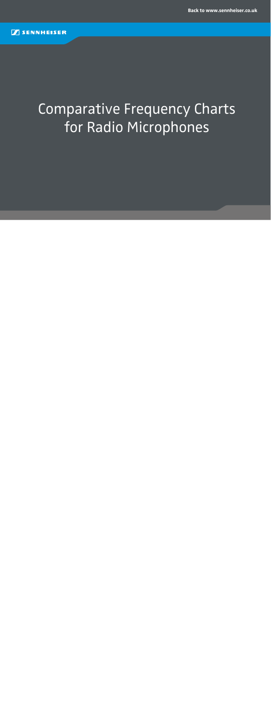# Comparative Frequency Charts for Radio Microphones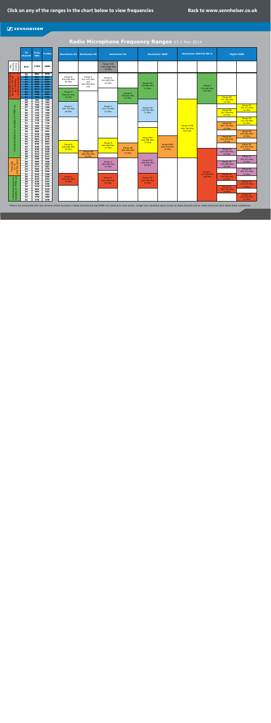Site

790-862MHz Must Not

Be Used In The UK. 863-865MHz

**d** 

\*Channels  $\begin{array}{c}\n *$ Channels<br>  $31-37$ <br>  $(600 \text{ MHz band})\n\end{array}$ (600 MHz band)

Interleaved Spectrum<br>Available for PMSE use

<span id="page-1-0"></span>

|                                                                  | <b>TV</b><br><b>Channel</b>                              | <b>From</b><br><b>MHz</b>                                          | <b>To MHz</b>                                                      | <b>Sennheiser G2</b>                                                 | <b>Sennheiser XS</b>                                 |                                                 | <b>Sennheiser G3</b>              |                                                  | <b>Sennheiser 2000</b> |                                             | <b>Sennheiser EM3732 MK II</b>           | Digital 9000                                                           |                                                                        |
|------------------------------------------------------------------|----------------------------------------------------------|--------------------------------------------------------------------|--------------------------------------------------------------------|----------------------------------------------------------------------|------------------------------------------------------|-------------------------------------------------|-----------------------------------|--------------------------------------------------|------------------------|---------------------------------------------|------------------------------------------|------------------------------------------------------------------------|------------------------------------------------------------------------|
| Specific<br>Licence<br>Required                                  | N/A                                                      | 1785                                                               | 1800                                                               |                                                                      |                                                      | Range-1G8<br>1785-1800 MHz<br>15 MHz            |                                   |                                                  |                        |                                             |                                          |                                                                        |                                                                        |
| ś<br>д In The Or<br>-865MHz<br>-е ехетр!.<br>$rac{36}{100}$<br>ு | 70<br>69<br>68<br>67<br>66<br>65<br>64<br>63<br>62<br>61 | 862<br>854<br>846<br>838<br>830<br>822<br>814<br>806<br>798<br>790 | 870<br>862<br>854<br>846<br>838<br>830<br>822<br>814<br>806<br>798 | Range-E<br>830-866 MHz<br>36 MHz<br>Range-D<br>786-822 MHz<br>36 MHz | Range-E<br>821-832 MHz<br>and<br>863-865 MHz<br>only | Range-E<br>823-865 MHz<br>42 MHz                | Range-D<br>780-822 MHz            | Range-DW<br>790-865 MHz<br>75 MHz                |                        |                                             | Range P<br>776-960 MHz<br><b>184 MHz</b> | Range B8                                                               |                                                                        |
|                                                                  | 60<br>59<br>58<br>57<br>56<br>55<br>54<br>53<br>52       | 782<br>774<br>766<br>758<br>750<br>742<br>734<br>726<br>718        | 790<br>782<br>774<br>766<br>758<br>750<br>742<br>734<br>726        | Range-C<br>740-776 MHz<br>36 MHz                                     |                                                      | Range-C<br>734-776 MHz<br>42 MHz                | 42 MHz                            | Range-CW<br>718-790 MHz<br><b>72 MHz</b>         |                        |                                             |                                          | 774-798 MHz<br>24 MHz<br>Range B6<br>734-758 MHz<br>24 MHz             | Range B7<br>750-774 MHz<br>24 MHz<br>Range B5<br>710-734 MHz           |
| Interleaved Spectrum Available for PMSE use                      | 51<br>50<br>49<br>48<br>47<br>46<br>45<br>44<br>43       | 710<br>702<br>694<br>686<br>678<br>670<br>662<br>654<br>646        | 718<br>710<br>702<br>694<br>686<br>678<br>670<br>662<br>654        | Range-B                                                              |                                                      | Range-B                                         |                                   | Range-BW<br>626-698 MHz<br>72 MHz                | Range-GBW              | Range N-GB<br>606-790 MHz<br><b>184 MHz</b> |                                          | Range B4<br>694-718 MHz<br>24 MHz<br>Range B2<br>654-678 MHz<br>24 MHz | 24 MHz<br>Range B3<br>670-694 MHz<br>24 MHz<br>Range B1                |
|                                                                  | 42<br>41<br>40<br>39<br>38<br>37<br>36                   | 638<br>630<br>622<br>614<br>606<br>598<br>590                      | 646<br>638<br>630<br>622<br>614<br>606<br>598                      | 626-662 MHz<br><b>36 MHz</b>                                         | Range-GB<br>606-630 MHz<br>24 MHz                    | 626-668 MHz<br>42 MHz<br>Range-G                | Range-GB<br>606-648 MHz<br>42 MHz | Range-GW                                         | 606-678 MHz<br>72 MHz  |                                             |                                          | Range A8<br>614-638 MHz<br>24 MHz<br>Range A6                          | 630-654 MHz<br>24 MHz<br>Range A7<br>590-614 MHz<br>24 MHz             |
| 31-37<br>(600 MHz band)                                          | 35<br>34<br>33<br>32<br>31<br>30<br>29                   | 582<br>574<br>566<br>558<br>550<br>542<br>534                      | 590<br>582<br>574<br>566<br>558<br>550<br>542                      | Range-A<br>518-554 MHz                                               |                                                      | 566-608 MHz<br>42 MHz<br>Range-A<br>516-558 MHz |                                   | 558-626 MHz<br>68 MHz<br>Range-AW<br>516-558 MHz |                        |                                             | Range L<br>470-638 MHz<br><b>168 MHz</b> | 574-598 MHz<br>24 MHz<br>Range A4<br>534-558 MHz<br>24 MHz             | Range A5<br>550-574 MHz<br>24 MHz                                      |
| Spectrum<br>· PMSE use<br>Interleaved<br>Available for I         | 28<br>27<br>26<br>25<br>24<br>23<br>22<br>21             | 526<br>518<br>510<br>502<br>494<br>486<br>478<br>470               | 534<br>526<br>518<br>510<br>502<br>494<br>486<br>478               | <b>36 MHz</b>                                                        |                                                      | 42 MHz                                          |                                   | 42 MHz                                           |                        |                                             |                                          | Range A2<br>494-518 MHz<br>24 MHz                                      | Range A3<br>510-534 MHz<br>24 MHz<br>Range A1<br>470-494 MHz<br>24 MHz |

### **Radio Microphone Frequency Ranges** V3.0 May 2014

\*Ofcom has announced that new services will be launched in these channels but that PMSE will continue to have access. Longer term decisions about access to these channels will be made during the 2015 World Radio Conference.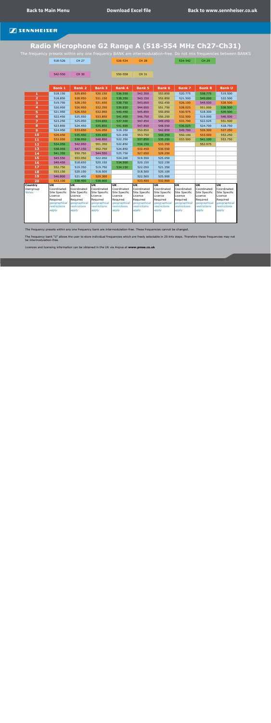# <span id="page-2-0"></span>**Radio Microphone G2 Range A (518-554 MHz Ch27-Ch31)**

The frequency presets within any one frequency BANK are intermodulation-free. Do not mix frequencies between BANKS

|                 | 518-526                           | <b>CH 27</b>             |                          | 526-534                  | <b>CH 28</b>             |                          | 534-542                  | <b>CH 29</b>             |                          |
|-----------------|-----------------------------------|--------------------------|--------------------------|--------------------------|--------------------------|--------------------------|--------------------------|--------------------------|--------------------------|
|                 |                                   |                          |                          |                          |                          |                          |                          |                          |                          |
|                 | 542-550                           | <b>CH 30</b>             |                          | 550-558                  | <b>CH 31</b>             |                          |                          |                          |                          |
|                 |                                   |                          |                          |                          |                          |                          |                          |                          |                          |
|                 |                                   |                          |                          |                          |                          |                          |                          |                          |                          |
|                 | <b>Bank 1</b>                     | <b>Bank 2</b>            | <b>Bank 3</b>            | <b>Bank 4</b>            | <b>Bank 5</b>            | <b>Bank 6</b>            | <b>Bank 7</b>            | <b>Bank 8</b>            | <b>Bank U</b>            |
| $\mathbf{1}$    | 518.150                           | 529.850                  | 530.150                  | 536.550                  | 542.350                  | 553.850                  | 520.775                  | 538.775                  | 519.500                  |
| $\overline{2}$  | 518.850                           | 528.950                  | 531.150                  | 538.350                  | 543.150                  | 552.850                  | 521.500                  | 540.000                  | 522.500                  |
| 3               | 519.750                           | 528.150                  | 531.650                  | 538.750                  | 543.650                  | 552.450                  | 526.100                  | 549.500                  | 528.500                  |
| 4               | 520.950                           | 526.950                  | 532.250                  | 539.850                  | 544.650                  | 551.750                  | 528.025                  | 551.000                  | 538.500                  |
| 5               | 521.950                           | 526.550                  | 532.950                  | 540.450                  | 545.850                  | 550.850                  | 530.975                  | 518.300                  | 539.500                  |
| $6\phantom{1}6$ | 522.450                           | 525.550                  | 533.850                  | 541.450                  | 546.750                  | 550.250                  | 532.500                  | 519.000                  | 546.500                  |
| $\overline{z}$  | 523.250                           | 525.050                  | 534.650                  | 537.500                  | 547.450                  | 549.050                  | 533.700                  | 522.025                  | 551.500                  |
| 8               | 523.850                           | 524.450                  | 535.850                  | 541.900                  | 547.850                  | 548.550                  | 536.025                  | 524.700                  | 518.750                  |
| $\overline{9}$  | 524.950                           | 533.650                  | 526.050                  | 519.350                  | 550.850                  | 542.850                  | 549.700                  | 526.300                  | 527.250                  |
| 10              | 529.450                           | 535.450                  | 539.650                  | 521.650                  | 553.750                  | 540.350                  | 550.100                  | 533.500                  | 553.250                  |
| 11              | 532.050                           | 538.950                  | 548.850                  | 522.350                  | 537.850                  | 535.250                  | 553.500                  | 541.100                  | 553.750                  |
| 12              | 534.050                           | 542.950                  | 551.350                  | 522.850                  | 534.150                  | 533.350                  |                          | 552.975                  |                          |
| 13              | 538.950                           | 547.150                  | 552.750                  | 524.850                  | 532.450                  | 530.550                  |                          |                          |                          |
| 14              | 541.350                           | 550.750                  | 544.550                  | 525.750                  | 527.650                  | 529.250                  |                          |                          |                          |
| 15              | 545.550                           | 553.050                  | 522.050                  | 524.200                  | 519.550                  | 525.050                  |                          |                          |                          |
| 16              | 549.450                           | 518.650                  | 520.150                  | 534.900                  | 520.150                  | 522.150                  |                          |                          |                          |
| 17              | 552.750                           | 519.350                  | 519.750                  | 534.150                  | 522.050                  | 521.350                  |                          |                          |                          |
| 18              | 553.150                           | 520.100                  | 518.500                  |                          | 518.500                  | 520.100                  |                          |                          |                          |
| 19              | 546.800                           | 521.400                  | 529.300                  |                          | 522.500                  | 525.900                  |                          |                          |                          |
| 20              | 533.100                           | 538.400                  | 538.600                  |                          | 533.400                  | 532.900                  |                          |                          |                          |
| <b>Country</b>  | $\overline{\mathsf{u}\mathsf{k}}$ | $\overline{\mathsf{UK}}$ | <b>UK</b>                | <b>UK</b>                | <b>UK</b>                | <b>UK</b>                | <b>UK</b>                | <b>UK</b>                | $\overline{\mathsf{UK}}$ |
| Usergroup       | Coordinated                       | Coordinated              | Coordinated              | Coordinated              | Coordinated              | Coordinated              | Coordinated              | Coordinated              | Coordinated              |
| <b>Notes</b>    | Site Specific<br>Licence          | Site Specific<br>Licence | Site Specific<br>Licence | Site Specific<br>Licence | Site Specific<br>Licence | Site Specific<br>Licence | Site Specific<br>Licence | Site Specific<br>Licence | Site Specific<br>Licence |
|                 | Required                          | Required                 | Required                 | Required                 | Required                 | Required                 | Required                 | Required                 | Required                 |
|                 | geographical                      | geographical             | geographical             | geographical             | geographical             | geographical             | geographical             | geographical             | geographical             |
|                 | restrictions                      | <i>restrictions</i>      | restrictions             | <i>restrictions</i>      | <i>restrictions</i>      | restrictions             | <i>restrictions</i>      | <i>restrictions</i>      | restrictions             |
|                 | apply                             | apply                    | apply                    | apply                    | apply                    | apply                    | apply                    | apply                    | apply                    |
|                 |                                   |                          |                          |                          |                          |                          |                          |                          |                          |
|                 |                                   |                          |                          |                          |                          |                          |                          |                          |                          |

The frequency presets within any one frequency bank are intermodulation-free. These frequencies cannot be changed.

The frequency bank "U" allows the user to store individual frequencies which are freely selectable in 25-kHz steps. Therefore these frequencies may not be intermodulation-free.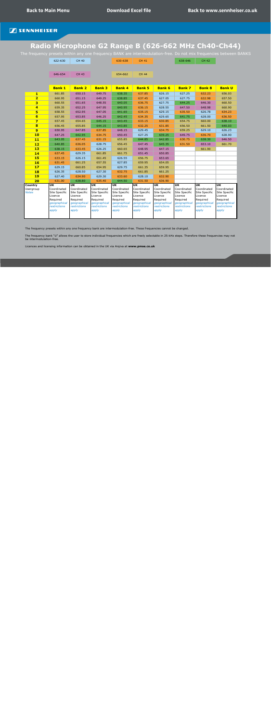# <span id="page-3-0"></span>**Radio Microphone G2 Range B (626-662 MHz Ch40-Ch44)**

The frequency presets within any one frequency BANK are intermodulation-free. Do not mix frequencies between BANKS

|                         | 622-630                           | <b>CH 40</b>             |                          | 630-638                  | <b>CH 41</b>             |                                   | 638-646                  | <b>CH 42</b>                      |                                   |
|-------------------------|-----------------------------------|--------------------------|--------------------------|--------------------------|--------------------------|-----------------------------------|--------------------------|-----------------------------------|-----------------------------------|
|                         |                                   |                          |                          |                          |                          |                                   |                          |                                   |                                   |
|                         |                                   |                          |                          |                          |                          |                                   |                          |                                   |                                   |
|                         | 646-654                           | <b>CH 43</b>             |                          | 654-662                  | <b>CH 44</b>             |                                   |                          |                                   |                                   |
|                         |                                   |                          |                          |                          |                          |                                   |                          |                                   |                                   |
|                         | <b>Bank 1</b>                     | <b>Bank 2</b>            | <b>Bank 3</b>            | <b>Bank 4</b>            | <b>Bank 5</b>            | <b>Bank 6</b>                     | <b>Bank 7</b>            | <b>Bank 8</b>                     | <b>Bank U</b>                     |
| $\mathbf{1}$            | 661.85                            | 650.15                   | 649.75                   | 638.35                   | 637.85                   | 626.15                            | 627.25                   | 632.23                            | 656.03                            |
| $\overline{\mathbf{2}}$ | 660.95                            | 651.15                   | 649.25                   | 638.85                   | 637.45                   | 627.05                            | 627.75                   | 632.98                            | 657.50                            |
| $\overline{\mathbf{3}}$ | 660.55                            | 651.65                   | 648.55                   | 640.05                   | 636.75                   | 627.75                            | 644.25                   | 646.30                            | 660.50                            |
| $\overline{\mathbf{4}}$ | 659.35                            | 652.25                   | 647.95                   | 640.95                   | 636.15                   | 628.55                            | 647.50                   | 648.98                            | 660.90                            |
| 5                       | 658.55                            | 652.95                   | 647.05                   | 641.65                   | 635.15                   | 629.15                            | 635.50                   | 626.78                            | 634.23                            |
| $6\phantom{1}$          | 657.95                            | 653.85                   | 646.25                   | 642.45                   | 634.35                   | 629.65                            | 641.75                   | 628.00                            | 636.50                            |
| $\overline{\mathbf{z}}$ | 657.45                            | 654.65                   | 645.15                   | 643.45                   | 633.15                   | 630.85                            | 654.75                   | 660.00                            | 638.10                            |
| $\bf{8}$                | 656.45                            | 655.85                   | 644.15                   | 643.85                   | 632.25                   | 631.85                            | 656.50                   | 661.50                            | 640.03                            |
| 9                       | 650.95                            | 647.85                   | 637.85                   | 648.15                   | 629.45                   | 634.75                            | 659.25                   | 629.10                            | 626.23                            |
| 10                      | 647.25                            | 642.95                   | 634.75                   | 650.45                   | 627.25                   | 639.25                            | 649.75                   | 636.70                            | 628.90                            |
| 11                      | 643.05                            | 637.45                   | 631.15                   | 655.85                   | 644.85                   | 642.85                            | 630.75                   | 638.30                            | 646.50                            |
| 12                      | 640.85                            | 636.05                   | 628.75                   | 656.45                   | 647.45                   | 645.35                            | 631.50                   | 653.10                            | 661.70                            |
| <b>13</b>               | 638.15                            | 633.45                   | 626.25                   | 660.65                   | 648.95                   | 647.15                            |                          | 661.90                            |                                   |
| 14                      | 637.45                            | 629.35                   | 661.85                   | 661.75                   | 651.45                   | 650.85                            |                          |                                   |                                   |
| <b>15</b>               | 633.15                            | 626.15                   | 661.45                   | 626.55                   | 656.75                   | 653.65                            |                          |                                   |                                   |
| <b>16</b>               | 631.45                            | 661.25                   | 657.55                   | 627.85                   | 659.95                   | 654.05                            |                          |                                   |                                   |
| 17                      | 629.15                            | 660.85                   | 654.95                   | 629.75                   | 661.35                   | 659.95                            |                          |                                   |                                   |
| <b>18</b>               | 626.35                            | 628.50                   | 627.30                   | 632.75                   | 661.85                   | 661.25                            |                          |                                   |                                   |
| <b>19</b>               | 627.40                            | 634.90                   | 629.30                   | 633.60                   | 628.10                   | 632.90                            |                          |                                   |                                   |
| 20                      | 631.00                            | 638.80                   | 635.40                   | 644.50                   | 631.50                   | 636.90                            |                          |                                   |                                   |
| <b>Country</b>          | $\overline{\mathsf{u}\mathsf{K}}$ | <b>UK</b>                | <b>UK</b>                | <b>UK</b>                | <b>UK</b>                | $\overline{\mathsf{u}\mathsf{k}}$ | UK                       | $\overline{\mathsf{u}\mathsf{k}}$ | $\overline{\mathsf{u}\mathsf{k}}$ |
| Usergroup               | Coordinated                       | Coordinated              | Coordinated              | Coordinated              | Coordinated              | Coordinated                       | Coordinated              | Coordinated                       | Coordinated                       |
| <b>Notes</b>            | Site Specific<br>Licence          | Site Specific<br>Licence | Site Specific<br>Licence | Site Specific<br>Licence | Site Specific<br>Licence | Site Specific<br>Licence          | Site Specific<br>Licence | Site Specific<br>Licence          | Site Specific<br>Licence          |
|                         | Required                          | Required                 | Required                 | Required                 | Required                 | Required                          | Required                 | Required                          | Required                          |
|                         | geographical                      | geographical             | geographical             | geographical             | geographical             | geographical                      | geographical             | geographical                      | geographical                      |
|                         | restrictions                      | restrictions             | restrictions             | restrictions             | restrictions             | restrictions                      | restrictions             | restrictions                      | restrictions                      |
|                         | apply                             | apply                    | apply                    | apply                    | apply                    | apply                             | apply                    | apply                             | apply                             |
|                         |                                   |                          |                          |                          |                          |                                   |                          |                                   |                                   |

The frequency presets within any one frequency bank are intermodulation-free. These frequencies cannot be changed.

The frequency bank "U" allows the user to store individual frequencies which are freely selectable in 25-kHz steps. Therefore these frequencies may not be intermodulation-free.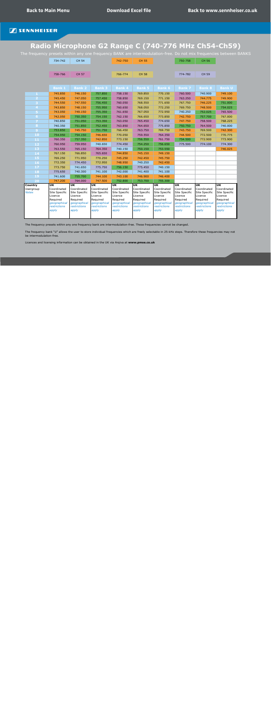# <span id="page-4-0"></span>**Radio Microphone G2 Range C (740-776 MHz Ch54-Ch59)**

The frequency presets within any one frequency BANK are intermodulation-free. Do not mix frequencies between BANKS

|                           | 734-742                                                             | <b>CH 54</b>                                                        |                                                                     | 742-750                                                             | <b>CH 55</b>                                                        |                                                                     | 750-758                                                             | <b>CH 56</b>                                                        |                                                                     |
|---------------------------|---------------------------------------------------------------------|---------------------------------------------------------------------|---------------------------------------------------------------------|---------------------------------------------------------------------|---------------------------------------------------------------------|---------------------------------------------------------------------|---------------------------------------------------------------------|---------------------------------------------------------------------|---------------------------------------------------------------------|
|                           |                                                                     |                                                                     |                                                                     |                                                                     |                                                                     |                                                                     |                                                                     |                                                                     |                                                                     |
|                           | 758-766                                                             | <b>CH 57</b>                                                        |                                                                     | 766-774                                                             | <b>CH 58</b>                                                        |                                                                     | 774-782                                                             | <b>CH 59</b>                                                        |                                                                     |
|                           |                                                                     |                                                                     |                                                                     |                                                                     |                                                                     |                                                                     |                                                                     |                                                                     |                                                                     |
|                           | <b>Bank 1</b>                                                       | <b>Bank 2</b>                                                       | <b>Bank 3</b>                                                       | <b>Bank 4</b>                                                       | <b>Bank 5</b>                                                       | <b>Bank 6</b>                                                       | <b>Bank 7</b>                                                       | <b>Bank 8</b>                                                       | <b>Bank U</b>                                                       |
| 1                         | 745.850                                                             | 746.150                                                             | 757.850                                                             | 758.150                                                             | 769.850                                                             | 770.150                                                             | 760,500                                                             | 740.900                                                             | 749.100                                                             |
| $\overline{2}$            | 745.450                                                             | 747.050                                                             | 757.450                                                             | 758.850                                                             | 769.150                                                             | 771.150                                                             | 763.250                                                             | 744.775                                                             | 749.900                                                             |
| 3                         | 744.550                                                             | 747.550                                                             | 756.450                                                             | 760.050                                                             | 768.550                                                             | 771.650                                                             | 767.750                                                             | 746.225                                                             | 751.000                                                             |
| $\overline{\mathbf{4}}$   | 743.850                                                             | 748.150                                                             | 755.950                                                             | 760.650                                                             | 768.050                                                             | 772.250                                                             | 769.750                                                             | 748.500                                                             | 754.025                                                             |
| 5                         | 743.050                                                             | 749.150                                                             | 755.350                                                             | 761.650                                                             | 767.050                                                             | 772.950                                                             | 740.250                                                             | 752.025                                                             | 765.500                                                             |
| 6                         | 742.050                                                             | 750.350                                                             | 754.150                                                             | 762.150                                                             | 766.650                                                             | 773.850                                                             | 742.750                                                             | 757.700                                                             | 767.000                                                             |
| 7                         | 740.850                                                             | 751.050                                                             | 753.350                                                             | 763.050                                                             | 765.450                                                             | 774.650                                                             | 747.750                                                             | 758.500                                                             | 768.225                                                             |
| 8                         | 740.350                                                             | 751.850                                                             | 752.450                                                             | 763.850                                                             | 764.650                                                             | 775.850                                                             | 750.750                                                             | 764.500                                                             | 740.000                                                             |
| $\mathbf{9}$              | 753.850                                                             | 745.750                                                             | 751.750                                                             | 766.450                                                             | 763.750                                                             | 769.750                                                             | 743.750                                                             | 769.500                                                             | 742.300                                                             |
| 10                        | 754.950                                                             | 754.150                                                             | 746.650                                                             | 770.050                                                             | 759.550                                                             | 764.350                                                             | 744.500                                                             | 772.500                                                             | 770.775                                                             |
| 11                        | 760.350                                                             | 757.350                                                             | 742.850                                                             | 773.150                                                             | 756.550                                                             | 761.750                                                             | 754.500                                                             | 772.900                                                             | 773.900                                                             |
| 12                        | 760.950                                                             | 759.950                                                             | 740.650                                                             | 774.450                                                             | 754.250                                                             | 756.650                                                             | 775.500                                                             | 774.100                                                             | 774.300                                                             |
| 13                        | 763.550                                                             | 765.150                                                             | 764.350                                                             | 740.150                                                             | 750.150                                                             | 753.550                                                             |                                                                     |                                                                     | 746.025                                                             |
| 14                        | 767.150                                                             | 766.850                                                             | 765.650                                                             | 744.850                                                             | 745.150                                                             | 749.150                                                             |                                                                     |                                                                     |                                                                     |
| 15                        | 769.250                                                             | 771.950                                                             | 770.250                                                             | 745.250                                                             | 742.450                                                             | 745.750                                                             |                                                                     |                                                                     |                                                                     |
| 16                        | 772.350                                                             | 774.450                                                             | 772.950                                                             | 748.950                                                             | 740.250                                                             | 742.450                                                             |                                                                     |                                                                     |                                                                     |
| 17                        | 773.750                                                             | 741.650                                                             | 775.750                                                             | 756.150                                                             | 775.450                                                             | 740.150                                                             |                                                                     |                                                                     |                                                                     |
| 18                        | 775.650                                                             | 740.300                                                             | 741.100                                                             | 742.000                                                             | 741.400                                                             | 741.100                                                             |                                                                     |                                                                     |                                                                     |
| 19                        | 741.600                                                             | 755.700                                                             | 744.100                                                             | 743.100                                                             | 746.900                                                             | 746.400                                                             |                                                                     |                                                                     |                                                                     |
| 20                        | 747.200                                                             | 764.000                                                             | 747.500                                                             | 752.800                                                             | 753.700                                                             | 755.300                                                             |                                                                     |                                                                     |                                                                     |
| <b>Country</b>            | <b>UK</b>                                                           | UK                                                                  | $\overline{\mathsf{u}\mathsf{k}}$                                   | <b>UK</b>                                                           | $\overline{\mathsf{u}\mathsf{k}}$                                   | $\overline{\mathsf{u}\mathsf{k}}$                                   | <b>UK</b>                                                           | $\overline{\mathsf{U}\mathsf{K}}$                                   | <b>UK</b>                                                           |
| Usergroup<br><b>Notes</b> | Coordinated<br>Site Specific<br>Licence<br>Required<br>geographical | Coordinated<br>Site Specific<br>Licence<br>Required<br>geographical | Coordinated<br>Site Specific<br>Licence<br>Required<br>geographical | Coordinated<br>Site Specific<br>Licence<br>Required<br>geographical | Coordinated<br>Site Specific<br>Licence<br>Required<br>geographical | Coordinated<br>Site Specific<br>Licence<br>Required<br>geographical | Coordinated<br>Site Specific<br>Licence<br>Required<br>geographical | Coordinated<br>Site Specific<br>Licence<br>Required<br>geographical | Coordinated<br>Site Specific<br>Licence<br>Required<br>geographical |
|                           | restrictions<br>apply                                               | restrictions<br>apply                                               | restrictions<br>apply                                               | restrictions<br>apply                                               | restrictions<br>apply                                               | restrictions<br>apply                                               | restrictions<br>apply                                               | restrictions<br>apply                                               | restrictions<br>apply                                               |

The frequency presets within any one frequency bank are intermodulation-free. These frequencies cannot be changed.

The frequency bank "U" allows the user to store individual frequencies which are freely selectable in 25-kHz steps. Therefore these frequencies may not be intermodulation-free.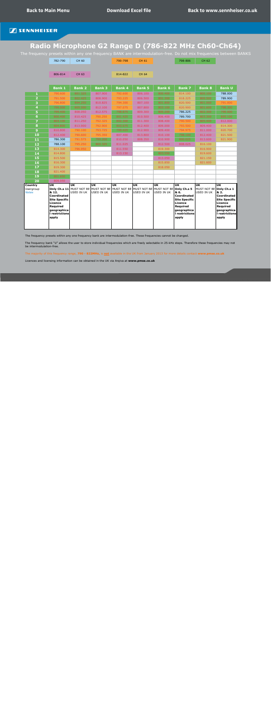# <span id="page-5-0"></span>**Radio Microphone G2 Range D (786-822 MHz Ch60-Ch64)**

The frequency presets within any one frequency BANK are intermodulation-free. Do not mix frequencies between BANKS

|                                             | 782-790                                                                                                                                                          | <b>CH 60</b>              |                                                                                                                             | 790-798                                         | <b>CH 61</b>                   |                  | 798-806                                                                                                                                                                               | <b>CH 62</b>                    |                                                                                                                                                           |
|---------------------------------------------|------------------------------------------------------------------------------------------------------------------------------------------------------------------|---------------------------|-----------------------------------------------------------------------------------------------------------------------------|-------------------------------------------------|--------------------------------|------------------|---------------------------------------------------------------------------------------------------------------------------------------------------------------------------------------|---------------------------------|-----------------------------------------------------------------------------------------------------------------------------------------------------------|
|                                             |                                                                                                                                                                  |                           |                                                                                                                             |                                                 |                                |                  |                                                                                                                                                                                       |                                 |                                                                                                                                                           |
|                                             | 806-814                                                                                                                                                          | <b>CH 63</b>              |                                                                                                                             | 814-822                                         | <b>CH 64</b>                   |                  |                                                                                                                                                                                       |                                 |                                                                                                                                                           |
|                                             |                                                                                                                                                                  |                           |                                                                                                                             |                                                 |                                |                  |                                                                                                                                                                                       |                                 |                                                                                                                                                           |
|                                             | <b>Bank 1</b>                                                                                                                                                    | <b>Bank 2</b>             | <b>Bank 3</b>                                                                                                               | <b>Bank 4</b>                                   | <b>Bank 5</b>                  | <b>Bank 6</b>    | <b>Bank 7</b>                                                                                                                                                                         | <b>Bank 8</b>                   | <b>Bank U</b>                                                                                                                                             |
| $\mathbf{1}$                                | 790.600                                                                                                                                                          | 801.325                   | 807.900                                                                                                                     | 792.600                                         | 806.100                        | 800.400          | 814.100                                                                                                                                                                               | 800.100                         | 788.000                                                                                                                                                   |
| $\overline{\mathbf{2}}$                     | 791.500                                                                                                                                                          | 802.425                   | 808.900                                                                                                                     | 793.225                                         | 806.500                        | 801.300          | 818.225                                                                                                                                                                               | 800.500                         | 789.900                                                                                                                                                   |
| 3                                           | 796.800                                                                                                                                                          | 804.250                   | 810.825                                                                                                                     | 794.300                                         | 807.100                        | 801.800          | 820.500                                                                                                                                                                               | 801.000                         | 791.000                                                                                                                                                   |
| 4                                           | 799.000                                                                                                                                                          | 805.500                   | 812.100                                                                                                                     | 797.075                                         | 807.800                        | 803.100          | 820.900                                                                                                                                                                               | 801.600                         | 798.300                                                                                                                                                   |
| 5                                           | 799.400                                                                                                                                                          | 808.050                   | 812.575                                                                                                                     | 798.875                                         | 809.300                        | 805.200          | 786.225                                                                                                                                                                               | 802.300                         | 799.000                                                                                                                                                   |
| $6\phantom{a}$                              | 800.400                                                                                                                                                          | 810.425                   | 790.250                                                                                                                     | 801.425                                         | 810.500                        | 806.400          | 789.700                                                                                                                                                                               | 803.300                         | 805.100                                                                                                                                                   |
| $\overline{\mathbf{z}}$                     | 803.100                                                                                                                                                          | 811.250                   | 792.325                                                                                                                     | 802.300                                         | 811.300                        | 808.400          | 790.500                                                                                                                                                                               | 805.400                         | 812.000                                                                                                                                                   |
| 8                                           | 804.800                                                                                                                                                          | 813.900                   | 792.900                                                                                                                     | 803.675                                         | 812.400                        | 809.000          | 793.500                                                                                                                                                                               | 809.400                         | 814.300                                                                                                                                                   |
| 9                                           | 810.800                                                                                                                                                          | 790.100                   | 793.725                                                                                                                     | 799.425                                         | 812.900                        | 809.400          | 794.975                                                                                                                                                                               | 811.000                         | 820.700                                                                                                                                                   |
| 10                                          | 812.400                                                                                                                                                          | 790.600                   | 795.350                                                                                                                     | 807.400                                         | 813.800                        | 810.100          | 798.100                                                                                                                                                                               | 812.400                         | 821.500                                                                                                                                                   |
| 11                                          | 786.300                                                                                                                                                          | 791.575                   | 799.200                                                                                                                     | 810.050                                         | 808.350                        | 810.900          | 800.025                                                                                                                                                                               | 813.600                         | 821.900                                                                                                                                                   |
| 12                                          | 788.100                                                                                                                                                          | 795.250                   | 800.325                                                                                                                     | 811.025                                         |                                | 812.500          | 808.025                                                                                                                                                                               | 816.100                         |                                                                                                                                                           |
| 13                                          | 814.300                                                                                                                                                          | 796.950                   |                                                                                                                             | 811.550                                         |                                | 819.300          |                                                                                                                                                                                       | 816.900                         |                                                                                                                                                           |
| 14                                          | 814.800                                                                                                                                                          |                           |                                                                                                                             | 813.150                                         |                                | 803.550          |                                                                                                                                                                                       | 819.600                         |                                                                                                                                                           |
| 15                                          | 815.500                                                                                                                                                          |                           |                                                                                                                             |                                                 |                                | 813.050          |                                                                                                                                                                                       | 821.150                         |                                                                                                                                                           |
| 16                                          | 816.300                                                                                                                                                          |                           |                                                                                                                             |                                                 |                                | 815.850          |                                                                                                                                                                                       | 821.600                         |                                                                                                                                                           |
| 17                                          | 819.300                                                                                                                                                          |                           |                                                                                                                             |                                                 |                                | 818.050          |                                                                                                                                                                                       |                                 |                                                                                                                                                           |
| 18                                          | 821.400                                                                                                                                                          |                           |                                                                                                                             |                                                 |                                |                  |                                                                                                                                                                                       |                                 |                                                                                                                                                           |
| 19                                          | 801.650                                                                                                                                                          |                           |                                                                                                                             |                                                 |                                |                  |                                                                                                                                                                                       |                                 |                                                                                                                                                           |
| 20                                          | 809.050                                                                                                                                                          |                           |                                                                                                                             |                                                 |                                |                  |                                                                                                                                                                                       |                                 |                                                                                                                                                           |
| <b>Country</b><br>Usergroup<br><b>Notes</b> | $\overline{\mathsf{u}\mathsf{k}}$<br>& 12.<br>Coordinated<br><b>Site Specific</b><br><b>Licence</b><br><b>Required</b><br>geographica<br>I restrictions<br>apply | luk.<br><b>USED IN UK</b> | $\overline{\mathsf{u}\mathsf{k}}$<br>Only Ch.s 11 MUST NOT BE MUST NOT BE MUST NOT BE MUST NOT BE MUST NOT BE<br>USED IN UK | $\overline{\mathsf{u}\mathsf{k}}$<br>USED IN UK | <b>UK</b><br><b>USED IN UK</b> | UK<br>USED IN UK | $\overline{\mathsf{u}\mathsf{k}}$<br>Only Ch.s 5<br>& 6.<br><b>Coordinated</b><br><b>Site Specific</b><br><b>Licence</b><br><b>Required</b><br>geographica<br>I restrictions<br>apply | UK<br>MUST NOT BE<br>USED IN UK | $\overline{\mathsf{U}\mathsf{K}}$<br>Only Ch.s 1<br>& 2.<br>Coordinated<br>Site Specific<br>Licence<br>Required<br>geographica<br>I restrictions<br>apply |

The frequency presets within any one frequency bank are intermodulation-free. These frequencies cannot be changed.

The frequency bank "U" allows the user to store individual frequencies which are freely selectable in 25-kHz steps. Therefore these frequencies may not be intermodulation-free.

The majority of this frequency range, **790 - 822MHz,** is **not** available in the UK from January 2013 for more details contact **www.pmse.co.uk**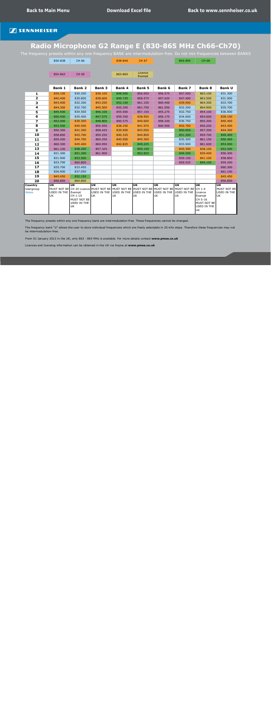# <span id="page-6-0"></span>**Radio Microphone G2 Range E (830-865 MHz Ch66-Ch70)**

The frequency presets within any one frequency BANK are intermodulation-free. Do not mix frequencies between BANKS

|                                             | 830-838                                                               | CH 66                                                                                      |                                | 838-846                                                            | <b>CH 67</b>                            |                                                                                                                                                   | 846-854                                | <b>CH 68</b>                                                                            |                                                                              |
|---------------------------------------------|-----------------------------------------------------------------------|--------------------------------------------------------------------------------------------|--------------------------------|--------------------------------------------------------------------|-----------------------------------------|---------------------------------------------------------------------------------------------------------------------------------------------------|----------------------------------------|-----------------------------------------------------------------------------------------|------------------------------------------------------------------------------|
|                                             |                                                                       |                                                                                            |                                |                                                                    |                                         |                                                                                                                                                   |                                        |                                                                                         |                                                                              |
|                                             | 854-862                                                               | <b>CH 69</b>                                                                               |                                | 863-865                                                            | Licence<br>Exempt                       |                                                                                                                                                   |                                        |                                                                                         |                                                                              |
|                                             |                                                                       |                                                                                            |                                |                                                                    |                                         |                                                                                                                                                   |                                        |                                                                                         |                                                                              |
|                                             | <b>Bank 1</b>                                                         | <b>Bank 2</b>                                                                              | <b>Bank 3</b>                  | <b>Bank 4</b>                                                      | <b>Bank 5</b>                           | <b>Bank 6</b>                                                                                                                                     | <b>Bank 7</b>                          | <b>Bank 8</b>                                                                           | <b>Bank U</b>                                                                |
| 1                                           | 839.100                                                               | 830.200                                                                                    | 838.100                        | 848.900                                                            | 856.650                                 | 856.575                                                                                                                                           | 857.500                                | 863.100                                                                                 | 831.300                                                                      |
| $\overline{\mathbf{2}}$                     | 840.400                                                               | 830.800                                                                                    | 838.600                        | 849.725                                                            | 858.575                                 | 857.625                                                                                                                                           | 847.400                                | 863.500                                                                                 | 831.900                                                                      |
| 3                                           | 843.400                                                               | 832.300                                                                                    | 843.250                        | 852.100                                                            | 861.150                                 | 860.400                                                                                                                                           | 839.900                                | 864.300                                                                                 | 833.700                                                                      |
| 4                                           | 844.300                                                               | 832.700                                                                                    | 845.500                        | 855.200                                                            | 861.750                                 | 861.550                                                                                                                                           | 832.200                                | 864.900                                                                                 | 835.700                                                                      |
| 5                                           | 849.400                                                               | 834.500                                                                                    | 846.100                        | 855.900                                                            | 857.150                                 | 855.275                                                                                                                                           | 832,750                                | 854.100                                                                                 | 836.900                                                                      |
| 6                                           | 850.400                                                               | 835.400                                                                                    | 847.575                        | 859.350                                                            | 838.950                                 | 856.175                                                                                                                                           | 834.600                                | 854.600                                                                                 | 839.100                                                                      |
| $\overline{\mathbf{z}}$                     | 853.000                                                               | 839.300                                                                                    | 848.800                        | 860.575                                                            | 840.600                                 | 858.200                                                                                                                                           | 836.750                                | 855.300                                                                                 | 840.400                                                                      |
| 8                                           | 853.500                                                               | 840.500                                                                                    | 856.050                        | 838.250                                                            | 841.975                                 | 860.900                                                                                                                                           | 842.700                                | 856.200                                                                                 | 843.400                                                                      |
| $\boldsymbol{9}$                            | 856.300                                                               | 841.300                                                                                    | 858.425                        | 839.900                                                            | 843.050                                 |                                                                                                                                                   | 850.650                                | 857.300                                                                                 | 844.300                                                                      |
| 10                                          | 858.800                                                               | 843.700                                                                                    | 859.250                        | 840.325                                                            | 844.850                                 |                                                                                                                                                   | 851.300                                | 859.700                                                                                 | 849.400                                                                      |
| 11                                          | 859.200                                                               | 844.700                                                                                    | 860.250                        | 840.900                                                            | 845.300                                 |                                                                                                                                                   | 830.300                                | 861.150                                                                                 | 850.400                                                                      |
| 12                                          | 860.300                                                               | 845.400                                                                                    | 860.950                        | 842.825                                                            | 849.225                                 |                                                                                                                                                   | 833.900                                | 861.600                                                                                 | 853.000                                                                      |
| 13                                          | 861.100                                                               | 848.200                                                                                    | 857.325                        |                                                                    | 850.150                                 |                                                                                                                                                   | 843.300                                | 838.100                                                                                 | 853.500                                                                      |
| 14                                          | 831.300                                                               | 851.200                                                                                    | 861.900                        |                                                                    | 852.825                                 |                                                                                                                                                   | 849.200                                | 839.400                                                                                 | 856.300                                                                      |
| 15                                          | 831.900                                                               | 853.500                                                                                    |                                |                                                                    |                                         |                                                                                                                                                   | 859.100                                | 841.100                                                                                 | 858,800                                                                      |
| 16                                          | 833.700                                                               | 860.800                                                                                    |                                |                                                                    |                                         |                                                                                                                                                   | 859.525                                | 849.100                                                                                 | 859.200                                                                      |
| 17                                          | 835.700                                                               | 833.450                                                                                    |                                |                                                                    |                                         |                                                                                                                                                   |                                        |                                                                                         | 860.300                                                                      |
| 18                                          | 836.900                                                               | 837.050                                                                                    |                                |                                                                    |                                         |                                                                                                                                                   |                                        |                                                                                         | 861.100                                                                      |
| 19                                          | 845.450                                                               | 852.150                                                                                    |                                |                                                                    |                                         |                                                                                                                                                   |                                        |                                                                                         | 845.450                                                                      |
| 20                                          | 856.850                                                               | 864.800                                                                                    |                                |                                                                    |                                         |                                                                                                                                                   |                                        |                                                                                         | 856.850                                                                      |
| <b>Country</b><br>Usergroup<br><b>Notes</b> | $\overline{\mathsf{u}\mathsf{k}}$<br>MUST NOT BE<br>USED IN THE<br>UK | $\overline{\mathsf{u}\mathsf{k}}$<br>Exempt<br>CH 1-19<br>MUST NOT BE<br>USED IN THE<br>UK | <b>UK</b><br>USED IN THE<br>UK | $\overline{\mathsf{u}\mathsf{K}}$<br>USED IN THE USED IN THE<br>UK | $\overline{\mathsf{u}\mathsf{k}}$<br>UK | $\overline{\mathsf{u}\mathsf{K}}$<br>CH 20 Licence MUST NOT BE MUST NOT BE MUST NOT BE MUST NOT BE MUST NOT BE CH 1-4<br><b>USED IN THE</b><br>UK | <b>UK</b><br>USED IN THE Licence<br>UK | <b>UK</b><br>Exempt<br>CH 5-16<br><b>MUST NOT BE</b><br><b>USED IN THE</b><br><b>UK</b> | $\overline{\mathsf{u}\mathsf{k}}$<br>MUST NOT BE<br>USED IN THE<br><b>UK</b> |

The frequency presets within any one frequency bank are intermodulation-free. These frequencies cannot be changed.

The frequency bank "U" allows the user to store individual frequencies which are freely selectable in 25-kHz steps. Therefore these frequencies may not be intermodulation-free.

From 01 January 2013 in the UK, only 863 - 865 MHz is available. For more details contact **www.pmse.co.uk**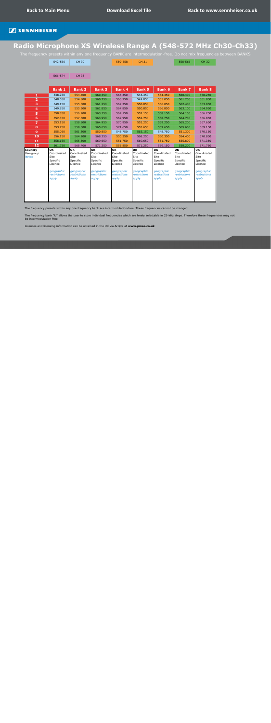# **Radio Microphone XS Wireless Range A (548-572 MHz Ch30-Ch33)**

The frequency presets within any one frequency BANK are intermodulation-free. Do not mix frequencies between BANKS

| 542-550 | <b>CH 30</b> | 550-558 | <b>CH 31</b> | 558-566 | <b>CH 32</b> |
|---------|--------------|---------|--------------|---------|--------------|
|         |              |         |              |         |              |
| 566-574 | <b>CH 33</b> |         |              |         |              |

|                                             | <b>Bank 1</b>                                                                                                | <b>Bank 2</b>                                                                                         | <b>Bank 3</b>                                                                                         | <b>Bank 4</b>                                                                                                | <b>Bank 5</b>                                                                                  | <b>Bank 6</b>                                                                                  | <b>Bank 7</b>                                                                                         | <b>Bank 8</b>                                                                                                          |
|---------------------------------------------|--------------------------------------------------------------------------------------------------------------|-------------------------------------------------------------------------------------------------------|-------------------------------------------------------------------------------------------------------|--------------------------------------------------------------------------------------------------------------|------------------------------------------------------------------------------------------------|------------------------------------------------------------------------------------------------|-------------------------------------------------------------------------------------------------------|------------------------------------------------------------------------------------------------------------------------|
| $\mathbf{1}$                                | 548.250                                                                                                      | 554.400                                                                                               | 560.350                                                                                               | 566.350                                                                                                      | 548.350                                                                                        | 554.350                                                                                        | 560.400                                                                                               | 558.250                                                                                                                |
| $\overline{2}$                              | 548.650                                                                                                      | 554.800                                                                                               | 560.750                                                                                               | 566.750                                                                                                      | 549.050                                                                                        | 555.050                                                                                        | 561.200                                                                                               | 561.850                                                                                                                |
| 3                                           | 549.150                                                                                                      | 555.300                                                                                               | 561.250                                                                                               | 567.250                                                                                                      | 550.050                                                                                        | 556.050                                                                                        | 562.400                                                                                               | 563.850                                                                                                                |
| $\overline{\mathbf{4}}$                     | 549.850                                                                                                      | 555.900                                                                                               | 561.850                                                                                               | 567.850                                                                                                      | 550.850                                                                                        | 556.850                                                                                        | 563.100                                                                                               | 564.950                                                                                                                |
| 5                                           | 550.850                                                                                                      | 556.900                                                                                               | 563.150                                                                                               | 569.150                                                                                                      | 552.150                                                                                        | 558.150                                                                                        | 564.100                                                                                               | 566.250                                                                                                                |
| 6                                           | 552.350                                                                                                      | 557.600                                                                                               | 563.950                                                                                               | 569.950                                                                                                      | 552.750                                                                                        | 558.750                                                                                        | 564.700                                                                                               | 566.850                                                                                                                |
| $\overline{7}$                              | 553.150                                                                                                      | 558.800                                                                                               | 564.950                                                                                               | 570.950                                                                                                      | 553.250                                                                                        | 559.250                                                                                        | 565.200                                                                                               | 567.650                                                                                                                |
| 8                                           | 553.750                                                                                                      | 559.600                                                                                               | 565.650                                                                                               | 571.650                                                                                                      | 553.650                                                                                        | 559.650                                                                                        | 565.600                                                                                               | 569.150                                                                                                                |
| 9                                           | 555.050                                                                                                      | 561.800                                                                                               | 550.850                                                                                               | 548.750                                                                                                      | 563.150                                                                                        | 548.750                                                                                        | 551.300                                                                                               | 570.150                                                                                                                |
| 10                                          | 556.150                                                                                                      | 564.200                                                                                               | 568.250                                                                                               | 550.350                                                                                                      | 568.250                                                                                        | 550.350                                                                                        | 554.400                                                                                               | 570.850                                                                                                                |
| 11                                          | 558.150                                                                                                      | 565.600                                                                                               | 569.650                                                                                               | 551.750                                                                                                      | 569.650                                                                                        | 551.750                                                                                        | 555.800                                                                                               | 571.350                                                                                                                |
| 12                                          | 561.750                                                                                                      | 568,700                                                                                               | 571.250                                                                                               | 556.850                                                                                                      | 571.250                                                                                        | 569.150                                                                                        | 558.200                                                                                               | 571.750                                                                                                                |
| <b>Country</b><br>Usergroup<br><b>Notes</b> | <b>UK</b><br>Coordinated<br><b>Site</b><br>Specific<br>Licence<br>geographic<br><i>restrictions</i><br>apply | <b>UK</b><br>Coordinated<br>Site<br>Specific<br>Licence<br>geographic<br><i>restrictions</i><br>apply | <b>UK</b><br>Coordinated<br><b>Site</b><br>Specific<br>Licence<br>geographic<br>restrictions<br>apply | <b>UK</b><br>Coordinated<br><b>Site</b><br>Specific<br>Licence<br>geographic<br><i>restrictions</i><br>apply | UK<br>Coordinated<br><b>Site</b><br>Specific<br>Licence<br>geographic<br>restrictions<br>apply | <b>UK</b><br>Coordinated<br>Site<br>Specific<br>Licence<br>geographic<br>restrictions<br>apply | <b>UK</b><br>Coordinated<br><b>Site</b><br>Specific<br>Licence<br>geographic<br>restrictions<br>apply | $\overline{\mathsf{u}\mathsf{k}}$<br>Coordinated<br>Site<br>Specific<br>Licence<br>geographic<br>restrictions<br>apply |

The frequency presets within any one frequency bank are intermodulation-free. These frequencies cannot be changed.

The frequency bank "U" allows the user to store individual frequencies which are freely selectable in 25-kHz steps. Therefore these frequencies may not be intermodulation-free.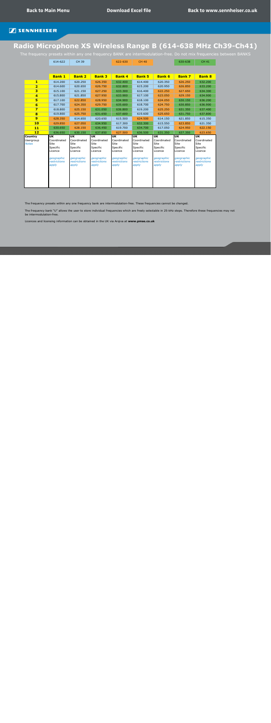# **Radio Microphone XS Wireless Range B (614-638 MHz Ch39-Ch41)**

The frequency presets within any one frequency BANK are intermodulation-free. Do not mix frequencies between BANKS

614-622 CH 39 622-630 CH 40 630-638 CH 41

|                                             | <b>Bank 1</b>                                                                                                | <b>Bank 2</b>                                                                                  | <b>Bank 3</b>                                                                                         | <b>Bank 4</b>                                                                                                | <b>Bank 5</b>                                                                                  | <b>Bank 6</b>                                                                                  | <b>Bank 7</b>                                                                                         | <b>Bank 8</b>                                                                                  |
|---------------------------------------------|--------------------------------------------------------------------------------------------------------------|------------------------------------------------------------------------------------------------|-------------------------------------------------------------------------------------------------------|--------------------------------------------------------------------------------------------------------------|------------------------------------------------------------------------------------------------|------------------------------------------------------------------------------------------------|-------------------------------------------------------------------------------------------------------|------------------------------------------------------------------------------------------------|
| $\mathbf{1}$                                | 614.200                                                                                                      | 620.250                                                                                        | 626.350                                                                                               | 632.400                                                                                                      | 614.400                                                                                        | 620.350                                                                                        | 626.250                                                                                               | 632.200                                                                                        |
| $\overline{\mathbf{2}}$                     | 614.600                                                                                                      | 620.650                                                                                        | 626.750                                                                                               | 632.800                                                                                                      | 615.200                                                                                        | 620.950                                                                                        | 626,850                                                                                               | 633.200                                                                                        |
| 3                                           | 615.100                                                                                                      | 621.150                                                                                        | 627.250                                                                                               | 633.300                                                                                                      | 616.400                                                                                        | 622.250                                                                                        | 627.650                                                                                               | 634.300                                                                                        |
| $\overline{4}$                              | 615.800                                                                                                      | 621.850                                                                                        | 627.950                                                                                               | 633.900                                                                                                      | 617.100                                                                                        | 623.050                                                                                        | 629.150                                                                                               | 634.900                                                                                        |
| 5                                           | 617.100                                                                                                      | 622.850                                                                                        | 628,950                                                                                               | 634.900                                                                                                      | 618.100                                                                                        | 624.050                                                                                        | 630.150                                                                                               | 636.200                                                                                        |
| $6\phantom{1}$                              | 617.700                                                                                                      | 624.350                                                                                        | 629.750                                                                                               | 635.600                                                                                                      | 618.700                                                                                        | 624.750                                                                                        | 630.850                                                                                               | 636.900                                                                                        |
| $\overline{\mathbf{z}}$                     | 618.800                                                                                                      | 625.150                                                                                        | 631.050                                                                                               | 636.800                                                                                                      | 619.200                                                                                        | 625.250                                                                                        | 631.350                                                                                               | 637.400                                                                                        |
| 8                                           | 619.800                                                                                                      | 625.750                                                                                        | 631.650                                                                                               | 637.600                                                                                                      | 619.600                                                                                        | 625.650                                                                                        | 631.750                                                                                               | 637.800                                                                                        |
| $\boldsymbol{9}$                            | 628.350                                                                                                      | 614.650                                                                                        | 620.650                                                                                               | 615.500                                                                                                      | 624.500                                                                                        | 614.150                                                                                        | 621.850                                                                                               | 615.350                                                                                        |
| <b>10</b>                                   | 629.850                                                                                                      | 627.050                                                                                        | 634.950                                                                                               | 617.300                                                                                                      | 632.300                                                                                        | 615.550                                                                                        | 623.850                                                                                               | 621.350                                                                                        |
| 11                                          | 630.650                                                                                                      | 628.150                                                                                        | 636.450                                                                                               | 619.700                                                                                                      | 634.700                                                                                        | 617.050                                                                                        | 624.950                                                                                               | 622.150                                                                                        |
| 12                                          | 636.650                                                                                                      | 630.150                                                                                        | 637.850                                                                                               | 627.500                                                                                                      | 636.500                                                                                        | 631.350                                                                                        | 637.350                                                                                               | 623.650                                                                                        |
| <b>Country</b><br>Usergroup<br><b>Notes</b> | <b>UK</b><br>Coordinated<br><b>Site</b><br>Specific<br>Licence<br>geographic<br><b>restrictions</b><br>apply | UK<br>Coordinated<br><b>Site</b><br>Specific<br>Licence<br>geographic<br>restrictions<br>apply | <b>UK</b><br>Coordinated<br><b>Site</b><br>Specific<br>Licence<br>geographic<br>restrictions<br>apply | <b>UK</b><br>Coordinated<br><b>Site</b><br>Specific<br>Licence<br>geographic<br><i>restrictions</i><br>apply | <b>UK</b><br>Coordinated<br>Site<br>Specific<br>Licence<br>geographic<br>restrictions<br>apply | <b>UK</b><br>Coordinated<br>Site<br>Specific<br>Licence<br>geographic<br>restrictions<br>apply | <b>UK</b><br>Coordinated<br>Site<br>Specific<br>Licence<br>geographic<br><i>restrictions</i><br>apply | <b>UK</b><br>Coordinated<br>Site<br>Specific<br>Licence<br>geographic<br>restrictions<br>apply |
|                                             |                                                                                                              |                                                                                                |                                                                                                       |                                                                                                              |                                                                                                |                                                                                                |                                                                                                       |                                                                                                |

The frequency presets within any one frequency bank are intermodulation-free. These frequencies cannot be changed.

The frequency bank "U" allows the user to store individual frequencies which are freely selectable in 25-kHz steps. Therefore these frequencies may not be intermodulation-free.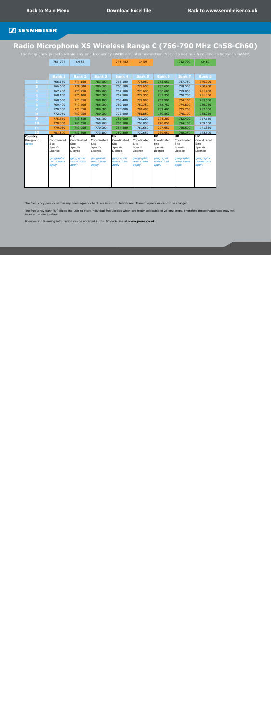# **Radio Microphone XS Wireless Range C (766-790 MHz Ch58-Ch60)**

The frequency presets within any one frequency BANK are intermodulation-free. Do not mix frequencies between BANKS

|                                             | 766-774                                                                      | <b>CH 58</b>                                                                 |                                                                       | 774-782                                                                      | <b>CH 59</b>                                                                 |                                                                              | 782-790                                                                                              | <b>CH 60</b>                                                                 |
|---------------------------------------------|------------------------------------------------------------------------------|------------------------------------------------------------------------------|-----------------------------------------------------------------------|------------------------------------------------------------------------------|------------------------------------------------------------------------------|------------------------------------------------------------------------------|------------------------------------------------------------------------------------------------------|------------------------------------------------------------------------------|
|                                             |                                                                              |                                                                              |                                                                       |                                                                              |                                                                              |                                                                              |                                                                                                      |                                                                              |
|                                             | <b>Bank 1</b>                                                                | <b>Bank 2</b>                                                                | <b>Bank 3</b>                                                         | <b>Bank 4</b>                                                                | <b>Bank 5</b>                                                                | <b>Bank 6</b>                                                                | <b>Bank 7</b>                                                                                        | <b>Bank 8</b>                                                                |
| 1                                           | 766.150                                                                      | 774.150                                                                      | 783.600                                                               | 766.100                                                                      | 775.050                                                                      | 783.050                                                                      | 767.750                                                                                              | 779.900                                                                      |
|                                             | 766.600                                                                      | 774.600                                                                      | 786.000                                                               | 766.500                                                                      | 777.650                                                                      | 785.650                                                                      | 768.500                                                                                              | 780.750                                                                      |
|                                             | 767.250                                                                      | 775.250                                                                      | 786.900                                                               | 767.100                                                                      | 778.600                                                                      | 786.600                                                                      | 769.050                                                                                              | 781.400                                                                      |
| 4                                           | 768.100                                                                      | 776.100                                                                      | 787.600                                                               | 767.900                                                                      | 779.350                                                                      | 787.350                                                                      | 770.700                                                                                              | 781.850                                                                      |
|                                             | 768.650                                                                      | 776.650                                                                      | 788.100                                                               | 768.400                                                                      | 779.900                                                                      | 787.900                                                                      | 774.150                                                                                              | 785.300                                                                      |
| 6                                           | 769.400                                                                      | 777.400                                                                      | 788.900                                                               | 769.100                                                                      | 780.750                                                                      | 788.750                                                                      | 774.600                                                                                              | 786.950                                                                      |
|                                             | 770.350                                                                      | 778.350                                                                      | 789.500                                                               | 770.000                                                                      | 781.400                                                                      | 789.400                                                                      | 775.250                                                                                              | 787.500                                                                      |
| 8                                           | 772.950                                                                      | 780.950                                                                      | 789.900                                                               | 772.400                                                                      | 781.850                                                                      | 789.850                                                                      | 776.100                                                                                              | 788.250                                                                      |
| $\overline{9}$                              | 775.350                                                                      | 783.350                                                                      | 766.700                                                               | 782.900                                                                      | 766.200                                                                      | 774.200                                                                      | 782.400                                                                                              | 767.650                                                                      |
| 10                                          | 778.350                                                                      | 786.350                                                                      | 768.200                                                               | 785.100                                                                      | 768.050                                                                      | 776.050                                                                      | 784.150                                                                                              | 769.500                                                                      |
|                                             |                                                                              |                                                                              |                                                                       |                                                                              |                                                                              |                                                                              |                                                                                                      |                                                                              |
| 11                                          | 779.950                                                                      | 787.950                                                                      | 770.900                                                               | 787.800                                                                      | 769.650                                                                      | 777.650                                                                      | 786.500                                                                                              | 771.850                                                                      |
| 12                                          | 781.800                                                                      | 789.800                                                                      | 773.100                                                               | 789.300                                                                      | 772.650                                                                      | 780.650                                                                      | 788.350                                                                                              | 773.600                                                                      |
| <b>Country</b><br>Usergroup<br><b>Notes</b> | <b>UK</b><br>Coordinated<br><b>Site</b><br>Specific<br>Licence<br>geographic | <b>UK</b><br>Coordinated<br><b>Site</b><br>Specific<br>Licence<br>geographic | <b>UK</b><br>Coordinated<br>Site<br>Specific<br>Licence<br>geographic | <b>UK</b><br>Coordinated<br><b>Site</b><br>Specific<br>Licence<br>geographic | <b>UK</b><br>Coordinated<br><b>Site</b><br>Specific<br>Licence<br>geographic | <b>UK</b><br>Coordinated<br><b>Site</b><br>Specific<br>Licence<br>geographic | $\overline{\mathsf{u}\mathsf{k}}$<br>Coordinated<br><b>Site</b><br>Specific<br>Licence<br>geographic | <b>UK</b><br>Coordinated<br><b>Site</b><br>Specific<br>Licence<br>geographic |

The frequency presets within any one frequency bank are intermodulation-free. These frequencies cannot be changed.

The frequency bank "U" allows the user to store individual frequencies which are freely selectable in 25-kHz steps. Therefore these frequencies may not be intermodulation-free.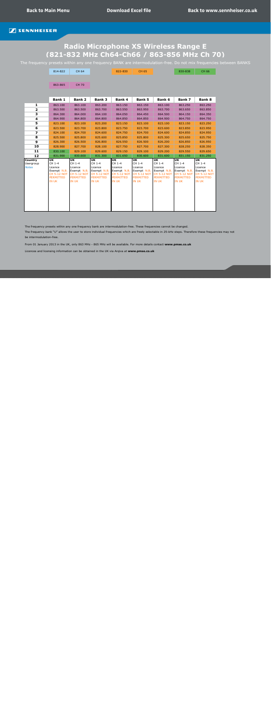# <span id="page-10-0"></span>**Radio Microphone XS Wireless Range E (821-832 MHz Ch64-Ch66 / 863-856 MHz Ch 70)**

The frequency presets within any one frequency BANK are intermodulation-free. Do not mix frequencies between BANKS

|                                      | 814-822                                                                                                 | <b>CH 64</b>                                                                                            |                                                                                                         | 822-830                                                                                                 | <b>CH 65</b>                                                                                                                    |                                                                                                  | 830-838                                                                                                                         | <b>CH 66</b>                                                                                                                    |
|--------------------------------------|---------------------------------------------------------------------------------------------------------|---------------------------------------------------------------------------------------------------------|---------------------------------------------------------------------------------------------------------|---------------------------------------------------------------------------------------------------------|---------------------------------------------------------------------------------------------------------------------------------|--------------------------------------------------------------------------------------------------|---------------------------------------------------------------------------------------------------------------------------------|---------------------------------------------------------------------------------------------------------------------------------|
|                                      |                                                                                                         |                                                                                                         |                                                                                                         |                                                                                                         |                                                                                                                                 |                                                                                                  |                                                                                                                                 |                                                                                                                                 |
|                                      | 863-865                                                                                                 | <b>CH 70</b>                                                                                            |                                                                                                         |                                                                                                         |                                                                                                                                 |                                                                                                  |                                                                                                                                 |                                                                                                                                 |
|                                      | <b>Bank 1</b>                                                                                           | <b>Bank 2</b>                                                                                           | <b>Bank 3</b>                                                                                           | <b>Bank 4</b>                                                                                           | <b>Bank 5</b>                                                                                                                   | <b>Bank 6</b>                                                                                    | <b>Bank 7</b>                                                                                                                   | <b>Bank 8</b>                                                                                                                   |
| 1                                    | 863.100                                                                                                 | 863.100                                                                                                 | 863.200                                                                                                 | 863.150                                                                                                 | 863.150                                                                                                                         | 863.100                                                                                          | 863.250                                                                                                                         | 863.250                                                                                                                         |
| $\overline{\mathbf{2}}$              | 863.500                                                                                                 | 863.500                                                                                                 | 863.700                                                                                                 | 863.550                                                                                                 | 863.950                                                                                                                         | 863.700                                                                                          | 863.650                                                                                                                         | 863.850                                                                                                                         |
| 3                                    | 864.300                                                                                                 | 864.000                                                                                                 | 864.100                                                                                                 | 864.050                                                                                                 | 864.450                                                                                                                         | 864.500                                                                                          | 864.150                                                                                                                         | 864.350                                                                                                                         |
| 4                                    | 864.900                                                                                                 | 864.800                                                                                                 | 864.800                                                                                                 | 864.850                                                                                                 | 864.850                                                                                                                         | 864.900                                                                                          | 864.750                                                                                                                         | 864.750                                                                                                                         |
| 5                                    | 823.100                                                                                                 | 823.100                                                                                                 | 823.200                                                                                                 | 823.150                                                                                                 | 823.100                                                                                                                         | 823.100                                                                                          | 823.150                                                                                                                         | 823.250                                                                                                                         |
| 6                                    | 823.500                                                                                                 | 823.700                                                                                                 | 823.800                                                                                                 | 823.750                                                                                                 | 823.700                                                                                                                         | 823.600                                                                                          | 823.850                                                                                                                         | 823.950                                                                                                                         |
| $\overline{\mathbf{z}}$              | 824.100                                                                                                 | 824.700                                                                                                 | 824.600                                                                                                 | 824.750                                                                                                 | 824.700                                                                                                                         | 824.600                                                                                          | 824.850                                                                                                                         | 824.950                                                                                                                         |
| 8                                    | 825.500                                                                                                 | 825.800                                                                                                 | 825.600                                                                                                 | 825.850                                                                                                 | 825.800                                                                                                                         | 825.300                                                                                          | 825.650                                                                                                                         | 825.750                                                                                                                         |
| $\mathbf{9}$                         | 826.300                                                                                                 | 826.500                                                                                                 | 826.800                                                                                                 | 826.550                                                                                                 | 826.500                                                                                                                         | 826.200                                                                                          | 826.850                                                                                                                         | 826.950                                                                                                                         |
| 10                                   | 828.900                                                                                                 | 827.700                                                                                                 | 828.100                                                                                                 | 827.750                                                                                                 | 827.700                                                                                                                         | 827.300                                                                                          | 828.250                                                                                                                         | 828.350                                                                                                                         |
| 11                                   | 830.100                                                                                                 | 829.100                                                                                                 | 829.600                                                                                                 | 829.150                                                                                                 | 829.100                                                                                                                         | 829.200                                                                                          | 829.550                                                                                                                         | 829.650                                                                                                                         |
| 12                                   | 831.900                                                                                                 | 830.600                                                                                                 | 831.300                                                                                                 | 831.650                                                                                                 | 830.600                                                                                                                         | 831.600                                                                                          | 831.150                                                                                                                         | 831.250                                                                                                                         |
| Country<br>Usergroup<br><b>Notes</b> | <b>UK</b><br>CH 1-4<br>Licence<br>Exempt N.B.<br><b>CH 5-12 NOT</b><br><b>PERMITTED</b><br><b>IN UK</b> | <b>UK</b><br>CH 1-4<br>Licence<br>Exempt N.B.<br><b>CH 5-12 NOT</b><br><b>PERMITTED</b><br><b>IN UK</b> | <b>UK</b><br>CH 1-4<br>Licence<br>Exempt N.B.<br><b>CH 5-12 NOT</b><br><b>PERMITTED</b><br><b>IN UK</b> | <b>UK</b><br>CH 1-4<br>Licence<br>Exempt N.B.<br><b>CH 5-12 NOT</b><br><b>PERMITTED</b><br><b>IN UK</b> | $\overline{\mathsf{u}\mathsf{k}}$<br>CH 1-4<br>Licence<br>Exempt N.B.<br><b>CH 5-12 NOT</b><br><b>PERMITTED</b><br><b>IN UK</b> | UK<br>CH 1-4<br>Licence<br>Exempt N.B.<br><b>CH 5-12 NOT</b><br><b>PERMITTED</b><br><b>IN UK</b> | $\overline{\mathsf{u}\mathsf{k}}$<br>CH 1-4<br>Licence<br>Exempt N.B.<br><b>CH 5-12 NOT</b><br><b>PERMITTED</b><br><b>IN UK</b> | $\overline{\mathsf{u}\mathsf{k}}$<br>CH 1-4<br>Licence<br>Exempt N.B.<br><b>CH 5-12 NOT</b><br><b>PERMITTED</b><br><b>IN UK</b> |

The frequency presets within any one frequency bank are intermodulation-free. These frequencies cannot be changed.

The frequency bank "U" allows the user to store individual frequencies which are freely selectable in 25-kHz steps. Therefore these frequencies may not be intermodulation-free.

From 01 January 2013 in the UK, only 863 MHz - 865 MHz will be available. For more details contact **www.pmse.co.uk**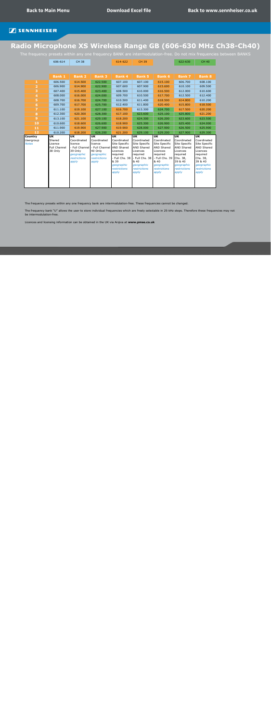# <span id="page-11-0"></span>**Radio Microphone XS Wireless Range GB (606-630 MHz Ch38-Ch40)**

The frequency presets within any one frequency BANK are intermodulation-free. Do not mix frequencies between BANKS

| 606-614                                             | <b>CH 38</b>                                                                    |                                                                          | 614-622                                                                                                                    | <b>CH 39</b>                                                                                                                               |                                                                                                                                            | 622-630                                                                                                                          | <b>CH 40</b>                                                                                                                                         |
|-----------------------------------------------------|---------------------------------------------------------------------------------|--------------------------------------------------------------------------|----------------------------------------------------------------------------------------------------------------------------|--------------------------------------------------------------------------------------------------------------------------------------------|--------------------------------------------------------------------------------------------------------------------------------------------|----------------------------------------------------------------------------------------------------------------------------------|------------------------------------------------------------------------------------------------------------------------------------------------------|
|                                                     |                                                                                 |                                                                          |                                                                                                                            |                                                                                                                                            |                                                                                                                                            |                                                                                                                                  |                                                                                                                                                      |
|                                                     |                                                                                 |                                                                          |                                                                                                                            |                                                                                                                                            |                                                                                                                                            |                                                                                                                                  |                                                                                                                                                      |
| <b>Bank 1</b>                                       | <b>Bank 2</b>                                                                   | <b>Bank 3</b>                                                            | <b>Bank 4</b>                                                                                                              | <b>Bank 5</b>                                                                                                                              | <b>Bank 6</b>                                                                                                                              | <b>Bank 7</b>                                                                                                                    | <b>Bank 8</b>                                                                                                                                        |
| 606.500                                             | 614.500                                                                         | 622.500                                                                  | 607.100                                                                                                                    | 607.100                                                                                                                                    | 615.100                                                                                                                                    | 606.700                                                                                                                          | 608.100                                                                                                                                              |
| 606.900                                             | 614.900                                                                         | 622.900                                                                  | 607.600                                                                                                                    | 607.900                                                                                                                                    | 615.600                                                                                                                                    | 610.100                                                                                                                          | 609.500                                                                                                                                              |
| 607.400                                             | 615.400                                                                         | 623.400                                                                  | 608.500                                                                                                                    | 610.000                                                                                                                                    | 616.500                                                                                                                                    | 612.000                                                                                                                          | 610.600                                                                                                                                              |
| 608.000                                             | 616.000                                                                         | 624.000                                                                  | 609.700                                                                                                                    | 610.500                                                                                                                                    | 617.700                                                                                                                                    | 612.500                                                                                                                          | 612.400                                                                                                                                              |
| 608.700                                             | 616.700                                                                         | 624.700                                                                  | 610.500                                                                                                                    | 611.400                                                                                                                                    | 618.500                                                                                                                                    | 614.800                                                                                                                          | 610.200                                                                                                                                              |
| 609.700                                             | 617.700                                                                         | 625.700                                                                  | 612.400                                                                                                                    | 611.800                                                                                                                                    | 620.400                                                                                                                                    | 615.800                                                                                                                          | 618.500                                                                                                                                              |
| 611.100                                             | 619.100                                                                         | 627.100                                                                  | 616.700                                                                                                                    | 613.300                                                                                                                                    | 624.700                                                                                                                                    | 617.500                                                                                                                          | 620.200                                                                                                                                              |
| 612.300                                             | 620.300                                                                         | 628.300                                                                  | 617.100                                                                                                                    | 623.600                                                                                                                                    | 625.100                                                                                                                                    | 625.800                                                                                                                          | 621.200                                                                                                                                              |
| 613.100                                             | 621.100                                                                         | 629.100                                                                  | 618.200                                                                                                                    | 624.300                                                                                                                                    | 626.200                                                                                                                                    | 623.600                                                                                                                          | 623.500                                                                                                                                              |
| 610.600                                             | 618.600                                                                         | 626.600                                                                  | 618.900                                                                                                                    | 625.300                                                                                                                                    | 626.900                                                                                                                                    | 625.400                                                                                                                          | 624.000                                                                                                                                              |
| 611.900                                             | 619.900                                                                         | 627.900                                                                  | 619.900                                                                                                                    | 628.000                                                                                                                                    | 627.900                                                                                                                                    | 626.500                                                                                                                          | 625.900                                                                                                                                              |
| 610.200                                             | 618.200                                                                         | 626.200                                                                  | 621.200                                                                                                                    | 629.100                                                                                                                                    | 629.200                                                                                                                                    | 627.900                                                                                                                          | 629.300                                                                                                                                              |
| Shared<br>Licence<br><b>Full Channel</b><br>38 Only | Coordinated<br>licence<br>39 Only<br>geographic<br><b>restrictions</b><br>apply | Coordinated<br>licence<br>40 Only<br>geographic<br>restrictions<br>apply | Coordinated<br>Site Specific<br>Licences<br>required<br>Full Chs. 38<br>& 39<br>geographic<br><b>restrictions</b><br>apply | Coordinated<br>Site Specific<br><b>AND Shared</b><br>Licences<br>required<br>- Full Chs. 38<br>& 40<br>geographic<br>restrictions<br>apply | Coordinated<br>Site Specific<br><b>AND Shared</b><br>Licences<br>required<br>- Full Chs. 39<br>& 40<br>geographic<br>restrictions<br>apply | Coordinated<br>Site Specific<br>AND Shared<br>Licences<br>required<br>Chs. 38,<br>39 & 40<br>geographic<br>restrictions<br>apply | <b>UK</b><br>Coordinated<br>Site Specific<br><b>AND Shared</b><br>Licences<br>required<br>Chs. 38,<br>39 & 40<br>geographic<br>restrictions<br>apply |
|                                                     | <b>UK</b>                                                                       | <b>UK</b>                                                                | <b>UK</b>                                                                                                                  | <b>UK</b><br>- Full Channel - Full Channel AND Shared                                                                                      | <b>UK</b>                                                                                                                                  | <b>UK</b>                                                                                                                        | <b>UK</b>                                                                                                                                            |

The frequency presets within any one frequency bank are intermodulation-free. These frequencies cannot be changed.

The frequency bank "U" allows the user to store individual frequencies which are freely selectable in 25-kHz steps. Therefore these frequencies may not be intermodulation-free.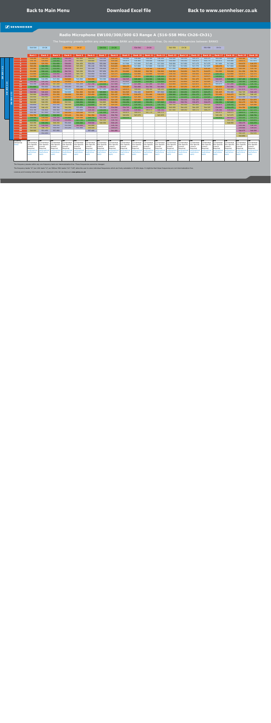#### **Radio Microphone EW100/300/500 G3 Range A (516-558 MHz Ch26-Ch31)**

The frequency presets within any one frequency BANK are intermodulation-free. Do not mix frequencies between BANKS

<span id="page-12-0"></span>

|                           |                      | 510-518                    | CH 26                       |                            | 518-526                            | <b>CH 27</b>                       |                                     | 526-534                    | <b>CH 28</b>                 |                             | 534-542                     | <b>CH 29</b>                       |                             | 542-550                     | CH 30                       |                            | 550-558                      | CH 31                       |                             |                             |                             |
|---------------------------|----------------------|----------------------------|-----------------------------|----------------------------|------------------------------------|------------------------------------|-------------------------------------|----------------------------|------------------------------|-----------------------------|-----------------------------|------------------------------------|-----------------------------|-----------------------------|-----------------------------|----------------------------|------------------------------|-----------------------------|-----------------------------|-----------------------------|-----------------------------|
|                           |                      |                            |                             |                            |                                    |                                    |                                     |                            |                              |                             |                             |                                    |                             |                             |                             |                            |                              |                             |                             |                             |                             |
|                           |                      |                            |                             |                            |                                    |                                    |                                     |                            |                              |                             |                             |                                    |                             |                             |                             |                            |                              |                             |                             |                             |                             |
|                           |                      | <b>Bank 1</b>              | <b>Bank 2</b>               | <b>Bank 3</b>              | <b>Bank 4</b>                      | <b>Bank 5</b>                      | <b>Bank 6</b>                       | <b>Bank 7</b>              | <b>Bank 8</b>                | <b>Bank 9</b>               | Bank 10                     | <b>Bank 11</b>                     | <b>Bank 12</b>              | Bank 13                     | <b>Bank 14</b>              | <b>Bank 15</b>             | <b>Bank 16</b>               | <b>Bank 17</b>              | Bank 18                     | Bank 19                     | <b>Bank 20</b>              |
|                           |                      | 518.200                    | 524.250                     | 530.100                    | 536.350                            | 542.900                            | 548.850                             | 554.100                    | 518.125                      | 516.000                     | 516.000                     | 516.100                            | 516.200                     | 516.000                     | 516.150                     | 516.275                    | 516.375                      | 516.100                     | 516.000                     | 518.100                     | 517.500                     |
|                           | $\overline{2}$       | 518.700                    | 524.800                     | 530.800                    | 537.700                            | 543.600                            | 549.800                             | 554.550                    | 518.500                      | 516.875                     | 516.400                     | 516.500                            | 516.600                     | 516.400                     | 516.550                     | 516.675                    | 516.775                      | 516.975                     | 516.400                     | 518.475                     | 517.875                     |
|                           | 3                    | 519,650                    | 525.550                     | 531.650                    | 538.650                            | 544.450                            | 550.250                             | 555.200                    | 519,000                      | 517.500                     | 517.000                     | 517.100                            | 517.200                     | 516.900                     | 517.050                     | 517.175                    | 517.275                      | 517.600                     | 517.000                     | 518.975                     | 518.375                     |
|                           | $\mathbf{A}$         | 520.450                    | 526.550                     | 532.050                    | 539.300                            | 545.050                            | 551.100                             | 555.700                    | 519.625                      | 520.175                     | 517.800                     | 517.900                            | 518.000                     | 517.500                     | 517.650                     | 517.775                    | 517.875                      | 520.275                     | 517.800                     | 519.600                     | 519.000                     |
|                           | 5                    | 520.900                    | 527.700                     | 533.050                    | 540.100                            | 545.450                            | 551.500                             | 556.450                    | 520.375                      | 522.625                     | 519.000                     | 519.100                            | 519.200                     | 517.950                     | 518.100                     | 518.225                    | 518.325                      | 522.725                     | 519.000                     | 520.350                     | 519.750                     |
|                           | 6.                   | 521.600                    | 528.100                     | 533.550                    | 540.700                            | 546,200                            | 552.150                             | 557.050                    | 521.375                      | 524.800                     | 520.600                     | 520.700                            | 520.800                     | 518,500                     | 518,650                     | 518.775                    | 518.875                      | 524.900                     | 520,600                     | 521.350                     | 520.750                     |
|                           | $\overline{z}$       | 522.000                    | 529.050                     | 534.850                    | 541.100                            | 546.750                            | 552.950                             | 557.450                    | 523.375                      | 529.625                     | 522.800                     | 522.900                            | 523,000                     | 519.150                     | 519.300                     | 519.425                    | 519.525                      | 529.725                     | 522.800                     | 522.975                     | 522.375                     |
|                           | 8                    | 522.900                    | 529.500                     | 535.750                    | 541.800                            | 547.700                            | 553.500                             | 558.000                    | 525.875                      | 530.825                     | 526,000                     | 526.100                            | 526.200                     | 520.500                     | 520.650                     | 520.775                    | 520.875                      | 530.925                     | 526,000                     | 524.975                     | 524.375                     |
|                           | 9                    | 528.800                    | 516.950                     | 517.300                    | 518.900                            | 516.900                            | 524.050                             | 516.300                    | 534.125                      | 540.525                     | 528.400                     | 528.500                            | 528.600                     | 521.200                     | 521.350                     | 521.475                    | 521.575                      | 540.625                     | 528.400                     | 527.100                     | 526.500                     |
| $\blacktriangleleft$      | 10 <sup>°</sup>      | 535.100                    | 535.250                     | 523.300                    | 519,800                            | 524.750                            | 533.500                             | 524.750                    | 535.375                      | 553.625                     | 533.200                     | 533.300                            | 533.400                     | 522.650                     | 522,800                     | 522.925                    | 523.025                      | 553.725                     | 533.200                     | 530.100                     | 529.500                     |
| $\mathbf{\tilde{N}}$<br>÷ | 11                   | 552.350                    | 536.750                     | 547.200                    | 550.100                            | 551.250                            | 537.700                             | 533.550                    | 537.500                      | 516.375                     | 537.200                     | 537.300                            | 537.400                     | 523.400                     | 523.550                     | 523.675                    | 523.775                      | 516.475                     | 537.200                     | 531.350                     | 530.750                     |
| 8                         | 12 <sub>1</sub>      | 531.600                    | 554.900                     | 551.050                    | 555.050                            | 553.200                            | 556.900                             | 538.250                    | 540.125                      | 518.425                     | 541.600                     | 541.700                            | 541.800                     | 525.100                     | 525.250                     | 525.375                    | 525.475                      | 518.525                     | 541.600                     | 534.475                     | 533.875                     |
| $\mathsf{m}$              | 13                   | 539.900                    | 519,200                     | 520.150                    | 516.150                            | 518.100                            | 518.950                             | 517.200                    | 541.750                      | 520.975                     | 549,000                     | 549.100                            | 549,200                     | 526.500                     | 526.650                     | 526.775                    | 526.875                      | 521.075                     | 549.000                     | 537.975                     | 537.375                     |
| 흽                         | 14                   | 540.500                    | 540.400                     | 520.800                    | 516.900                            | 521.900                            | 522.300                             | 526.800                    | 521.000                      | 521.525                     | 552.400                     | 519.575                            | 557.800                     | 529.100                     | 529.250                     | 529.375                    | 529.475                      | 521.625                     | 552.400                     | 542.725                     | 540.125                     |
|                           | 15                   | 542.900                    | 541.850                     | 521.250                    | 524.600                            | 522.800                            | 523.450                             | 529.550                    | 522.125                      | 523.350                     | 519.475                     | 521.400                            | 519.675                     | 530.900                     | 531.050                     | 531.175                    | 531.275                      | 523.450                     | 519.475                     | 548.350                     | 548.125                     |
| $\epsilon$                | 16 <sub>1</sub>      | 543.950                    | 542.650                     | 521.850                    | 525.500                            | 523.850                            | 527.250                             | 532.700                    | 522.500                      | 526.375                     | 521.300                     | 523.950                            | 521.500                     | 532.050                     | 532.200                     | 532.325                    | 532.425                      | 526.475                     | 521.300                     | 553.350                     | 552.000                     |
| $\epsilon$                | 17                   | 546.050                    | 545.150                     | 523.900                    | 526.550                            | 528.450                            | 528.400                             | 538.950                    | 524.125                      | 531.400                     | 523.850                     | 527.725                            | 524.050                     | 533.950                     | 534.100                     | 534.225                    | 534.325                      | 531.500                     | 523.850                     | 521.850                     | 521.875                     |
| в                         | 18                   | 546.600                    | 546.050                     | 525.000                    | 545.300                            | 528.950                            | 529.000                             | 544.800                    | 524.500                      | 532.250                     | 527.625                     | 530.250                            | 527.825                     | 538.600                     | 538.750                     | 538.875                    | 538.975                      | 532.350                     | 527.625                     | 522.475                     | 523.750                     |
|                           | 19                   | 550.850                    | 547.250                     | 553.150                    | 546.500                            | 531.900                            | 532.600                             | 547.200                    | 525.125                      | 533.975                     | 530.150                     | 531.275                            | 530.350                     | 543.150                     | 543.300                     | 543.425                    | 543.525                      | 534.075                     | 530.150                     | 523.850                     | 525.500                     |
|                           | 20                   | 552.950                    | 548.150                     | 555.700                    | 549.350                            | 553.650                            | 534.100                             | 550.350                    | 534.500                      | 534.725                     | 531.175                     | 540.050                            | 531.375                     | 543.950                     | 544.100                     | 544.225                    | 544.325                      | 534.825                     | 531.175                     | 524.350                     | 527.000                     |
|                           | 21                   | 553.700                    | 550.400                     | 556.900                    | 556.250                            | 555.000                            | 538.300                             | 530.250                    | 535.000                      | 536.200                     | 539.950                     | 545.075                            | 540.150                     | 547.900                     | 548.050                     | 548.175                    | 548.275                      | 536.300                     | 539.950                     | 527.725                     | 527.375                     |
|                           | 22                   | 556.100                    | 557.900                     | 557.550                    | 520.550                            | 519.500                            | 545.100                             | 531.350                    | 536.125                      | 543.875                     | 544.975                     | 547.775                            | 545.175                     |                             |                             |                            |                              | 543.975                     | 544.975                     | 528.975                     | 528.375                     |
|                           | 23                   | 524.750                    | 527.000                     | 528.900                    | 523.100                            | 521.300                            | 521.350                             | 534.900                    | 536.750                      | 545.050                     | 547.675                     |                                    | 547.875                     |                             |                             |                            |                              | 545.150                     | 547.675                     | 529.475                     | 528.750                     |
|                           | 24                   | 529.500                    | 519,650                     | 539.250                    | 531.800                            | 525.500                            | 529.750                             | 537.750                    | 537.875                      | 533.375                     |                             |                                    |                             |                             |                             |                            |                              | 533.475                     | 541.975                     | 532.225                     | 531.375                     |
|                           | 25                   | 533.900                    | 521.100                     | 541.900                    | 535.850                            | 527.750                            | 531.850                             | 542.550                    | 538.750                      |                             |                             |                                    |                             |                             |                             |                            |                              |                             | 543.725                     | 532.725                     | 531.875                     |
|                           | 26                   | 543.350                    | 530.250                     | 549.250                    | 551.600                            | 533.300                            | 539.500                             | 549.350                    | 539.125                      |                             |                             |                                    |                             |                             |                             |                            |                              |                             | 546.550                     | 538.475                     | 533.375                     |
|                           | 27                   | 545.150                    | 534,500                     | 550.050                    | 552.500                            | 540.600                            | 543,400                             |                            | 539.750                      |                             |                             |                                    |                             |                             |                             |                            |                              |                             |                             | 539.100                     | 538.125                     |
|                           | 28                   | 547.550                    | 546.750                     | 550.450                    | 553.250                            | 555.900                            | 544.500                             |                            | 540.625                      |                             |                             |                                    |                             |                             |                             |                            |                              |                             |                             | 539.600                     | 538.625                     |
|                           | 29                   | 548,900                    | 551.450                     | 557.950                    |                                    |                                    | 557,400                             |                            | 541.000                      |                             |                             |                                    |                             |                             |                             |                            |                              |                             |                             | 540.975                     | 540.500                     |
|                           | 30                   |                            | 552.200                     |                            |                                    |                                    |                                     |                            |                              |                             |                             |                                    |                             |                             |                             |                            |                              |                             |                             | 542.225                     | 542.625                     |
|                           | 31                   |                            |                             |                            |                                    |                                    |                                     |                            |                              |                             |                             |                                    |                             |                             |                             |                            |                              |                             |                             | 543.850                     |                             |
|                           | 32                   |                            |                             |                            |                                    |                                    |                                     |                            |                              |                             |                             |                                    |                             |                             |                             |                            |                              |                             |                             |                             |                             |
|                           | Country<br>Jsergroup | <b>UK</b><br>Coordinated   | <b>UK</b><br>Coordinated    | UK<br>Coordinated          | <b>UK</b><br>Coordinated           | UK<br>Coordinated                  | UK<br>Coordinated                   | UK<br>Coordinated          | UK<br>Coordinated            | <b>UK</b><br>Coordinated    | UK<br>Coordinated           | UK<br>Coordinated                  | UK<br>Coordinated           | UK<br>Coordinated           | UK<br>Coordinated           | UK<br>Coordinated          | UK<br>Coordinated            | UК<br>Coordinated           | UK<br>Coordinated           | <b>UK</b><br>Coordinated    | UK<br>Coordinated           |
|                           | <b>Notes</b>         | Site Specific              | Site Specific               | Site Specific              | <b>Site Specific</b>               | Site Specific                      | Site Specific                       | Site Specific              | Site Specific                | Site Specific               | Site Specific               | Site Specific                      | Site Specific               | Site Specific               | Site Specific               | Site Specific              | Site Specific                | Site Specific               | Site Specific               | Site Specific               | Site Specific               |
|                           |                      | Licence                    | Licence                     | Licence                    | Licence                            | Licence                            | Licence                             | Licence                    | Licence                      | Licence                     | Licence                     | Licence                            | Licence                     | Licence                     | Licence                     | Licence                    | Licence                      | Licence                     | Licence                     | Licence                     | icence                      |
|                           |                      | Required                   | Required                    | Required                   | Required                           | Required                           | Required                            | Required                   | Required                     | Required                    | Required                    | Required                           | Required                    | Required                    | Required                    | Required                   | Required                     | Required                    | Required                    | Required                    | <b>Required</b>             |
|                           |                      | aeographica<br>estrictions | qeoqraphica<br>restrictions | reographica<br>estrictions | geographica<br><b>restrictions</b> | qeoqraphica<br><i>restrictions</i> | geographicaí<br><b>restrictions</b> | geographic<br>restrictions | geographica.<br>restrictions | geographica<br>restrictions | geographica<br>restrictions | <i>aeoqraphica</i><br>restrictions | geographica<br>restrictions | reographica<br>restrictions | geographica<br>restrictions | geographic<br>restrictions | geographica.<br>restrictions | geographica<br>restrictions | geographica<br>restrictions | geographica<br>restrictions | geographical<br>estrictions |
|                           |                      | apply                      | apply                       | apply                      | apply                              | apply                              | apply                               | apply                      | apply                        | apply                       | apply                       | apply                              | apply                       | apply                       | apply                       | apply                      | apply                        | apply                       | apply                       | apply                       | apply                       |
|                           |                      |                            |                             |                            |                                    |                                    |                                     |                            |                              |                             |                             |                                    |                             |                             |                             |                            |                              |                             |                             |                             |                             |
|                           |                      |                            |                             |                            |                                    |                                    |                                     |                            |                              |                             |                             |                                    |                             |                             |                             |                            |                              |                             |                             |                             |                             |

The frequency presets within any one frequency bank are intermodulation-free. These frequencies cannot be changed.

The frequency banks "U" (ew 100: bank "U", ew 300/ew 500: banks "U1"-"U6") allow the user to store individual frequencies which are freely selectable in 25-kHz steps. It might be that these frequencies are not intermodulat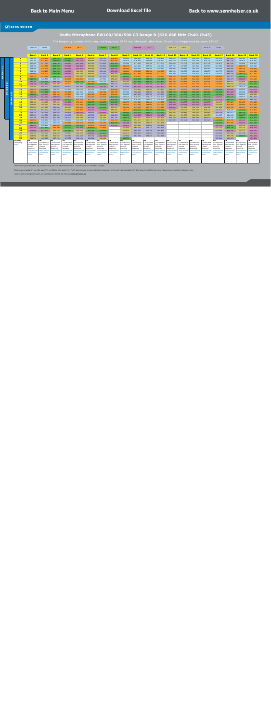#### **Radio Microphone EW100/300/500 G3 Range B (626-668 MHz Ch40-Ch45)**

The frequency presets within any one frequency BANK are intermodulation-free. Do not mix frequencies between BANKS

<span id="page-13-0"></span>

|                          |                 |                         | 622-630                | CH 40                    |                         | 630-638                | <b>CH 41</b>             |                         | 638-646                 | <b>CH 42</b>             |                               | 646-654                  | <b>CH 43</b>            |                        | 654-662                  | <b>CH 44</b>             |                         | 662-670                  | <b>CH 45</b>                   |                          |                          |                          |
|--------------------------|-----------------|-------------------------|------------------------|--------------------------|-------------------------|------------------------|--------------------------|-------------------------|-------------------------|--------------------------|-------------------------------|--------------------------|-------------------------|------------------------|--------------------------|--------------------------|-------------------------|--------------------------|--------------------------------|--------------------------|--------------------------|--------------------------|
|                          |                 |                         |                        |                          |                         |                        |                          |                         |                         |                          |                               |                          |                         |                        |                          |                          |                         |                          |                                |                          |                          |                          |
|                          |                 |                         |                        |                          |                         |                        |                          |                         |                         |                          |                               |                          |                         |                        |                          |                          |                         |                          |                                |                          |                          |                          |
|                          |                 |                         | <b>Bank 1</b>          | <b>Bank 2</b>            | <b>Bank 3</b>           | <b>Bank 4</b>          | <b>Bank 5</b>            | <b>Bank 6</b>           | <b>Bank 7</b>           | <b>Bank 8</b>            | <b>Bank 9</b>                 | <b>Bank 10</b>           | <b>Bank 11</b>          | <b>Bank 12</b>         | <b>Bank 13</b>           | <b>Bank 14</b>           | <b>Bank 15</b>          | <b>Bank 16</b>           | <b>Bank 17</b>                 | <b>Bank 18</b>           | <b>Bank 19</b>           | <b>Bank 20</b>           |
|                          |                 | $\mathbf{1}$            | 626.300                | 632.350                  | 638.450                 | 644.550                | 650.200                  | 656.350                 | 662.750                 | 632.925                  | 626.000                       | 626.000                  | 626.100                 | 626.200                | 626.050                  | 626.175                  | 626.300                 | 626.375                  | 626.150                        | 667.850                  | 626.100                  | 628.100                  |
|                          |                 | $\overline{\mathbf{2}}$ | 626.750                | 632.800                  | 639.050                 | 645.450                | 650.750                  | 656.800                 | 663.150                 | 635.425                  | 626.875                       | 626.400                  | 626.500                 | 626,600                | 626.450                  | 626.575                  | 626.700                 | 626.775                  | 626.525                        | 667,475                  | 626.975                  | 628.475                  |
|                          |                 | 3                       | 627.450                | 633.750                  | 639.450                 | 646.650                | 651.600                  | 657.450                 | 663.950                 | 639.350                  | 627.500                       | 627.000                  | 627.100                 | 627.200                | 626.950                  | 627.075                  | 627.200                 | 627.275                  | 626.975                        | 667.025                  | 627.600                  | 628.975                  |
|                          |                 | $\overline{a}$          | 628.450                | 634.350                  | 640.200                 | 647.200                | 652,800                  | 657.850                 | 664.500                 | 640.050                  | 630.175                       | 627.800                  | 627.900                 | 628,000                | 627.550                  | 627.675                  | 627.800                 | 627.875                  | 627.500                        | 666.500                  | 630.275                  | 629,600                  |
| $1 - 12$                 |                 | 5                       | 628,900                | 635,700                  | 640.750                 | 648.050                | 653.250                  | 659.050                 | 665.650                 | 648,500                  | 632.625                       | 629,000                  | 629.100                 | 629,200                | 628,000                  | 628.125                  | 628.250                 | 628.325                  | 628.100                        | 665,900                  | 632.725                  | 630.350                  |
|                          |                 | 6                       | 629.700                | 636,200                  | 641.550                 | 648,500                | 654.300                  | 659,900                 | 666.100                 | 653.950                  | 634,800                       | 630,600                  | 630.700                 | 630,800                | 628.550                  | 628.675                  | 628,800                 | 628.875                  | 628,775                        | 665.225                  | 634.900                  | 631.350                  |
| 100                      |                 | $\overline{7}$          | 630.800                | 636.900                  | 642.600                 | 649.150                | 654.700                  | 660.900                 | 667.050                 | 655.350                  | 639.625                       | 632.800                  | 632.900                 | 633.000                | 629.200                  | 629.325                  | 629.450                 | 629.525                  | 629.525                        | 664.475                  | 639.725                  | 632.975                  |
| È                        |                 | $\bf{8}$                | 631.750                | 637.300                  | 643.450                 | 649.650                | 655.600                  | 661.600                 | 667.550                 | 656.250                  | 640.825                       | 636.000                  | 636.100                 | 636.200                | 630.550                  | 630.675                  | 630.800                 | 630.875                  | 630.425                        | 663.575                  | 640.925                  | 634.975                  |
|                          |                 | $\overline{9}$          | 640.550                | 628,850                  | 628.550                 | 630.500                | 630.500                  | 626.250                 | 627.550                 | 659.025                  | 650.525                       | 638,400                  | 638.500                 | 638.600                | 631.250                  | 631.375                  | 631.500                 | 631.575                  | 631.625                        | 662.375                  | 650.625                  | 637.100                  |
| $\blacktriangleleft$     |                 | 10                      | 646.100                | 641.600                  | 649.700                 | 636.050                | 641.750                  | 637,000                 | 629.750                 | 665.175                  | 661.700                       | 643.200                  | 643.300                 | 643.400                | 632.700                  | 632.825                  | 632.950                 | 633.025                  | 633.125                        | 660.875                  | 661.800                  | 640.100                  |
| $\ddot{\sim}$            |                 | 11                      | 653.300                | 647.150                  | 655.700                 | 659.600                | 665,300                  | 640.900                 | 642.450                 | 665.675                  | 663.625                       | 647,200                  | 647.300                 | 647.400                | 633.450                  | 633.575                  | 633.700                 | 633.775                  | 634.850                        | 659.150                  | 663.725                  | 641.350                  |
| <b>E</b><br>$\mathsf{S}$ |                 | 12                      | 659.150                | 665.300                  | 663.050                 | 666,800                | 665.900                  | 652.150                 | 649,700                 | 667.275                  | 668,000                       | 651.600                  | 651.700                 | 651.800                | 635.150                  | 635.275                  | 635.400                 | 635.475                  | 637.325                        | 656.675                  | 626.475                  | 644.475                  |
| ന                        |                 | 13                      | 635.450                | 643.100                  | 629.000                 | 627.950                | 626.150                  | 627.050                 | 626.250                 | 631.200                  | 626.375                       | 659.000                  | 659.100                 | 659.200                | 636.550                  | 636.675                  | 636.800                 | 636.875                  | 640.400                        | 653.600                  | 628.000                  | 647.975                  |
| $\geq$                   | $\mathbf{\sim}$ | 14                      | 636.500                | 643.850                  | 630.200                 | 632.300                | 627.500                  | 628.000                 | 630.750                 | 633.750                  | 627.900                       | 662.400                  | 662.500                 | 662.600                | 639.150                  | 639.275                  | 639.400                 | 639.475                  | 642.575                        | 651.425                  | 628.525                  | 652.725                  |
|                          | ო               | 15                      | 642.650                | 648,200                  | 634.100                 | 632.900                | 628,100                  | 631.350                 | 632.950                 | 636.025                  | 628,425                       | 667.600                  | 667,700                 | 667,800                | 640.950                  | 641.075                  | 641.200                 | 641.275                  | 645.350                        | 648.650                  | 629.225                  | 658.350                  |
|                          | $\bullet$       | 16                      | 651.200                | 652.250                  | 648.050                 | 635.450                | 629.900                  | 631.900                 | 634.450                 | 638,500                  | 629.125                       | 628.175                  | 628.275                 | 628.375                | 642.100                  | 642.225                  | 642.350                 | 642.425                  | 649.025                        | 644.975                  | 629.675                  | 663.350                  |
|                          | ន្ល             | 17                      | 655.100                | 653.000                  | 650.600                 | 638.300                | 631.250                  | 632.700                 | 637.300                 | 640.450                  | 629.575                       | 629.475                  | 629.575                 | 629.675                | 644.000                  | 644.125                  | 644.250                 | 644.325                  | 652.175                        | 641.825                  | 631.075                  | 666.100                  |
|                          | ₹               | 18                      | 658.100                | 656.450                  | 657.350                 | 651.950                | 633.050                  | 638.750                 | 638.950                 | 643.650                  | 630.975                       | 631.300                  | 631.400                 | 631.500                | 648.650                  | 648.775                  | 648.900                 | 648.975                  | 656.675                        | 637.325                  | 631.625                  | 631.850                  |
|                          |                 | 19                      | 659.900                | 658.250                  | 661.400                 | 653.300                | 633.800                  | 643.700                 | 640.450                 | 653.000                  | 631.525                       | 633.850                  | 633.950                 | 634.050                | 653.200                  | 653.325                  | 653.450                 | 653.525                  | 658.550                        | 635.450                  | 633.450                  | 632.475                  |
|                          |                 | 20                      | 661.550                | 661.250                  | 662.600                 | 660.200                | 636.050                  | 647.300                 | 644.250                 | 655.875                  | 633.350                       | 637.625                  | 637.725                 | 637.825                | 654.000                  | 654.125                  | 654.250                 | 654.325                  | 661.850                        | 632.150                  | 636.475                  | 633.850                  |
|                          |                 | 21                      | 662.300                | 662.300                  | 664.250                 | 661.850                | 636.800                  | 653.100                 | 647.450                 | 660.050                  | 636.375                       | 640.150                  | 640.250                 | 640.350                | 657.950                  | 658.075                  | 658.200                 | 658.275                  | 665.675                        | 628.325                  | 641.500                  | 634.350                  |
|                          |                 | 22                      | 665.750                | 663.050                  | 666.050                 | 662.450                | 646.550                  | 666.100                 | 653.850                 | 661.200                  | 641.400                       | 641.175                  | 641.275                 | 641.375                | 660.300                  | 660.425                  | 660.550                 | 660.625                  | 666.725                        | 627.275                  | 642.350                  | 637.725                  |
|                          |                 | 23                      | 666.650                | 664.550                  | 666.500                 | 665.150                | 658.850                  | 667.050                 | 656.100                 | 662,500                  | 642.250                       | 649.950                  | 650.050                 | 650.150                | 661.250                  | 661.375                  | 661.500                 | 661.575                  | 629.925                        | 626.100                  | 644.075                  | 638.975                  |
|                          |                 | 24                      | 667.700                | 666.950                  | 667.700                 | 666.200                | 660.200                  | 667.850                 | 661.200                 | 667.700                  | 643.975                       | 654.975                  | 655.075                 | 655.175                | 666.350                  | 666.475                  | 666.600                 | 666.675                  | 635.275                        | 626.725                  | 644.825                  | 639.475                  |
|                          |                 | 25                      | 632.900                | 626.150                  | 626.450                 | 626.150                | 626,600                  | 629,400                 | 626,800                 | 636,750                  | 644.725                       | 657.675                  | 657.775                 | 657.875                | 667.600                  | 667.725                  | 667.850                 | 667.925                  | 639.000                        | 630,700                  | 646,300                  | 642.225                  |
|                          |                 | 26                      | 638.150                | 626,900                  | 627.650                 | 633.950                | 635.450                  | 630,450                 | 630.150                 | 641.425                  | 646,200                       | 660.975                  | 661.075                 | 661.175                |                          |                          |                         |                          | 644.575                        | 631.500                  | 653.975                  | 642.725                  |
|                          |                 | 27                      | 646.850                | 628.100                  | 632.000                 | 640.850                | 639.350                  | 636.250                 | 636.450                 | 651.150                  | 653.875                       | 661.900                  | 662.000                 | 662.100                |                          |                          |                         |                          | 649.725                        | 638.275                  | 655.150                  | 648.475                  |
|                          |                 | 28                      | 650.150                | 641.150                  | 633.200                 | 642.200                | 649,400                  | 639.500                 | 637.800                 |                          | 655.050                       | 664.625                  | 664.725                 | 664.825                |                          |                          |                         |                          | 655.725                        | 644.275                  | 660.725                  | 649.100                  |
|                          |                 | 29                      | 651.800                | 653.600                  | 656.450                 | 643.250                | 658.250                  | 643.250                 | 639.800                 |                          | 660.625                       | 665.250                  | 665.350                 | 665.450                |                          |                          |                         |                          | 662.500                        | 649.425                  | 661.375                  | 649.600                  |
|                          |                 | 30                      | 656.150                | 655.700                  | 659.450                 | 659.150                | 661.250                  | 650.650                 | 640.850                 |                          | 661.275                       | 664.125                  | 664.225                 | 664.325                |                          |                          |                         |                          | 663.300                        | 655.000                  | 667.150                  | 650.975                  |
|                          |                 | 31                      | 663.500                | 660.350                  | 660.650                 | 663.650                | 662.450                  | 663.700                 | 651.350                 |                          | 667.050                       | 663.375                  | 663.475                 | 663.575                |                          |                          |                         |                          | 667.275                        | 658.725                  | 643.475                  | 652.225                  |
|                          |                 | 32                      | 664.550                | 665.900                  | 667.250                 | 667.550                | 664.100                  | 664.500                 | 659.100                 |                          | 643.375                       |                          |                         |                        |                          |                          |                         |                          | 667.900                        | 664.075                  |                          | 653.850                  |
|                          |                 | Country<br>Usergroup    | UK<br>Coordinated      | <b>UK</b><br>Coordinated | UK<br>Coordinated       | UK<br>Coordinated      | <b>UK</b><br>Coordinated | UK<br>Coordinated       | UK<br>Coordinated       | UK<br>Coordinated        | <b>UK</b><br>Coordinated      | UK<br>Coordinated        | UK<br>Coordinated       | UK<br>Coordinated      | <b>UK</b><br>Coordinated | <b>UK</b><br>Coordinated | UK<br>Coordinated       | <b>UK</b><br>Coordinated | UK<br>Coordinated              | <b>UK</b><br>Coordinated | <b>UK</b><br>Coordinated | <b>UK</b><br>Coordinated |
|                          |                 | <b>Notes</b>            | Site Specific          | Site Specific            | Site Specific           | Site Specific          | <b>Site Specific</b>     | Site Specific           | Site Specific           | Site Specific            | <b>Site Specific</b>          | Site Specific            | Site Specific           | Site Specific          | <b>Site Specific</b>     | Site Specific            | Site Specific           | <b>Site Specific</b>     | Site Specific                  | <b>Site Specific</b>     | Site Specific            | <b>Site Specific</b>     |
|                          |                 |                         | Licence                | Licence                  | Licence                 | Licence                | Licence                  | Licence                 | Licence                 | Licence                  | Licence                       | Licence                  | Licence                 | Licence                | Licence                  | Licence                  | Licence                 | Licence                  | Licence                        | Licence                  | Licence                  | Licence<br>Required      |
|                          |                 |                         | Required<br>qeographic | Required<br>aeographica  | Required<br>qeographica | Required<br>qeoqraphio | Required<br>qeographica  | Required<br>qeographica | Required<br>qeoqraphica | Required<br>qeographical | Required<br><i>geographic</i> | Required<br>qeographical | Required<br>qeographica | Required<br>qeographic | Required<br>aeographica  | Required<br>qeographica  | Required<br>geographica | Required<br>qeographical | Required<br><i>aeographica</i> | Required<br>qeographical | Required<br>qeoqraphica. | geographical             |
|                          |                 |                         | restrictions           | estrictions              | restrictions            | restrictions           | restrictions             | restrictions            | restrictions            | restrictions             | restrictions                  | restrictions             | <b>restrictions</b>     | restrictions           | <i>restrictions</i>      | restrictions             | restrictions            | restrictions             | restrictions                   | restrictions             | restrictions             | restrictions             |
|                          |                 |                         | apply                  | apply                    | apply                   | apply                  | apply                    | apply                   | apply                   | apply                    | apply                         | apply                    | apply                   | apply                  | apply                    | apply                    | apply                   | apply                    | apply                          | apply                    | apply                    | apply                    |
|                          |                 |                         |                        |                          |                         |                        |                          |                         |                         |                          |                               |                          |                         |                        |                          |                          |                         |                          |                                |                          |                          |                          |
|                          |                 |                         |                        |                          |                         |                        |                          |                         |                         |                          |                               |                          |                         |                        |                          |                          |                         |                          |                                |                          |                          |                          |
|                          |                 |                         |                        |                          |                         |                        |                          |                         |                         |                          |                               |                          |                         |                        |                          |                          |                         |                          |                                |                          |                          |                          |

The frequency presets within any one frequency bank are intermodulation-free. These frequencies cannot be changed.

The frequency banks "U" (ew 100: bank "U", ew 300/ew 500: banks "U1"-"U6") allow the user to store individual frequencies which are freely selectable in 25-kHz steps. It might be that these frequencies are not intermodulat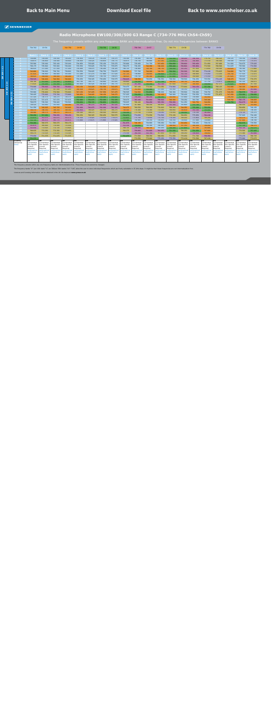**EW 100 1-12**

EW 100 1-12

#### **Radio Microphone EW100/300/500 G3 Range C (734-776 MHz Ch54-Ch59)**

The frequency presets within any one frequency BANK are intermodulation-free. Do not mix frequencies between BANKS

<span id="page-14-0"></span>

|                  |                |                 | 734-742             | CH 54                |                      | 742-750             | <b>CH 55</b>         |                     | 750-758              | CH 56                |                     | 758-766              | <b>CH 57</b>        |                      | 766-774              | <b>CH 58</b>         |                     | 774-782              | CH 59                |                      |                      |                     |
|------------------|----------------|-----------------|---------------------|----------------------|----------------------|---------------------|----------------------|---------------------|----------------------|----------------------|---------------------|----------------------|---------------------|----------------------|----------------------|----------------------|---------------------|----------------------|----------------------|----------------------|----------------------|---------------------|
|                  |                |                 |                     |                      |                      |                     |                      |                     |                      |                      |                     |                      |                     |                      |                      |                      |                     |                      |                      |                      |                      |                     |
|                  |                |                 | <b>Bank:</b>        | <b>Bank 2</b>        | <b>Bank3</b>         | <b>Bank4</b>        | <b>Bank 5</b>        | <b>Bank 6</b>       | <b>Bank 7</b>        | <b>Bank</b>          | <b>Bank 9</b>       | <b>Bank 10</b>       | 3ank 11             | <b>Bank 12</b>       | 3ank 13              | 3ank 14              | <b>Bank 1</b>       | <b>Bank 16</b>       | <b>Bank 17</b>       | <b>Bank 18</b>       | Bank 19              | <b>Bank 20</b>      |
|                  |                |                 | 734.000             | 734.000              | 734.100              | 734.200             | 734.050              | 734.125             | 734.250              | 734.375              | 734.100             | 734.300              | 740.350             | 746.450              | 752.550              | 758.200              | 764.350             | 770.750              | 766.125              | 740.125              | 734.150              | 775.850             |
|                  | $\overline{2}$ |                 | 734.875             | 734.400              | 734.500              | 734.600             | 734.450              | 734.525             | 734.650              | 734.775              | 734.975             | 734.750              | 740.800             | 747.050              | 753.450              | 758.750              | 764.800             | 771.150              | 766.500              | 740.500              | 734.525              | 775.475             |
|                  |                |                 | 735.500             | 735.000              | 735.100              | 735.200             | 734.950              | 735.025             | 735.150              | 735.275              | 735.600             | 735.450              | 741.750             | 747.450              | 754.650              | 759.600              | 765.450             | 771.950              | 767.000              | 741.000              | 734.975              | 775.025             |
|                  |                |                 | 738.175             | 735.800              | 735.900              | 736.000             | 735.550              | 735.625             | 735.750              | 735.875              | 738.275             | 736.450              | 742.350             | 748.200              | 755.200              | 760.800              | 765.850             | 772.500              | 768.500              | 741.625              | 735.500              | 774.500             |
|                  | -5.            |                 | 740.625             | 737.000              | 737.100              | 737.200             | 736.000              | 736.075             | 736.200              | 736.325              | 740.725             | 736.900              | 743.700             | 748.750              | 756.050              | 761.250              | 767.050             | 773.650              | 769.500              | 742.625              | 736.100              | 773.900             |
|                  |                |                 | 742.800             | 738.600              | 738.700              | 738,800             | 736.550              | 736.625             | 736.750              | 736.875              | 742,900             | 737.700              | 744.200             | 749.550              | 756.500              | 762.300              | 767.900             | 774.100              | 770.625              | 744.000              | 736.775              | 773.225             |
|                  |                | -7              | 747.625             | 740.800              | 740.900              | 741.000             | 737.200              | 737.275             | 737.400              | 737.525              | 747.725             | 738.800              | 744.900             | 750.600              | 757.150              | 762.700              | 768.900             | 775.050              | 772.250              | 745.750              | 737.525              | 772.475             |
|                  | -8             |                 | 748.825             | 744.000              | 744.100              | 744.200             | 738.550              | 738.625             | 738.750              | 738.875              | 748.925             | 739.750              | 745.300             | 751.450              | 757.650              | 763,600              | 769.600             | 775.550              | 773.500              | 747.625              | 738.425              | 771.575             |
|                  |                |                 | 758.525             | 746,400              | 746,500              | 746,600             | 739.250              | 739.325             | 739.450              | 739.575              | 758.625             | 748.550              | 736.850             | 736.550              | 738,500              | 738.500              | 734.250             | 735.550              | 774.125              | 748.375              | 739.625              | 770.375             |
| 24               |                | 10 <sup>1</sup> | 769.700             | 751.200              | 751.300              | 751.400             | 740.700              | 740.775             | 740.900              | 741.025              | 769.800             | 754.100              | 749.600             | 757.700              | 744.050              | 749.750              | 745.000             | 737.750              | 774.875              | 750.375              | 741.125              | 768.875             |
| ÷                |                | 11              | 771.625             | 755.200              | 755.300              | 755.400             | 741.450              | 741.525             | 741.650              | 741.775              | 771.725             | 761.300              | 755.150             | 763.700              | 767.600              | 773.300              | 748.900             | 750.450              | 767.375              | 751.625              | 742.850              | 767.150             |
|                  |                | 12              | 776.000             | 759.600              | 759.700              | 759.800             | 743.150              | 743.225             | 743.350              | 743.475              | 734.475             | 767.150              | 773.300             | 771.050              | 774.800              | 773.900              | 760.150             | 757.700              | 768.125              | 742.000              | 745.325              | 746.675             |
| 300              |                | 13 <sup>°</sup> | 734.375             | 767.000              | 767.100              | 767.200             | 744.550              | 744.625             | 744.750              | 744.875              | 736.000             | 743.450              | 751.100             | 737.000              | 735.950              | 734.150              | 735.050             | 734.250              | 769.125              | 744.375              | 748.400              | 761.600             |
| $\geq$<br>$\sim$ |                | 14              | 735.900             | 770.400              | 770.500              | 770.600             | 747.150              | 747.225             | 747.350              | 747.475              | 736.525             | 744.500              | 751.850             | 738.200              | 740.300              | 735.500              | 736.000             | 738.750              | 771.375              | 746.250              | 750.575              | 759.425             |
|                  |                | -15             | 736.425             | 775.600              | 775.700              | 775.800             | 748.950              | 749.025             | 749.150              | 749.275              | 737.225             | 750.650              | 756.200             | 742.100              | 740.900              | 736.100              | 739.350             | 740.950              | 771.875              | 747.250              | 753.350              | 756.650             |
| $\circ$          |                | <b>16</b>       | 737.125             | 736.175              | 736.275              | 736.375             | 750.100              | 750.175             | 750.300              | 750.425              | 737.675             | 759.200              | 760.250             | 756.050              | 743.450              | 737.900              | 739.900             | 742.450              |                      | 749.250              | 757.025              | 752.975             |
|                  |                | 17 <sup>2</sup> | 737.575             | 737.475              | 737.575              | 737.675             | 752.000              | 752.075             | 752.200              | 752.325              | 739.075             | 763.100              | 761.000             | 758.600              | 746.300              | 739.250              | 740.700             | 745.300              |                      | 749.750              | 760.175              | 749.825             |
|                  |                | <b>18</b>       | 738.975             | 739.300              | 739.400              | 739.500             | 756.650              | 756.725             | 756.850              | 756.975              | 739.625             | 766.100              | 764.450             | 765.350              | 759.950              | 741.050              | 746.750             | 746.950              |                      | 750.750              | 764.675              | 745.325             |
|                  |                | 19              | 739.525             | 741.850              | 741.950              | 742.050             | 761.200              | 761.275             | 761.400              | 761.525              | 741.450             | 767.900              | 766.250             | 769.400              | 761.300              | 741.800              | 751.700             | 748.450              |                      |                      | 766.550              | 743.450             |
|                  |                | 20 <sub>1</sub> | 741.350             | 745.625              | 745.725              | 745.825             | 762.000              | 762.075             | 762.200              | 762.325              | 744,475             | 769.550              | 769.250             | 770.600              | 768.200              | 744.050              | 755.300             | 752.250              |                      |                      | 769.850              | 740.150             |
|                  |                | -21             | 744.375             | 748.150              | 748.250              | 748.350             | 765.950              | 766.025             | 766.150              | 766.275              | 749.500             | 770.300              | 770.300             | 772.250              | 769.850              | 744.800              | 761.100             | 755.450              |                      |                      | 773.675              | 736.325             |
|                  |                | 22              | 749,400             | 749.175              | 749.275              | 749.375             | 768.300              | 768.375             | 768.500              | 768.625              | 750.350             | 773.750              | 771.050             | 774.050              | 770.450              | 754.550              | 774.100             | 761.850              |                      |                      | 774.725              | 735.275             |
|                  |                | 23              | 750.250             | 757.950              | 758.050              | 758.150             | 769.250              | 769.325             | 769.450              | 769.575              | 752.075             | 774.650              | 772.550             | 774.500              | 773.150              | 766.850              | 775.050             | 764.100              |                      |                      | 737.925              | 734.100             |
|                  | 24             |                 | 751.975             | 762.975              | 763.075              | 763.175             | 774.350              | 774.425             | 774.550              | 774.675              | 752.825             | 775.700              | 774.950             | 775.700              | 774.200              | 768.200              | 775.850             | 769.200              |                      |                      | 743.275              | 734.725             |
|                  |                | -25             | 752.725             | 765.675              | 765.775              | 765.875             | 775.600              | 775.675             | 775.800              | 775.925              | 754.300             | 740.900              | 734.150             | 734.450              | 734.150              | 734.600              | 737.400             | 734.800              |                      |                      | 747.000              | 738.700             |
|                  |                | 26              | 754.200             | 768.975              | 769.075              | 769.175             |                      |                     |                      |                      | 761.975             | 746.150              | 734.900             | 735.650              | 741.950              | 743.450              | 738.450             | 738.150              |                      |                      | 752.575              | 739.500             |
|                  | -27            |                 | 761.875             | 769,900              | 770,000              | 770.100             |                      |                     |                      |                      | 763.150             | 754.850              | 736.100             | 740,000              | 748.850              | 747.350              | 744.250             | 744,450              |                      |                      | 757.725              | 746.275             |
|                  |                | 28              | 763.050             | 772.625              | 772.725              | 772.825             |                      |                     |                      |                      | 768.725             | 758.150              | 749.150             | 741.200              | 750.200              | 757.400              | 747.500             | 745.800              |                      |                      | 763.725              | 752.275             |
|                  |                | 29              | 768.625             | 773.250              | 773.350              | 773.450<br>772.325  |                      |                     |                      |                      | 769.375<br>775.150  | 759.800              | 761.600             | 764.450              | 751.250              | 766.250              | 751.250             | 747.800<br>748.850   |                      |                      | 770.500              | 757.425             |
|                  | -30            |                 | 769.275<br>775.050  | 772.125<br>771.375   | 772.225<br>771.475   | 771.575             |                      |                     |                      |                      | 751.475             | 764.150<br>771.500   | 763.700<br>768.350  | 767.450<br>768.650   | 767.150<br>771.650   | 769.250<br>770.450   | 758.650<br>771.700  | 759.350              |                      |                      | 771.300<br>775.275   | 763.000<br>766.725  |
|                  | ಾಂ             | -31             | 751.375             |                      |                      |                     |                      |                     |                      |                      |                     | 772.550              | 773.900             | 775.250              | 775.550              | 772.100              | 772.500             | 767.100              |                      |                      | 775.900              | 772.075             |
|                  | Country        |                 | <b>UK</b>           | UK                   | UK                   | <b>UK</b>           | UK                   | UK                  | <b>UK</b>            | <b>UK</b>            | UK                  | UK                   | <b>UK</b>           | UK                   | l uk                 | <b>UK</b>            | UK                  | <b>UK</b>            | UK                   | <b>UK</b>            | UK                   | UK                  |
|                  | Usergroup      |                 | Coordinated         | Coordinated          | Coordinated          | Coordinated         | Coordinated          | Coordinated         | Coordinated          | Coordinated          | Coordinated         | Coordinated          | Coordinated         | Coordinated          | Coordinated          | Coordinated          | Coordinated         | Coordinated          | Coordinated          | Coordinated          | Coordinated          | Coordinated         |
|                  | <b>Notes</b>   |                 | Site Specific       | <b>Site Specific</b> | <b>Site Specific</b> | Site Specific       | <b>Site Specific</b> | Site Specific       | <b>Site Specific</b> | <b>Site Specific</b> | Site Specific       | <b>Site Specific</b> | Site Specific       | <b>Site Specific</b> | <b>Site Specific</b> | <b>Site Specific</b> | Site Specific       | <b>Site Specific</b> | <b>Site Specific</b> | <b>Site Specific</b> | <b>Site Specific</b> | Site Specific       |
|                  |                |                 | Licence<br>Reauired | Licence<br>Required  | Licence<br>Required  | Licence<br>Required | Licence<br>Required  | Licence<br>Required | Licence<br>Required  | Licence<br>Required  | Licence<br>Required | Licence<br>Required  | Licence<br>Required | Licence<br>Required  | Licence<br>Required  | Licence<br>Required  | Licence<br>Required | Licence<br>Required  | icence<br>Required   | Licence<br>Required  | Licence<br>Required  | Licence<br>Required |
|                  |                |                 | qeoqraphica         | aeographica          | geographica          | qeographical        | qeographica          | <i>geographica</i>  | geographical         | qeographica          | geographica         | geographica          | qeoqraphica.        | qeographica          | geographica          | geographica          | qeoqraphica         | qeoqraphical         | qeographica          | <i>geographica</i>   | qeographica          | qeographica         |
|                  |                |                 | restrictions        | estrictions          | restrictions         | restrictions        | restrictions         | restrictions        | restrictions         | restrictions         | restrictions        | restrictions         | restrictions        | restrictions         | restrictions         | restrictions         | <b>restrictions</b> | restrictions         | estrictions          | restrictions         | restrictions         | restrictions        |
|                  |                |                 | apply               | apply                | apply                | apply               | apply                | apply               | apply                | apply                | apply               | apply                | apply               | apply                | apply                | apply                | apply               | apply                | apply                | apply                | apply                | apply               |
|                  |                |                 |                     |                      |                      |                     |                      |                     |                      |                      |                     |                      |                     |                      |                      |                      |                     |                      |                      |                      |                      |                     |
|                  |                |                 |                     |                      |                      |                     |                      |                     |                      |                      |                     |                      |                     |                      |                      |                      |                     |                      |                      |                      |                      |                     |

The frequency presets within any one frequency bank are intermodulation-free. These frequencies cannot be changed.

The frequency banks "U" (ew 100: bank "U", ew 300/ew 500: banks "U1"-"U6") allow the user to store individual frequencies which are freely selectable in 25-kHz steps. It might be that these frequencies are not intermodulat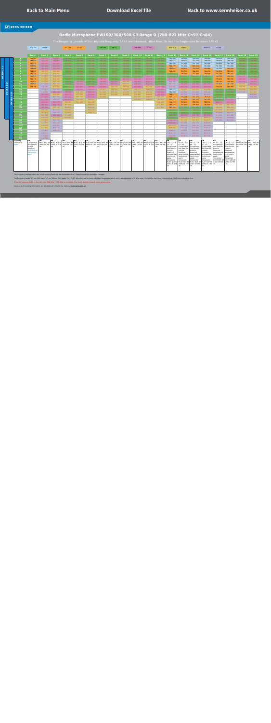#### **Radio Microphone EW100/300/500 G3 Range D (780-822 MHz Ch59-Ch64)**

<span id="page-15-0"></span>

|                   |                                   |                      | 774-782                  | CH 59              |                                                                                                                                                                          | 782-790            | <b>CH 60</b>  |                    | 790-798       | CH 61         |               | 798-806        | CH 62          |           | 806-814                  | CH 63                                         |                                   | 814-822                    | CH 64               |                                |                                      |                |
|-------------------|-----------------------------------|----------------------|--------------------------|--------------------|--------------------------------------------------------------------------------------------------------------------------------------------------------------------------|--------------------|---------------|--------------------|---------------|---------------|---------------|----------------|----------------|-----------|--------------------------|-----------------------------------------------|-----------------------------------|----------------------------|---------------------|--------------------------------|--------------------------------------|----------------|
|                   |                                   |                      |                          |                    |                                                                                                                                                                          |                    |               |                    |               |               |               |                |                |           |                          |                                               |                                   |                            |                     |                                |                                      |                |
|                   |                                   |                      | <b>Bank 1</b>            | <b>Bank 2</b>      | <b>Bank 3</b>                                                                                                                                                            | <b>Bank 4</b>      | <b>Bank 5</b> | <b>Bank 6</b>      | <b>Bank 7</b> | <b>Bank 8</b> | <b>Bank 9</b> | <b>Bank 10</b> | <b>Bank 11</b> | Bank 12   | Bank 13                  | <b>Bank 14</b>                                | <b>Bank 15</b>                    | <b>Bank 16</b>             | Bank 17             | <b>Bank 18</b>                 | Bank 19                              | <b>Bank 20</b> |
|                   |                                   |                      | 782,100                  | 800.100            | 800,400                                                                                                                                                                  | 790.100            | 790.100       | 790.25             | 790.25        | 790.100       | 790.100       | 790.250        | 790.850        | 790.15    | 780,000                  | 780.100                                       | 780,200                           | 780,000                    | 780.050             | 780,300                        | 794.100                              | 790.100        |
|                   |                                   | $\overline{2}$       | 782.475                  | 801.225            | 801.300                                                                                                                                                                  | 790.475            | 790.500       | 790.700            | 790.700       | 790.500       | 790.600       | 790.700        | 791.400        | 790.55    | 780.875                  | 780.500                                       | 780.600                           | 780.400                    | 780.450             | 780.700                        | 794.500                              | 790.500        |
|                   |                                   | -3                   | 782.975                  | 802.200            | 801.800                                                                                                                                                                  | 790.975            | 791.100       | 791.300            | 791.350       | 791.050       | 791.575       | 791.250        | 792.525        | 791.050   | 781.500                  | 781.100                                       | 781.200                           | 781.000                    | 780.950             | 781.200                        | 795.100                              | 791.100        |
| $\mathbf{N}$      |                                   | $\overline{4}$       | 783.600                  | 803,400            | 803.100                                                                                                                                                                  | 791.600            | 791.900       | 792.475            | 792.650       | 791.750       | 792.800       | 791.900        | 793.125        | 791.650   | 784.175                  | 781.900                                       | 782.000                           | 781.800                    | 781.550             | 781.800                        | 795.900                              | 791.900        |
| $\mathbb{Z}$      |                                   | -5                   | 784.000                  | 805.275            | 805.200                                                                                                                                                                  | 792.000            | 792.350       | 792.900            | 793.050       | 792.750       | 795.250       | 792.950        | 793.925        | 792.100   | 786.625                  | 783.100                                       | 783.200                           | 783.000                    | 782.000             | 782.250                        | 796.400                              | 792.400        |
|                   |                                   | -6                   | 784.525                  | 806.175            | 806.400                                                                                                                                                                  | 792.525            | 793.000       | 793.450            | 794.200       | 793.575       | 795.825       | 793.725        | 794.325        | 792.650   | 788.800                  | 784.700                                       | 784.800                           | 784.600                    | 782.550             | 782.800                        | 797.100                              | 793.100        |
| $\frac{100}{100}$ |                                   |                      | 785.225                  | 809.625            | 808.400                                                                                                                                                                  | 793.225            | 793.900       | 793.825            | 796.100       | 794.675       | 797.500       | 794.825        | 796.775        | 793.30    | 793.625                  | 786.900                                       | 787.000                           | 786.800                    | 783.200             | 783.450                        | 798.000                              | 794.000        |
| ≧V                |                                   | -8                   | 785.675                  | 811.950            | 809.000                                                                                                                                                                  | 793.675            | 795.100       | 794.925            | 796.675       | 796.425       | 797.900       | 796.100        | 798.850        | 794.650   | 794.825                  | 790.100                                       | 790.200                           | 790.000                    | 784.550             | 784.800                        | 800.400                              | 796.400        |
|                   |                                   | -9                   | 786.275                  | 813.300            | 809.400                                                                                                                                                                  | 794.275            | 797.500       | 795.400            | 798.700       | 797.900       | 801.325       | 800.425        | 801.425        | 795.350   | 804.525                  | 792.500                                       | 792.600                           | 792.400                    | 785.250             | 785.500                        | 802.100                              | 798.100        |
|                   | 'ম                                | 10                   | 787.075                  | 813.750            | 810.100                                                                                                                                                                  | 795.075            | 798.550       | 796.775            | 799.900       | 803.200       | 806.100       | 801.825        | 802.275        | 796.800   | 815.700                  | 797.300                                       | 797.400                           | 797.200                    | 786.700             | 786.950                        | 803.200                              | 799.200        |
|                   | A                                 | 11                   | 787.625                  | 815.325            | 810.900                                                                                                                                                                  | 795.625            | 800.500       | 797.650            | 804.150       | 803.950       | 808,050       | 804.150        | 803.550        | 797.550   | 817.625                  | 801.300                                       | 801.400                           | 801.200                    | 787.450             | 787,700                        | 806.900                              | 802.900        |
|                   | $\tt S$                           | 12                   | 789.100                  | 816.150            | 812.500                                                                                                                                                                  | 796.725            | 801.650       | 798.850            | 805.800       | 808.175       | 809.325       | 805.600        | 807.400        | 799.250   | 822.000                  | 805.700                                       | 805.800                           | 805.600                    | 789.150             | 789.400                        | 810.300                              | 806.300        |
|                   | $\sim$                            | 13                   |                          | 817.575            | 819.300                                                                                                                                                                  | 797.450            | 805.600       | 799.350            | 809.925       | 811.200       | 810.425       | 806.750        | 810.025        | 802.650   | 780.375                  | 813.100                                       | 813.200                           | 813.000                    | 790.550             | 790.800                        | 812.500                              | 808.500        |
|                   | 孟<br>$\overline{\mathbf{N}}$<br>m | 14                   |                          | 818.850            | 803.550                                                                                                                                                                  | 798.900            | 806.350       | 802.125            | 810.925       | 813.400       | 812.250       | 807.350        | 811.100        | 803.600   | 781.900                  | 816.500                                       | 816.600                           | 816.400                    | 793.150             | 793.400                        | 815.200                              | 811.200        |
|                   | ÷                                 | 15                   |                          | 801.600            | 813.050                                                                                                                                                                  | 800.475            | 807.650       | 803.625            | 813.100       | 813.900       | 812.950       | 811.400        | 811.600        | 805.450   | 782.425                  | 821,700                                       | 821.800                           | 821.600                    | 794.950             | 795.200                        |                                      | 815,900        |
|                   | 500                               | 16                   |                          | 802.950            | 815.850                                                                                                                                                                  | 803.725            | 811.700       | 805.600            | 813.600       |               |               | 812.100        | 813.050        | 806.700   | 783.125                  | 782.275                                       | 782.375                           | 782.175                    | 796.100             | 796.350                        |                                      | 819.700        |
|                   |                                   | 17<br>18             |                          | 803.775            | 818.050                                                                                                                                                                  | 804.925            | 812.400       | 806.850            |               |               |               | 813.600        | 813.800        | 809.100   | 783.575                  | 783.575                                       | 783.675                           | 783.475                    | 798.000             | 798.250                        |                                      |                |
|                   | Š                                 | 19                   |                          | 804.450<br>804.825 | 802.375<br>803.925                                                                                                                                                       | 806.350            | 813.900       | 808.600            |               |               |               |                |                | 810.500   | 784.975<br>785.525       | 785.400                                       | 785.500<br>788.050                | 785.300<br>787.850         | 802.650             | 802.900                        |                                      |                |
|                   |                                   |                      |                          |                    |                                                                                                                                                                          | 807.125            |               | 809.925            |               |               |               |                |                | 812.400   |                          | 787.950                                       |                                   |                            | 807.200<br>808,000  | 807.450<br>808,250             |                                      |                |
|                   |                                   | 20<br>21             |                          | 805.650<br>806.550 | 807.525<br>817.375                                                                                                                                                       | 808.075<br>808.825 |               | 812.100<br>812.775 |               |               |               |                |                | 813.550   | 787.350<br>790.375       | 791.725<br>794.250                            | 791.825<br>794.350                | 791.625<br>794.150         | 811.950             | 812,200                        |                                      |                |
|                   |                                   | 22                   |                          | 807.375            | 818.825                                                                                                                                                                  | 811.625            |               | 813.175            |               |               |               |                |                |           | 795.400                  | 795.275                                       | 795.375                           | 795.175                    | 814.300             | 814.550                        |                                      |                |
|                   |                                   | 23                   |                          | 808.725            | 804.500                                                                                                                                                                  | 812.950            |               |                    |               |               |               |                |                |           | 796.250                  | 804.050                                       | 804.150                           | 803.950                    | 815.250             | 815.500                        |                                      |                |
|                   |                                   | 24                   |                          | 810.000            | 812.075                                                                                                                                                                  | 813.625            |               |                    |               |               |               |                |                |           | 797.975                  | 809.075                                       | 809.175                           | 808.975                    | 820.350             | 820.600                        |                                      |                |
|                   |                                   | 25                   |                          | 810.825            | 814.550                                                                                                                                                                  |                    |               |                    |               |               |               |                |                |           | 798.725                  | 811.775                                       | 811.875                           | 811.675                    | 821.600             | 821.850                        |                                      |                |
|                   |                                   | 26                   |                          | 811.575            | 815.325                                                                                                                                                                  |                    |               |                    |               |               |               |                |                |           | 800.200                  | 815.075                                       | 815.175                           | 814.975                    |                     |                                |                                      |                |
|                   |                                   | 27                   |                          | 812.400            | 816.500                                                                                                                                                                  |                    |               |                    |               |               |               |                |                |           | 807.875                  | 816.000                                       | 816.100                           | 815.900                    |                     |                                |                                      |                |
|                   |                                   | 28                   |                          | 812.775            | 816.875                                                                                                                                                                  |                    |               |                    |               |               |               |                |                |           | 809.050                  | 818,725                                       | 818.825                           | 818.625                    |                     |                                |                                      |                |
|                   |                                   | 29                   |                          | 814.125            | 819.875                                                                                                                                                                  |                    |               |                    |               |               |               |                |                |           | 814.625                  | 819.350                                       | 819,450                           | 819,250                    |                     |                                |                                      |                |
|                   |                                   | 30                   |                          | 814.875            |                                                                                                                                                                          |                    |               |                    |               |               |               |                |                |           | 815.275                  | 818.225                                       | 818.325                           | 818.125                    |                     |                                |                                      |                |
|                   |                                   | 31                   |                          | 815.700            |                                                                                                                                                                          |                    |               |                    |               |               |               |                |                |           | 821.050                  | 817.475                                       | 817.575                           | 817.375                    |                     |                                |                                      |                |
|                   |                                   | 32                   |                          | 816.750            |                                                                                                                                                                          |                    |               |                    |               |               |               |                |                |           | 797.375                  |                                               |                                   |                            |                     |                                |                                      |                |
|                   |                                   | Country<br>Usergroup | <b>UK</b><br>Coordinated | <b>UK</b>          | <b>UK</b><br>MUST NOT BE MUST NOT BE MUST NOT BE MUST NOT BE MUST NOT BE MUST NOT BE MUST NOT BE MUST NOT BE MUST NOT BE MUST NOT BE MUST NOT BE MUST NOT BE MUST NOT BE | UK                 | <b>UK</b>     | l UK.              | UK            | <b>UK</b>     | UK            | UK             | UK             | <b>UK</b> | UK<br>$Ch.s. 1 - 6.8$    | <b>UK</b><br>Ch.s 1 - 7 &                     | <b>UK</b><br>Ch.s 1 - 7 &         | UK<br>$Ch.s. 1 - 7 &$      | UK<br>Ch.s 1 - 12   | UK<br>Ch.s 1 - 12              | <b>UK</b><br>MUST NOT BE MUST NOT BE | <b>UK</b>      |
|                   |                                   | <b>Notes</b>         | Site Specific            |                    | USED IN THE USED IN THE USED IN THE USED IN THE USED IN THE USED IN THE USED IN THE USED IN THE USED IN THE USED IN THE USED IN THE 10SED IN THE 13 - 20                 |                    |               |                    |               |               |               |                |                |           |                          | $16 - 19$                                     | $16 - 19$                         | $16 - 19$                  | Coordinated         | Coordinated                    | USED IN THE USED IN THE              |                |
|                   |                                   |                      | Licence                  | <b>UK</b>          | UK                                                                                                                                                                       | UK                 | UK            | UK                 | UK            | <b>UK</b>     | UK            | <b>UK</b>      | UK             | UK        | Coordinated              | Coordinated                                   | Coordinated                       | Coordinated                | Site Specific       | Site Specific                  | UK                                   | <b>UK</b>      |
|                   |                                   |                      | Required<br>qeographica  |                    |                                                                                                                                                                          |                    |               |                    |               |               |               |                |                |           | Site Specific<br>Licence | Site Specific<br>Licence                      | Site Specific<br>Licence          | Site Specific<br>Licence   | Licence<br>Required | Licence<br>Required            |                                      |                |
|                   |                                   |                      | restrictions             |                    |                                                                                                                                                                          |                    |               |                    |               |               |               |                |                |           | Required                 | Required                                      | Required                          | Required                   | geographical        | geographical                   |                                      |                |
|                   |                                   |                      | apply                    |                    |                                                                                                                                                                          |                    |               |                    |               |               |               |                |                |           | geographical             | geographical                                  | geographica                       | geographical               | restrictions        | restrictions                   |                                      |                |
|                   |                                   |                      |                          |                    |                                                                                                                                                                          |                    |               |                    |               |               |               |                |                |           | restrictions<br>apply.   | restrictions<br>apply.                        | restrictions<br>apply.            | restrictions<br>apply.     | apply.<br>Remainder | apply.<br>Remainder            |                                      |                |
|                   |                                   |                      |                          |                    |                                                                                                                                                                          |                    |               |                    |               |               |               |                |                |           | Remainder                | Remainder                                     | Remainder                         | Remainder                  | MUST NOT BE         | MUST NOT BE                    |                                      |                |
|                   |                                   |                      |                          |                    |                                                                                                                                                                          |                    |               |                    |               |               |               |                |                |           | MUST NOT BE              | <b>MUST NOT BE</b><br>USED IN THE USED IN THE | <b>MUST NOT BE</b><br>USED IN THE | MUST NOT BI<br>USED IN THE | UK.                 | USED IN THE USED IN THE<br>UK. |                                      |                |
|                   |                                   |                      |                          |                    |                                                                                                                                                                          |                    |               |                    |               |               |               |                |                |           | UK.                      | UK.                                           | UK.                               | UK.                        |                     |                                |                                      |                |
|                   |                                   |                      |                          |                    |                                                                                                                                                                          |                    |               |                    |               |               |               |                |                |           |                          |                                               |                                   |                            |                     |                                |                                      |                |
|                   |                                   |                      |                          |                    |                                                                                                                                                                          |                    |               |                    |               |               |               |                |                |           |                          |                                               |                                   |                            |                     |                                |                                      |                |

The frequency presets within any one frequency bank are intermodulation-free. These frequencies cannot be changed.

The frequency banks "U" (ew 100: bank "U", ew 300/ew 500: banks "U1"-"U6") allow the user to store individual frequencies which are freely selectable in 25-kHz steps. It might be that these frequencies are not intermodulat

**From 01 January 2013 in the UK, only 780 MHz - 790 MHz is available. For more details contact www.pmse.co.uk**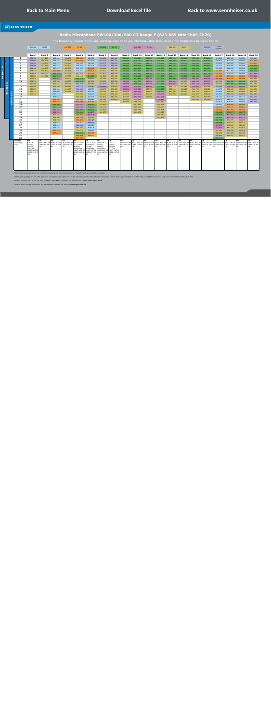#### **Radio Microphone EW100/300/500 G3 Range E (823-865 MHz Ch65-Ch70)**

The frequency presets within any one frequency BANK are intermodulation-free. Do not mix frequencies between BANKS

<span id="page-16-0"></span>

|           |                  |                          | 822-830            | CH 65   |                                    | 830-838                                        | CH 66                   |                                                 | 838-846                         | CH 67             |                                 | 846-854                             | CH 68     |           | 854-862                                                                                                                                                  | CH 69   |           | 863-865   | Licence<br>Exempt |           |           |                          |
|-----------|------------------|--------------------------|--------------------|---------|------------------------------------|------------------------------------------------|-------------------------|-------------------------------------------------|---------------------------------|-------------------|---------------------------------|-------------------------------------|-----------|-----------|----------------------------------------------------------------------------------------------------------------------------------------------------------|---------|-----------|-----------|-------------------|-----------|-----------|--------------------------|
|           |                  |                          |                    |         |                                    |                                                |                         |                                                 |                                 |                   |                                 |                                     |           |           |                                                                                                                                                          |         |           |           |                   |           |           |                          |
|           |                  |                          | Bank 1             | Bank 2  | Bank 3                             | Bank 4                                         | Bank 5                  | Bank 6                                          | Bank 7                          | Bank 8            | Bank 9                          | Bank 10                             | Bank 11   | Bank 12   | Bank 13                                                                                                                                                  | Bank 14 | Bank 15   | Bank 16   | Bank 17           | Bank 18   | Bank 19   | Bank 20                  |
|           |                  | -1                       | 863.100            | 855.275 | 823,000                            | 854.100                                        | 832.950                 | 823.000                                         | 864.950                         | 863.100           | 838.100                         | 838,250                             | 838,250   | 838,100   | 838.100                                                                                                                                                  | 838,100 | 838,250   | 838,850   | 823.000           | 823.100   | 823.200   | 826.900                  |
|           |                  | $\overline{\mathbf{2}}$  | 863.500            | 856.175 | 823.375                            | 854.475                                        | 830.850                 | 823.875                                         | 864.350                         | 863.500           | 838.500                         | 838,700                             | 838,700   | 838,475   | 838.500                                                                                                                                                  | 838,600 | 838.700   | 839,400   | 823.875           | 823.500   | 823.600   | 831.300                  |
|           |                  | 3                        | 864,300            | 856.575 | 826.125                            | 854.975                                        | 829,000                 | 824,500                                         | 863.975                         | 864,200           | 839.100                         | 839.300                             | 839.350   | 838.975   | 839.050                                                                                                                                                  | 839.575 | 839.250   | 840.525   | 824.500           | 824.100   | 824.200   | 834,400                  |
| N         |                  | 4                        | 864,900            | 857.625 | 826.575                            | 855.600                                        | 828.225                 | 827.175                                         | 863.150                         | 864.800           | 839.900                         | 840.475                             | 840.650   | 839.600   | 839.750                                                                                                                                                  | 840.800 | 839.900   | 841.125   | 827.175           | 824.900   | 825.000   | 838,200                  |
|           |                  | 5.                       | 854.100            | 858.200 | 827.975                            | 856.000                                        | 825.250                 | 831.800                                         | 860.900                         | 854.100           | 840.350                         | 840.900                             | 841.050   | 840.000   | 840.750                                                                                                                                                  | 843.250 | 840.950   | 841.925   | 829.625           | 826.100   | 826.200   | 842.900                  |
| $\bullet$ |                  | 6                        | 854,475            | 860,400 | 831.800                            | 856.525                                        | 824.675                 | 836.625                                         | 860.375                         | 854.475           | 841.000                         | 841.450                             | 842.200   | 840.525   | 841.575                                                                                                                                                  | 843.825 | 841.725   | 842.325   | 831.800           | 827,700   | 827,800   | 845.600                  |
| $\bullet$ |                  | $\overline{\phantom{a}}$ | 854.975            | 860.900 | 839.250                            | 857.275                                        | 860.850                 | 837.825                                         | 857.975                         | 854.925           | 841.900                         | 841.825                             | 844.100   | 841.225   | 842.675                                                                                                                                                  | 845.500 | 842.825   | 844.775   | 836.625           | 829.900   | 830.000   | 847.800                  |
|           |                  | 8                        | 855.600            | 861.550 | 841.725                            | 857.750                                        | 854.125                 | 841.725                                         | 856.550                         | 855.450           | 843.100                         | 842.925                             | 844.675   | 841.675   | 844.425                                                                                                                                                  | 845.900 | 844.100   | 846.850   | 837.825           | 833.100   | 833.200   | 851.200                  |
|           |                  | 9                        | 856.025            |         | 850.925                            | 858.700                                        | 845.550                 | 856.050                                         | 856.100                         | 855.875           | 845.500                         | 843.400                             | 846.700   | 842.275   | 845.900                                                                                                                                                  | 849.325 | 848.425   | 849.425   | 847.525           | 835.500   | 835.600   | 854.900                  |
|           |                  | 10                       | 856.575            |         | 855.250                            | 859.350                                        | 840.350                 | 857.850                                         | 854.825                         | 856.525           | 846.550                         | 844.775                             | 847.900   | 843.075   | 851.200                                                                                                                                                  | 854.100 | 849.825   | 850.275   | 858.700           | 840.300   | 840.400   | 856.000                  |
|           | 24<br>÷          | 11                       | 857.300            |         | 861.225                            | 859.775                                        | 864,200                 | 861.550                                         | 863.525                         | 857.025           | 848,500                         | 845.650                             | 852.150   | 843.625   | 851.950                                                                                                                                                  | 856.050 | 852.150   | 851.550   | 860.625           | 844.300   | 844.400   | 857,700                  |
|           |                  | 12                       | 858.300            |         | 861.900                            | 860.325                                        | 863.175                 | 864.425                                         | 854.000                         | 858.025           | 849.650                         | 846.850                             | 853.800   | 844.725   | 856.175                                                                                                                                                  | 857.325 | 853.600   | 855.400   | 865.000           | 848.700   | 848.800   | 860.100                  |
|           | 300              | 13                       | 858.875            |         | 824.500                            | 861.175                                        | 863.600                 | 823.375                                         | 854.375                         | 858.500           | 853.600                         | 847.350                             | 857.925   | 845.450   | 859.200                                                                                                                                                  | 858.425 | 854.750   | 858.025   | 823.375           | 856.100   | 856.200   | 861.000                  |
|           | $\geq$<br>$\sim$ | 14                       | 860.325            |         | 824.900                            | 861.625                                        | 859.800                 | 824.900                                         | 855.200                         | 859.750           | 854.350                         | 850.125                             | 858.925   | 846.900   | 861.400                                                                                                                                                  | 860.250 | 855.350   | 859.100   | 824.900           | 859.500   | 859.600   | 861.700                  |
|           |                  | 15                       | 861.425            |         | 827.175                            |                                                | 859,300                 | 826.575                                         | 855.725                         | 860.300           | 855.650                         | 851.625                             | 861.100   | 848.475   | 861.900                                                                                                                                                  | 860.950 | 859,400   | 859,600   | 825.425           | 864,700   | 864.800   | 862.200                  |
|           | 8                | 16                       |                    |         | 829.625                            |                                                | 856,600                 | 827.975                                         | 856.925                         | 861.200           | 859,700                         | 853.600                             | 861.600   | 851.725   |                                                                                                                                                          |         | 860.100   | 861.050   | 826.125           | 825.275   | 825.375   | 863.000                  |
|           | <b>In</b>        | 17                       |                    |         | 830.350                            |                                                | 855.250                 | 829.625                                         | 857.525                         | 861.825           | 860.400                         | 854.850                             |           | 852.925   |                                                                                                                                                          |         | 861.600   | 861.800   | 826.575           | 826.575   | 826.675   | 863.600                  |
|           | 3                | 18                       |                    |         | 836.625                            |                                                | 853.600                 | 830.350                                         | 858.350                         |                   | 861.900                         | 856.600                             |           | 854.350   |                                                                                                                                                          |         |           |           | 827.975           | 828.400   | 828.500   | 864.000                  |
|           |                  | 19                       |                    |         | 838.400                            |                                                | 850.275                 | 838.400                                         | 858.800                         |                   |                                 | 857.925                             |           | 855.125   |                                                                                                                                                          |         |           |           | 828.525           | 830.950   | 831.050   |                          |
|           |                  | 20                       |                    |         | 840.975                            |                                                | 846,700                 | 839.250                                         | 859.550                         |                   |                                 | 860,100                             |           | 856.075   |                                                                                                                                                          |         |           |           | 830.350           | 834.725   | 834.825   |                          |
|           |                  | 21                       |                    |         | 847.525                            |                                                | 841.875                 | 840.975                                         | 859.925                         |                   |                                 | 860.775                             |           | 856.825   |                                                                                                                                                          |         |           |           | 833.375           | 837.250   | 837.350   |                          |
|           |                  | 22                       |                    |         | 852.525                            |                                                | 838.400                 | 846.275                                         | 861.275                         |                   |                                 | 861.175                             |           | 859.625   |                                                                                                                                                          |         |           |           | 838,400           | 838.275   | 838.375   |                          |
|           |                  | 23                       |                    |         | 857.775                            |                                                | 836.075                 | 847.525                                         |                                 |                   |                                 |                                     |           | 860,950   |                                                                                                                                                          |         |           |           | 839,250           | 847.050   | 847.150   |                          |
|           |                  | 24                       |                    |         | 859.100                            |                                                | 834,750                 | 854.450                                         |                                 |                   |                                 |                                     |           | 861.625   |                                                                                                                                                          |         |           |           | 840.975           | 852.075   | 852.175   |                          |
|           |                  | 25                       |                    |         | 859,750                            |                                                | 832.400                 | 863.425                                         |                                 |                   |                                 |                                     |           |           |                                                                                                                                                          |         |           |           | 841.725           | 854.775   | 854.875   |                          |
|           |                  | 26                       |                    |         | 823.875                            |                                                | 825.975                 | 864.900                                         |                                 |                   |                                 |                                     |           |           |                                                                                                                                                          |         |           |           | 843.200           | 858.075   | 858.175   |                          |
|           |                  | 27                       |                    |         | 825.425                            |                                                | 864.650                 | 825.425                                         |                                 |                   |                                 |                                     |           |           |                                                                                                                                                          |         |           |           | 850.875           | 859.000   | 859,100   |                          |
|           |                  | 28                       |                    |         | 828.525                            |                                                | 861.325                 | 826.125                                         |                                 |                   |                                 |                                     |           |           |                                                                                                                                                          |         |           |           | 852.050           | 861.725   | 861.825   |                          |
|           |                  | 29                       |                    |         | 833.375                            |                                                | 856.175                 | 828.525                                         |                                 |                   |                                 |                                     |           |           |                                                                                                                                                          |         |           |           | 857.625           | 862.350   | 862.450   |                          |
|           |                  | 30                       |                    |         | 837.825                            |                                                | 839.050                 | 833.375                                         |                                 |                   |                                 |                                     |           |           |                                                                                                                                                          |         |           |           | 858.275           | 861.225   | 861.325   |                          |
|           |                  | 31                       |                    |         |                                    |                                                | 838.000                 | 860.575                                         |                                 |                   |                                 |                                     |           |           |                                                                                                                                                          |         |           |           | 864.050           | 860.475   | 860.575   |                          |
|           |                  | 32                       |                    | UK      | <b>UK</b>                          | UK                                             | 835,300                 |                                                 |                                 |                   |                                 | UK                                  |           |           |                                                                                                                                                          |         |           |           | 840.375           |           |           |                          |
|           |                  | Country<br>Usergroup     | UK<br>CH 1-4       |         | MUST NOT BE MUST NOT BE MUST NOT B |                                                | <b>UK</b><br>CH 11-13 & | UK<br>CH 12, 25 &                               | <b>UK</b><br>CH 1-4 & 11 CH 1-4 | <b>UK</b>         | <b>UK</b><br><b>MUST NOT BE</b> |                                     | <b>UK</b> | <b>UK</b> | <b>UK</b><br>I MUST NOT BE I MUST NOT BE I MUST NOT BE I MUST NOT BE I MUST NOT BE I MUST NOT BE I MUST NOT BE I MUST NOT BE I MUST NOT BE I MUST NOT BE | UK      | <b>UK</b> | l UK      | <b>UK</b>         | <b>UK</b> | <b>UK</b> | <b>UK</b><br>MUST NOT BE |
|           |                  | Notes                    | Licence            |         |                                    | USED IN THE USED IN THE USED IN THE 27 Licence |                         | 26 Licence                                      | Licence                         | Licence           |                                 | USED IN THE USED IN THE USED IN THE |           |           | USED IN THE USED IN THE USED IN THE USED IN THE USED IN THE USED IN THE USED IN THE USED IN THE                                                          |         |           |           |                   |           |           | USED IN THE              |
|           |                  |                          | Exempt<br>CH 5-15  | UK      | UK                                 | <b>UK</b>                                      | Exempt.<br>Remainder    | Exempt.<br>Remainder                            | Exempt.<br>Remainder            | Exempt<br>CH 5-16 | <b>UK</b>                       | <b>UK</b>                           | UK        | UK        | <b>UK</b>                                                                                                                                                | UK      | <b>UK</b> | <b>UK</b> | <b>UK</b>         | <b>UK</b> | <b>UK</b> | <b>UK</b>                |
|           |                  |                          | MUST NOT BI        |         |                                    |                                                |                         | MUST NOT BE MUST NOT BE MUST NOT BE MUST NOT B  |                                 |                   |                                 |                                     |           |           |                                                                                                                                                          |         |           |           |                   |           |           |                          |
|           |                  |                          | <b>USED IN THE</b> |         |                                    |                                                |                         | USED IN THE USED IN THE USED IN THE USED IN THE |                                 |                   |                                 |                                     |           |           |                                                                                                                                                          |         |           |           |                   |           |           |                          |
|           |                  |                          | UK                 |         |                                    |                                                | UK                      | UK.                                             | <b>UK</b>                       | <b>UK</b>         |                                 |                                     |           |           |                                                                                                                                                          |         |           |           |                   |           |           |                          |
|           |                  |                          |                    |         |                                    |                                                |                         |                                                 |                                 |                   |                                 |                                     |           |           |                                                                                                                                                          |         |           |           |                   |           |           |                          |
|           |                  |                          |                    |         |                                    |                                                |                         |                                                 |                                 |                   |                                 |                                     |           |           |                                                                                                                                                          |         |           |           |                   |           |           |                          |
|           |                  |                          |                    |         |                                    |                                                |                         |                                                 |                                 |                   |                                 |                                     |           |           |                                                                                                                                                          |         |           |           |                   |           |           |                          |
|           |                  |                          |                    |         |                                    |                                                |                         |                                                 |                                 |                   |                                 |                                     |           |           |                                                                                                                                                          |         |           |           |                   |           |           |                          |
|           |                  |                          |                    |         |                                    |                                                |                         |                                                 |                                 |                   |                                 |                                     |           |           |                                                                                                                                                          |         |           |           |                   |           |           |                          |
|           |                  |                          |                    |         |                                    |                                                |                         |                                                 |                                 |                   |                                 |                                     |           |           |                                                                                                                                                          |         |           |           |                   |           |           |                          |

The frequency presets within any one frequency bank are intermodulation-free. These frequencies cannot be changed.

The frequency banks "U" (ew 100: bank "U", ew 300/ew 500: banks "U1"-"U6") allow the user to store individual frequencies which are freely selectable in 25-kHz steps. It might be that these frequencies are not intermodulat

From 01 January 2013 in the UK, only 863 MHz - 865 MHz is available. For more details contact **www.pmse.co.uk**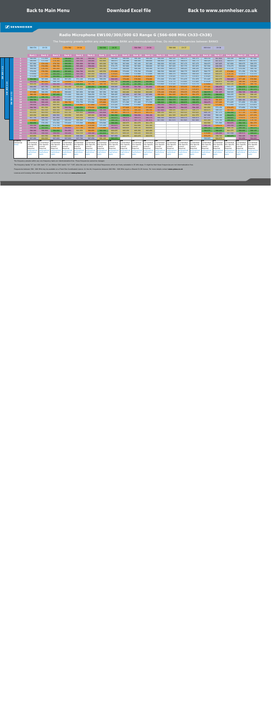**EW 100 1-12**

EW 100 1-12

#### **Radio Microphone EW100/300/500 G3 Range G (566-608 MHz Ch33-Ch38)**

The frequency presets within any one frequency BANK are intermodulation-free. Do not mix frequencies between BANKS

<span id="page-17-0"></span>

|         |                 | 566-574              | CH 33                |                     | 574-582              | CH 34                |                     | 582-590              | CH 35                |                     | 590-598             | CH 36               |                      | 598-606             | <b>CH 37</b>        |                     | 606-614              | <b>CH 38</b>         |                     |                     |                      |
|---------|-----------------|----------------------|----------------------|---------------------|----------------------|----------------------|---------------------|----------------------|----------------------|---------------------|---------------------|---------------------|----------------------|---------------------|---------------------|---------------------|----------------------|----------------------|---------------------|---------------------|----------------------|
|         |                 |                      |                      |                     |                      |                      |                     |                      |                      |                     |                     |                     |                      |                     |                     |                     |                      |                      |                     |                     |                      |
|         |                 | <b>Bank 1</b>        | <b>Bank 2</b>        | <b>Bank 3</b>       | <b>Bank 4</b>        | <b>Bank 5</b>        | <b>Bank 6</b>       | <b>Bank 7</b>        | <b>Bank 8</b>        | <b>Bank 9</b>       | <b>Bank 10</b>      | <b>Bank 11</b>      | <b>Bank 12</b>       | <b>Bank 13</b>      | <b>Bank 14</b>      | <b>Bank 15</b>      | <b>Bank 16</b>       | <b>Bank 17</b>       | <b>Bank 18</b>      | <b>Bank 19</b>      | <b>Bank 20</b>       |
|         |                 | 566.450              | 572.400              | 578.400             | 584.400              | 590.700              | 596.400             | 602.250              | 566.000              | 566.000             | 566.100             | 566.200             | 566.000              | 566.125             | 566.275             | 566.375             | 566.150              | 607.850              | 566.100             | 568.100             | 567.500              |
|         |                 | 566.950              | 573.100              | 579.300             | 584.900              | 591.550              | 596.800             | 602.800              | 566.875              | 566.400             | 566.500             | 566.600             | 566.400              | 566.525             | 566.675             | 566.775             | 566.525              | 607.475              | 566.975             | 568.475             | 567.875              |
|         |                 | 567.900              | 574.100              | 579.700             | 585.550              | 592.600              | 597.500             | 603.200              | 567.500              | 567.000             | 567.100             | 567.200             | 566.900              | 567.025             | 567.175             | 567.275             | 566.975              | 607.025              | 567.600             | 568.975             | 568.375              |
|         |                 | 568.350              | 574.950              | 580.750             | 586.000              | 593.400              | 598.000             | 604.300              | 570.175              | 567.800             | 567.900             | 568.000             | 567.500              | 567.625             | 567.775             | 567.875             | 567.500              | 606.500              | 570.275             | 569.600             | 569.000              |
|         |                 | 569.500              | 576.150              | 581.200             | 586.850              | 593.950              | 599.400             | 605.100              | 572.625              | 569.000             | 569.100             | 569.200             | 567.950              | 568.075             | 568.225             | 568.325             | 568.100              | 605.900              | 572.725             | 570.350             | 569.750              |
|         |                 | 570.050              | 576.550              | 582.400             | 587.400              | 594.700              | 600.050             | 605.550              | 574.800              | 570.600             | 570.700             | 570.800             | 568.500              | 568.625             | 568.775             | 568.875             | 568.775              | 605.225              | 574.900             | 571.350             | 570.750              |
|         |                 | 570.850              | 577.200              | 583.250             | 588,600              | 595.100              | 601.050             | 606.550              | 579.625              | 572,800             | 572.900             | 573.000             | 569.150              | 569.275             | 569.425             | 569.525             | 569.525              | 604.475              | 579.725             | 572.975             | 572.375              |
|         |                 | 571.250              | 577.650              | 583.800             | 589,500              | 595.700              | 601.600             | 607,700              | 580.825              | 576.000             | 576.100             | 576.200             | 570.500              | 570.625             | 570.775             | 570.875             | 570.425              | 603.575              | 580.925             | 574.975             | 574.375              |
|         |                 | 584.300              | 567.900              | 568.100             | 567.250              | 571.100              | 570.200             | 568.250              | 590.525              | 578,400             | 578.500             | 578.600             | 571.200              | 571.325             | 571.475             | 571.575             | 571.625              | 602.375              | 590.625             | 577.100             | 576.500              |
|         | 10              | 591.550              | 581.850              | 568.700             | 574.450              | 578.450              | 575.900             | 574.850              | 601.700              | 583.200             | 583.300             | 583.400             | 572.650              | 572.775             | 572.925             | 573.025             | 573.125              | 600.875              | 601.800             | 580.100             | 579.500              |
| 24<br>÷ | 11              | 604.250              | 597.000              | 592.250             | 598.000              | 584.450              | 581.750             | 580,700              | 603.625              | 587.200             | 587.300             | 587.400             | 573.400              | 573.525             | 573.675             | 573.775             | 574.850              | 599.150              | 603.725             | 581.350             | 580.750              |
|         | 12 <sub>1</sub> | 606.450              | 607.750              | 603.500             | 601.150              | 605.600              | 585.050             | 587.900              | 608.000              | 591.600             | 591.700             | 591.800             | 575.100              | 575.225             | 575.375             | 575.475             | 577.325              | 596.675              | 566.475             | 584.475             | 583.875              |
| 300     | 13              | 572.800              | 566.150              | 573.800             | 567.850              | 566.450              | 566.450             | 566.300              | 566.375              | 599.000             | 599.100             | 599.200             | 576.500              | 576.625             | 576.775             | 576.875             | 580.400              | 593.600              | 568.000             | 587.975             | 587.375              |
| $\geq$  | 14              | 577.900              | 566.950              | 575.150             | 568.900              | 567.650              | 567.800             | 567.350              | 567.900              | 602.400             | 602.500             | 602.600             | 579.100              | 579.225             | 579.375             | 579.475             | 582.575              | 591.425              | 568.525             | 592.725             | 590.125              |
|         | m<br>15<br>ਵ    | 580.150              | 580.900              | 587.450             | 571.600              | 568.100              | 568.250             | 571.700              | 568.425              | 607.600             | 607.700             | 607.800             | 580.900              | 581.025             | 581.175             | 581.275             | 585.350              | 588.650              | 569.225             | 598.350             | 598.125              |
|         | 16              | 586.550              | 586.700              | 597.200             | 572.200              | 569.900              | 569.600             | 572.450              | 569.125              | 568.175             | 568.275             | 568.375             | 582.050              | 582.175             | 582.325             | 582.425             | 589.025              | 584.975              | 569.675             | 603.350             | 602.000              |
|         | 500<br>17       | 589.750              | 590.300              | 597.950             | 573.850              | 571.550              | 571.700             | 574.100              | 569.575              | 569.475             | 569.575             | 569.675             | 583.950              | 584.075             | 584.225             | 584.325             | 592.175              | 581.825              | 571.075             | 606.100             | 607.000              |
|         | 18              | 593.550              | 593.100              | 600.200             | 580.750              | 572.750              | 573.500             | 575.900              | 570.975              | 571.300             | 571.400             | 571.500             | 588.600              | 588.725             | 588.875             | 588.975             | 596.675              | 577.325              | 571.625             | 571.850             | 571.250              |
|         | 19              | 595.050              | 595.250              | 600.950             | 582.100              | 576.800              | 577.850             | 578,900              | 571.525              | 573.850             | 573.950             | 574.050             | 593.150              | 593.275             | 593.425             | 593.525             | 598.550              | 575.450              | 573.450             | 572.475             | 571.875              |
|         | 20              | 596.700              | 601.300              | 602.750             | 595.750              | 583.550              | 578.600             | 582.800              | 573.350              | 577.625             | 577.725             | 577.825             | 593.950              | 594.075             | 594.225             | 594.325             | 601.850              | 572.150              | 576.475             | 573.850             | 573.750              |
|         | 21              | 599.550              | 602.100              | 604.100             | 598,600              | 586.100              | 589.550             | 591.350              | 576.375              | 580.150             | 580.250             | 580.350             | 597.900              | 598.025             | 598.175             | 598.275             | 605.675              | 568.325              | 581.500             | 574.350             | 575.500              |
|         | 22              | 601.050              | 602.650              | 605.900             | 601.750              | 600.050              | 594.650             | 593.450              | 581.400              | 581.175             | 581.275             | 581.375             | 600.250              | 600.375             | 600.525             | 600.625             | 606.725              | 567.275              | 582.350             | 577.725             | 577.000              |
|         | 23              | 603.250              | 606.000              | 606.500             | 603.550              | 603.950              | 605.000             | 597.500              | 582.250              | 589.950             | 590.050             | 590.150             | 601.200              | 601.325             | 601.475             | 601.575             | 607.900              | 566.100              | 584.075             | 578.975             | 577.375              |
|         | 24              | 607.750              | 606.950              | 607.850             | 606,100              | 605.150              | 606.050             | 598,550              | 583.975              | 594.975             | 595.075             | 595.175             | 606,300              | 606.425             | 606.575             | 606.675             | 607.275              | 566.725              | 584.825             | 579.475             | 578.375              |
|         | 25              | 574.900              | 569.350              | 569.900             | 566.500              | 566.900              | 572.900             | 568.850              | 584.725              | 597.675             | 597.775             | 597.875             | 607.550              | 607.675             | 607.825             | 607.925             | 603.300              | 570.700              | 586.300             | 582.225             | 578.750              |
|         | 26              | 582.650              | 570.250              | 571.550             | 570,400              | 573.500              | 574.250             | 570.500              | 586.200              | 600.975             | 601.075             | 601.175             |                      |                     |                     |                     | 602.500              | 571.500              | 593.975             | 582.725             | 581.375              |
|         | 27              | 593.150              | 583.350              | 572.750             | 574.900              | 574.700              | 576.500             | 571.250              | 593.875              | 601.900             | 602.000             | 602.100             |                      |                     |                     |                     | 595.725              | 578.275              | 595.150             | 588.475             | 581.875              |
|         | 28              | 594.200              | 583.900              | 575.750             | 590.800              | 577.700              | 580.400             | 576.800              | 595.050              | 604.625             | 604.725             | 604.825             |                      |                     |                     |                     | 589.725              | 584.275              | 600.725             | 589.100             | 583.375              |
|         | 29              | 596.200              | 590.800              | 584.600             | 591.850              | 600.950              | 580.850             | 582.200              | 600.625              | 605.250             | 605.350             | 605.450             |                      |                     |                     |                     | 584.575              | 589.425              | 601.375             | 589.600             | 588.125              |
|         | 30              | 597.550              | 594.500              | 594.650             | 593.200              | 602.150              | 590.300             | 583.850              | 601.275              | 604.125             | 604.225             | 604.325             |                      |                     |                     |                     | 579.000              | 595.000              | 607.150             | 590.975             | 588.625              |
|         | 31<br>32        | 603.850              | 603.550              | 598.550             | 600.100              | 606.500              | 602.900             | 596.300              | 607.050              | 603.375             | 603.475             | 603.575             |                      |                     |                     |                     | 575.275              | 598.725              | 583.475             | 592.225             | 590.500              |
|         | Country         | 607.200<br><b>UK</b> | 604.600<br><b>UK</b> | 607.400<br>UK       | 607.900<br><b>UK</b> | 607.700<br><b>UK</b> | 607.250<br>UK       | 601.100<br><b>UK</b> | 583.375<br><b>UK</b> | UK                  | <b>UK</b>           | <b>UK</b>           | UK                   | <b>UK</b>           | <b>UK</b>           | <b>UK</b>           | 569.925<br><b>UK</b> | 604.075<br>UK        | UK                  | 593.850<br>UΚ       | 592.625<br>UK        |
|         | Usergroup       | Coordinated          | Coordinated          | Coordinated         | Coordinated          | Coordinated          | Coordinated         | Coordinated          | Coordinated          | Coordinated         | Coordinated         | Coordinated         | Coordinated          | Coordinated         | Coordinated         | Coordinated         | Coordinated          | Coordinated          | Coordinated         | Coordinated         | Coordinated          |
|         | <b>Notes</b>    | Site Specific        | <b>Site Specific</b> | Site Specific       | Site Specific        | <b>Site Specific</b> | Site Specific       | Site Specific        | <b>Site Specific</b> | Site Specific       | Site Specific       | Site Specific       | <b>Site Specific</b> | Site Specific       | Site Specific       | Site Specific       | Site Specific        | <b>Site Specific</b> | Site Specific       | Site Specific       | <b>Site Specific</b> |
|         |                 | Licence<br>Required  | Licence<br>Required  | Licence<br>Required | Licence<br>Required  | icence<br>Required   | Licence<br>Required | Licence<br>Required  | Licence<br>Required  | Licence<br>Required | Licence<br>Required | Licence<br>Required | Licence<br>Required  | Licence<br>Required | Licence<br>Required | Licence<br>Required | Licence<br>Required  | Licence<br>Required  | Licence<br>Required | Licence<br>Required | Licence<br>Required  |
|         |                 | qeoqraphio           | qeoqraphica          | geographica         | geographical         | geographica          | qeoqraphica         | geographical         | geographic           | <i>aeographica</i>  | geographica         | <i>aeographica</i>  | geographica.         | qeographic          | geographica         | qeographio          | qeoqraphical         | <i>aeographica</i>   | geographica         | qeoqraphica         | geographical         |
|         |                 | restrictions         | <b>restrictions</b>  | restrictions        | restrictions         | estrictions          | restrictions        | restrictions         | restrictions         | estrictions         | restrictions        | restrictions        | restrictions         | restrictions        | <i>restrictions</i> | restrictions        | restrictions         | restrictions         | restrictions        | restrictions        | restrictions         |
|         |                 | apply                | apply                | apply               | apply                | <i><b>apply</b></i>  | apply               | apply                | apply                | apply               | apply               | apply               | apply                | apply               | apply               | apply               | apply                | apply                | apply               | apply               | apply                |

The frequency presets within any one frequency bank are intermodulation-free. These frequencies cannot be changed.

The frequency banks "U" (ew 100: bank "U", ew 300/ew 500: banks "U1"-"U6") allow the user to store individual frequencies which are freely selectable in 25-kHz steps. It might be that these frequencies are not intermodulat

Frequencies between 566 - 606 MHz may be available on a Fixed Site Coordinated Licence. In the UK, frequencies between 606 MHz - 608 MHz require a Shared Ch.38 licence. For more details contact **www.pmse.co.uk**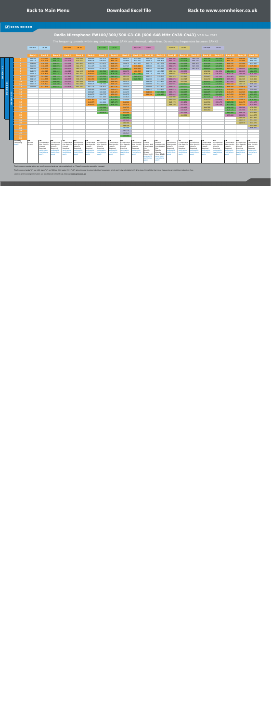#### **Radio Microphone EW100/300/500 G3-GB (606-648 MHz Ch38-Ch43)** V2.0 Jan 2013

<span id="page-18-0"></span>

|                |                   |              | 606-614       | CH 38                    |                                 | 614-622                  | CH 39                        |                          | 622-630                  | CH 40                    |                                 | 630-638                  | CH 41                      |                            | 638-646                         | <b>CH 42</b>             |                          | 646-654                  | <b>CH 43</b>             |                          |                             |                          |
|----------------|-------------------|--------------|---------------|--------------------------|---------------------------------|--------------------------|------------------------------|--------------------------|--------------------------|--------------------------|---------------------------------|--------------------------|----------------------------|----------------------------|---------------------------------|--------------------------|--------------------------|--------------------------|--------------------------|--------------------------|-----------------------------|--------------------------|
|                |                   |              |               |                          |                                 |                          |                              |                          |                          |                          |                                 |                          |                            |                            |                                 |                          |                          |                          |                          |                          |                             |                          |
|                |                   |              |               |                          |                                 |                          |                              |                          |                          |                          |                                 |                          |                            |                            |                                 |                          |                          |                          |                          |                          |                             |                          |
|                |                   |              | <b>Bank 1</b> | <b>Bank 2</b>            | <b>Bank 3</b>                   | <b>Bank 4</b>            | <b>Bank 5</b>                | <b>Bank 6</b>            | <b>Bank 7</b>            | <b>Bank 8</b>            | <b>Bank 9</b>                   | <b>Bank 10</b>           | <b>Bank 11</b>             | <b>Bank 12</b>             | <b>Bank 13</b>                  | <b>Bank 14</b>           | <b>Bank 15</b>           | <b>Bank 16</b>           | <b>Bank 17</b>           | <b>Bank 18</b>           | Bank 19                     | Bank 20                  |
|                |                   |              | 606.500       | 614.500                  | 622.500                         | 630.500                  | 638.500                      | 608.000                  | 607.375                  | 614.500                  | 606.975                         | 611.600                  | 606.500                    | 606.500                    | 630.500                         | 622.875                  | 646.150                  | 622.500                  | 622.500                  | 614.875                  | 614.500                     | 607.525                  |
|                |                   |              | 607.375       | 615.375                  | 623.375                         | 631.375                  | 639.375                      | 608.925                  | 608.425                  | 615.375                  | 607.600                         | 611.975                  | 606.875                    | 606.875                    | 631.375                         | 623.375                  | 646.525                  | 623.375                  | 623.375                  | 615.375                  | 616.000                     | 609.075                  |
|                |                   |              | 608.000       | 616.925                  | 624.925                         | 632.925                  | 640.925                      | 610.075                  | 610.475                  | 616.000                  | 609.675                         | 612.475                  | 607.375                    | 607.375                    | 632.000                         | 624.925                  | 646.975                  | 624.000                  | 624.000                  | 616.925                  | 616.400                     | 611.825                  |
|                |                   |              | 611.000       | 618.075                  | 626.075                         | 634.075                  | 642.075                      | 611.475                  | 612.000                  | 618.675                  | 612.725                         | 619.600                  | 608.000                    | 608.000                    | 634.675                         | 626.675                  | 647.350                  | 628.025                  | 626.675                  | 618.675                  | 620.025                     | 615.300                  |
| $\mathbf{N}$   |                   | 5            | 611.400       | 618.675                  | 626.675                         | 634.675                  | 642.675                      | 613.125                  | 613.275                  | 621.125                  | 624.825                         | 620.000                  | 608.425                    | 608.425                    | 637.125                         | 627.475                  | 647.875                  | 629.125                  | 629.125                  | 619.475                  | 630.925                     | 623.600                  |
|                |                   |              | 613.275       | 620.025                  | 628.025                         | 636.025                  | 644.025                      | 615.900                  | 622.500                  | 623.250                  | 633.975                         | 620.525                  | 609.325                    | 609.325                    | 639.250                         | 632.850                  |                          | 638.500                  | 631.250                  | 624.850                  | 632.225                     | 626.675                  |
| $\mathsf{S}$   |                   |              | 606.875       | 619.475                  | 627.475                         | 635.475                  | 643.475                      | 619.150                  | 623.050                  | 628.025                  | 635.225                         | 627.725                  | 609.775                    | 609.775                    | 644.025                         | 638.625                  |                          | 638.925                  | 636.025                  | 630.625                  | 633.300                     | 630.700                  |
| a              |                   | -8           | 608.425       | 621.125                  | 629.125                         | 637.125                  | 645.125                      | 619.575                  | 626.900                  | 629.325                  | 641.350                         | 628.175                  | 610.475                    | 610.475                    | 645.325                         | 641.425                  |                          | 640.225                  | 637.325                  | 633.425                  | 639.625                     | 640.075                  |
|                |                   | ം            | 609.325       | 614.875                  | 622.875                         | 630.875                  | 638.875                      | 621.450                  | 628.725                  | 614.875                  | 645.400                         | 628.750                  | 611.000                    | 611.000                    | 630.875                         | 643.725                  |                          | 642.150                  | 622.875                  | 635.725                  | 641.325                     | 640.500                  |
|                |                   | 10           | 609.775       | 616.000                  | 624.000                         | 632.000                  | 640.000                      | 606.500                  | 629.500                  | 616.400                  | 606.475                         |                          | 611.400                    | 611.400                    | 632.400                         | 645.025                  |                          | 622.875                  | 624.400                  | 637.025                  | 643.950                     | 641.850                  |
| $\overline{a}$ |                   | 11           | 610.475       | 616.400                  | 624.400                         | 632.400                  | 640.400                      | 606.875                  | 606.500                  | 616.925                  | 608.000                         |                          | 612.000                    | 612.000                    | 632.925                         | 622.500                  |                          | 624.400                  | 624.925                  | 614.500                  | 644.725                     | 646.500                  |
| ÷              |                   | 12           | 612.000       | 617.625                  | 625.625                         | 633.625                  | 641.625                      | 607.375                  | 606.875                  | 617.625                  | 608.525                         |                          | 612.800                    | 612.800                    | 633.625                         | 624.000                  |                          | 624.925                  | 625.625                  | 616.000                  | 614.875                     | 647.375                  |
| $\mathsf{S}$   |                   | 13           |               |                          |                                 |                          |                              | 608.400                  | 608.000                  | 618.075                  | 609.225                         |                          | 613.275                    | 613.275                    | 634.075                         | 624.400                  |                          | 625.625                  | 626.075                  | 616.400                  | 615.375                     | 648.000                  |
| $\bar{m}$      | N                 | 14           |               |                          |                                 |                          |                              | 609.625                  | 609.325                  | 619.475                  | 610.275                         |                          | 619.800                    | 627.600                    | 635.475                         | 626.075                  |                          | 626.075                  | 627.475                  | 618.075                  | 616.925                     | 624.150                  |
| 孟              | m                 | 15           |               |                          |                                 |                          |                              | 610.675                  | 609.775                  | 620.025                  | 611.075                         |                          | 620.350                    | 628.150                    | 636.025                         | 625.625                  |                          | 626.675                  | 628.025                  | 617.625                  | 617.625                     | 625.875                  |
|                |                   | <b>16</b>    |               |                          |                                 |                          |                              | 612.025                  | 611.000                  | 623.900                  | 611.625                         |                          |                            |                            | 639.900                         | 628.025                  |                          | 627.475                  | 631.900                  | 620.025                  | 618.075                     | 627.275                  |
|                | 8                 | 17           |               |                          |                                 |                          |                              | 615.250                  | 611.400                  | 624.850                  | 613.450                         |                          |                            |                            | 640.850                         | 629.125                  |                          | 639.500                  | 632.850                  | 621.125                  | 618.675                     | 628.375                  |
|                | $\mathbf{r}$<br>3 | 18           |               |                          |                                 |                          |                              | 616.975                  | 612.800                  | 627.175                  | 614.900                         |                          |                            |                            | 643.175                         | 631.250                  |                          | 640.700                  | 635.175                  | 623.250                  | 619.475                     | 631.175                  |
|                |                   | 19           |               |                          |                                 |                          |                              | 620.150                  | 624.525                  | 628.750                  | 616.475                         |                          |                            |                            | 644.750                         | 631.900                  |                          | 643.050                  | 636.750                  | 623.900                  | 621.125                     | 634.950                  |
|                |                   | 20           |               |                          |                                 |                          |                              |                          | 625.200                  |                          | 619.725                         |                          |                            |                            |                                 | 634.125                  |                          | 644.300                  |                          | 626.125                  | 630.500                     | 638.500                  |
|                |                   | 21           |               |                          |                                 |                          |                              |                          | 626.175                  |                          | 620.925                         |                          |                            |                            |                                 | 636.125                  |                          | 645.050                  |                          | 628.125                  | 631.500                     | 638.900                  |
|                |                   | 22           |               |                          |                                 |                          |                              |                          | 628.075                  |                          | 621.500                         |                          |                            |                            |                                 | 637.300                  |                          |                          |                          | 629.300                  | 634.750                     | 639.425                  |
|                |                   | 23           |               |                          |                                 |                          |                              |                          |                          |                          | 624.075                         |                          |                            |                            |                                 | 643.000                  |                          |                          |                          | 635.000                  | 636.850                     | 641.075                  |
|                |                   | 24           |               |                          |                                 |                          |                              |                          |                          |                          | 626.300                         |                          |                            |                            |                                 |                          |                          |                          |                          |                          | 639.150                     | 642.300                  |
|                |                   | 25           |               |                          |                                 |                          |                              |                          |                          |                          | 637.425                         |                          |                            |                            |                                 |                          |                          |                          |                          |                          | 640.575                     | 643.050                  |
|                |                   | 26           |               |                          |                                 |                          |                              |                          |                          |                          | 639.750                         |                          |                            |                            |                                 |                          |                          |                          |                          |                          | 642.575                     | 644.675                  |
|                |                   | 27           |               |                          |                                 |                          |                              |                          |                          |                          | 644.750                         |                          |                            |                            |                                 |                          |                          |                          |                          |                          |                             | 645.350                  |
|                |                   | 28           |               |                          |                                 |                          |                              |                          |                          |                          | 606.100                         |                          |                            |                            |                                 |                          |                          |                          |                          |                          |                             | 646.875                  |
|                |                   | 29           |               |                          |                                 |                          |                              |                          |                          |                          | 646.775                         |                          |                            |                            |                                 |                          |                          |                          |                          |                          |                             |                          |
|                |                   | 30           |               |                          |                                 |                          |                              |                          |                          |                          | 645.825                         |                          |                            |                            |                                 |                          |                          |                          |                          |                          |                             |                          |
|                |                   | 31           |               |                          |                                 |                          |                              |                          |                          |                          | 622.350                         |                          |                            |                            |                                 |                          |                          |                          |                          |                          |                             |                          |
|                |                   | 32           |               |                          |                                 |                          |                              |                          |                          |                          |                                 |                          |                            |                            |                                 |                          |                          |                          |                          |                          |                             |                          |
|                |                   | Country      | <b>UK</b>     | UK                       | <b>UK</b>                       | UK                       | <b>UK</b>                    | UK                       | <b>UK</b>                | UK                       | <b>UK</b>                       | UK                       | UK                         | UK                         | <b>UK</b>                       | UK                       | <b>UK</b>                | UK                       | UK                       | <b>UK</b>                | <b>UK</b>                   | UK                       |
|                |                   | Usergroup    | Shared        | Coordinated              | Coordinated                     | Coordinated              | Coordinated                  | Coordinated              | Coordinated              | Coordinated              | Coordinated                     | Coordinated              | Shared                     | Shared                     | Coordinated                     | Coordinated              | Coordinated              | Coordinated              | Coordinated              | Coordinated              | Coordinated                 | Coordinated              |
|                |                   | <b>Notes</b> | Licence       | Site Specific<br>Licence | <b>Site Specific</b><br>Licence | Site Specific<br>Licence | Site Specific<br>Licence     | Site Specific<br>Licence | Site Specific<br>Licence | Site Specific<br>Licence | <b>Site Specific</b><br>Licence | Site Specific<br>Licence | Licence AND<br>Coordinated | Licence AND<br>Coordinated | <b>Site Specific</b><br>Licence | Site Specific<br>Licence | Site Specific<br>Licence | Site Specific<br>Licence | Site Specific<br>Licence | Site Specific<br>Licence | Site Specific<br>Licence    | Site Specific<br>Licence |
|                |                   |              |               | Required                 | Required                        | Required                 | Required                     | Required                 | Required                 | Required                 | Required                        | Required                 | Site                       | Site                       | Required                        | Required                 | Required                 | Required                 | Required                 | Required                 | Required                    | Required                 |
|                |                   |              |               | qeographic               | qeoqraphic                      | qeographic               | geographic                   | geographic               | geographic               | qeoqraphic               | geographic                      | qeographic               | Specific                   | Specific                   | geographic                      | geographic               | qeographic               | qeographic               | qeographic               | geographic               | geographic                  | geographic               |
|                |                   |              |               | restrictions<br>apply    | restrictions<br>apply           | restrictions<br>apply    | <b>restrictions</b><br>apply | restrictions<br>apply    | restrictions<br>apply    | restrictions<br>apply    | restrictions<br>apply           | restrictions<br>apply    | icence<br>from 2012)       | Licence<br>(from 2012)     | restrictions<br>apply           | restrictions<br>apply    | restrictions<br>apply    | restrictions<br>apply    | restrictions<br>apply    | restrictions<br>apply    | restrictions<br><b>pply</b> | restrictions<br>apply    |
|                |                   |              |               |                          |                                 |                          |                              |                          |                          |                          |                                 |                          | geographic                 | geographic                 |                                 |                          |                          |                          |                          |                          |                             |                          |
|                |                   |              |               |                          |                                 |                          |                              |                          |                          |                          |                                 |                          | restrictions               | restrictions               |                                 |                          |                          |                          |                          |                          |                             |                          |
|                |                   |              |               |                          |                                 |                          |                              |                          |                          |                          |                                 |                          | apply                      | apply                      |                                 |                          |                          |                          |                          |                          |                             |                          |
|                |                   |              |               |                          |                                 |                          |                              |                          |                          |                          |                                 |                          |                            |                            |                                 |                          |                          |                          |                          |                          |                             |                          |

The frequency presets within any one frequency bank are intermodulation-free. These frequencies cannot be changed.

The frequency banks "U" (ew 100: bank "U", ew 300/ew 500: banks "U1"-"U6") allow the user to store individual frequencies which are freely selectable in 25-kHz steps. It might be that these frequencies are not intermodulat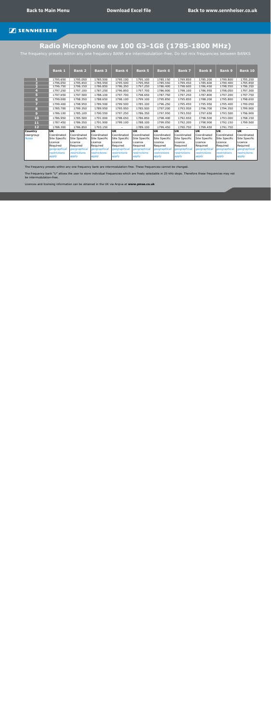# **Radio Microphone ew 100 G3-1G8 (1785-1800 MHz)**

<span id="page-19-0"></span>The frequency presets within any one frequency BANK are intermodulation-free. Do not mix frequencies between BANKS

|                         | <b>Bank 1</b> | <b>Bank 2</b> | <b>Bank 3</b> | <b>Bank 4</b> | <b>Bank 5</b> | <b>Bank 6</b>       | <b>Bank 7</b> | <b>Bank 8</b> | <b>Bank 9</b> | <b>Bank 10</b> |
|-------------------------|---------------|---------------|---------------|---------------|---------------|---------------------|---------------|---------------|---------------|----------------|
|                         | 1795.650      | 1795.050      | 1785.500      | 1795.100      | 1795.100      | 1785.150            | 1799.850      | 1785.200      | 1799.800      | 1795.250       |
| $\overline{\mathbf{2}}$ | 1796.050      | 1795.450      | 1785.950      | 1795.500      | 1795.950      | 1785.550            | 1799.450      | 1785.600      | 1799.400      | 1795.850       |
| 3                       | 1796.750      | 1796.150      | 1786.850      | 1796.350      | 1797.250      | 1786.400            | 1798.600      | 1786.450      | 1798.550      | 1796.350       |
| $\overline{4}$          | 1797.250      | 1797.100      | 1787.250      | 1796.850      | 1797.700      | 1786.900            | 1798.100      | 1786.950      | 1798.050      | 1797.300       |
| 5 <sub>1</sub>          | 1797.650      | 1797.500      | 1788.100      | 1797.700      | 1798.650      | 1787.750            | 1797.250      | 1787.800      | 1797.200      | 1797.750       |
| 6                       | 1799.000      | 1798.350      | 1788.650      | 1798.100      | 1799.100      | 1795.850            | 1795.850      | 1788.200      | 1795.800      | 1798.650       |
| $\overline{ }$          | 1799.400      | 1798.950      | 1789.500      | 1799.500      | 1785.100      | 1796.250            | 1795.450      | 1795.950      | 1795.400      | 1799.050       |
| 8                       | 1785.700      | 1799.350      | 1789.950      | 1795.950      | 1785.500      | 1797.200            | 1793.950      | 1796.700      | 1794.350      | 1799.900       |
| 9 <sup>°</sup>          | 1786.100      | 1785.100      | 1790.550      | 1797.250      | 1786.350      | 1797.950            | 1793.550      | 1797.650      | 1793.500      | 1796.900       |
| 10                      | 1786.950      | 1785.500      | 1791.000      | 1798.650      | 1786.850      | 1798.400            | 1792.650      | 1798.500      | 1793.000      | 1798.150       |
| 11                      | 1787.450      | 1786.350      | 1791.900      | 1799.100      | 1788.100      | 1799.050            | 1792.200      | 1798.900      | 1792.150      | 1799.500       |
| 12                      | 1788.300      | 1786.850      | 1793.150      |               | 1789.100      | 1799.450            | 1790.750      | 1799.450      | 1791.750      |                |
| <b>Country</b>          | <b>UK</b>     | <b>UK</b>     | UK            | <b>UK</b>     | <b>UK</b>     | <b>UK</b>           | <b>UK</b>     | <b>UK</b>     | <b>UK</b>     | <b>UK</b>      |
| Usergroup               | Coordinated   | Coordinated   | Coordinated   | Coordinated   | Coordinated   | Coordinated         | Coordinated   | Coordinated   | Coordinated   | Coordinated    |
| <b>Notes</b>            | Site Specific | Site Specific | Site Specific | Site Specific | Site Specific | Site Specific       | Site Specific | Site Specific | Site Specific | Site Specific  |
|                         | Licence       | Licence       | Licence       | Licence       | Licence       | Licence             | Licence       | Licence       | Licence       | Licence        |
|                         | Required      | Required      | Required      | Required      | Required      | Required            | Required      | Required      | Required      | Required       |
|                         | geographical  | geographical  | geographical  | geographical  | geographical  | geographical        | geographical  | geographical  | geographical  | geographical   |
|                         | restrictions  | restrictions  | restrictions  | restrictions  | restrictions  | <i>restrictions</i> | restrictions  | restrictions  | restrictions  | restrictions   |
|                         | apply         | apply         | apply         | apply         | apply         | apply               | apply         | apply         | apply         | apply          |

The frequency presets within any one frequency bank are intermodulation-free. These frequencies cannot be changed.

The frequency bank "U" allows the user to store individual frequencies which are freely selectable in 25-kHz steps. Therefore these frequencies may not be intermodulation-free.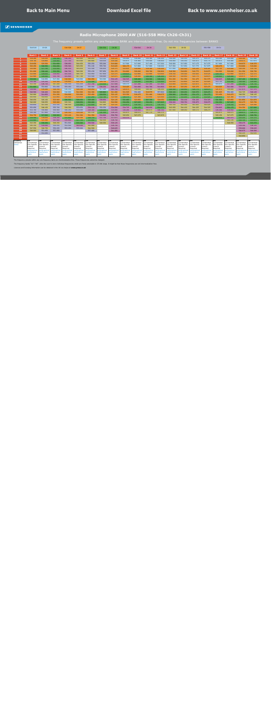<span id="page-20-0"></span>

|                       |                          |                       |                       |                                                                                                                    |                          |                       |                       |                       |                          |                       | Radio Microphone 2000 AW (516-558 MHz Ch26-Ch31) |                       |                             |                       |                          |                          |                          |                       |                              |                           |
|-----------------------|--------------------------|-----------------------|-----------------------|--------------------------------------------------------------------------------------------------------------------|--------------------------|-----------------------|-----------------------|-----------------------|--------------------------|-----------------------|--------------------------------------------------|-----------------------|-----------------------------|-----------------------|--------------------------|--------------------------|--------------------------|-----------------------|------------------------------|---------------------------|
|                       |                          |                       |                       | The frequency presets within any one frequency BANK are intermodulation-free. Do not mix frequencies between BANKS |                          |                       |                       |                       |                          |                       |                                                  |                       |                             |                       |                          |                          |                          |                       |                              |                           |
|                       | 510-518                  | CH 26                 |                       | 518-526                                                                                                            | <b>CH 27</b>             |                       | 526-534               | <b>CH 28</b>          |                          | 534-542               | CH 29                                            |                       | 542-550                     | CH 30                 |                          | 550-558                  | CH 31                    |                       |                              |                           |
|                       |                          |                       |                       |                                                                                                                    |                          |                       |                       |                       |                          |                       |                                                  |                       |                             |                       |                          |                          |                          |                       |                              |                           |
|                       | <b>Bank 1</b>            | <b>Bank 2</b>         | <b>Bank 3</b>         | <b>Bank 4</b>                                                                                                      | <b>Bank 5</b>            | <b>Bank 6</b>         | <b>Bank 7</b>         | <b>Bank 8</b>         | <b>Bank 9</b>            | <b>Bank 10</b>        | Bank 11                                          | <b>Bank 12</b>        | Bank 13                     | <b>Bank 14</b>        | <b>Bank 15</b>           | <b>Bank 16</b>           | <b>Bank 17</b>           | Bank 18               | Bank 19                      | <b>Bank 20</b>            |
|                       | 518.200                  | 524.250               | 530.100               | 536.350                                                                                                            | 542.900                  | 548.850               | 554.100               | 518.125               | 516.000                  | 516.000               | 516.100                                          | 516.200               | 516.000                     | 516.150               | 516.275                  | 516.375                  | 516.100                  | 516.000               | 518.100                      | 517.500                   |
| $\overline{2}$        | 518.700                  | 524.800               | 530.800               | 537.700                                                                                                            | 543.600                  | 549.800               | 554.550               | 518.500               | 516.875                  | 516.400               | 516.500                                          | 516.600               | 516.400                     | 516.550               | 516.675                  | 516.775                  | 516.975                  | 516.400               | 518.475                      | 517.875                   |
| 3<br>4 <sup>1</sup>   | 519.650<br>520.450       | 525.550<br>526.550    | 531.650<br>532.050    | 538.650<br>539.300                                                                                                 | 544.450<br>545.050       | 550.250<br>551.100    | 555.200<br>555.700    | 519.000<br>519.625    | 517.500<br>520.175       | 517.000<br>517.800    | 517.100<br>517.900                               | 517.200<br>518.000    | 516.900<br>517.500          | 517.050<br>517.650    | 517.175<br>517.775       | 517.275<br>517.875       | 517.600<br>520.275       | 517.000<br>517.800    | 518.975<br>519.600           | 518.375<br>519.000        |
| 5 <sup>7</sup>        | 520.900                  | 527.700               | 533.050               | 540.100                                                                                                            | 545.450                  | 551.500               | 556.450               | 520.375               | 522.625                  | 519.000               | 519.100                                          | 519.200               | 517.950                     | 518.100               | 518.225                  | 518.325                  | 522.725                  | 519.000               | 520.350                      | 519.750                   |
| 6                     | 521.600                  | 528.100               | 533.550               | 540.700                                                                                                            | 546.200                  | 552.150               | 557.050               | 521.375               | 524.800                  | 520.600               | 520.700                                          | 520.800               | 518.500                     | 518.650               | 518.775                  | 518.875                  | 524.900                  | 520.600               | 521.350                      | 520.750                   |
| $\overline{z}$        | 522.000                  | 529.050               | 534.850               | 541.100                                                                                                            | 546.750                  | 552.950               | 557.450               | 523.375               | 529.625                  | 522.800               | 522.900                                          | 523.000               | 519.150                     | 519.300               | 519.425                  | 519.525                  | 529.725                  | 522.800               | 522.975                      | 522.375                   |
| 8                     | 522.900                  | 529.500               | 535.750               | 541.800                                                                                                            | 547.700                  | 553.500               | 558,000               | 525.875               | 530.825                  | 526.000               | 526.100                                          | 526.200               | 520.500                     | 520.650               | 520.775                  | 520.875                  | 530.925                  | 526.000               | 524.975                      | 524.375                   |
| 9                     | 528.800                  | 516.950               | 517.300               | 518.900                                                                                                            | 516.900                  | 524.050               | 516.300               | 534.125               | 540.525                  | 528.400               | 528.500                                          | 528.600               | 521.200                     | 521.350               | 521.475                  | 521.575                  | 540.625                  | 528.400               | 527.100                      | 526.500                   |
| 10                    | 535.100                  | 535.250               | 523.300               | 519.800                                                                                                            | 524.750                  | 533.500               | 524.750               | 535.375               | 553.625                  | 533.200               | 533.300                                          | 533.400               | 522.650                     | 522.800               | 522.925                  | 523.025                  | 553.725                  | 533.200               | 530.100                      | 529.500                   |
| 11                    | 552.350                  | 536.750               | 547.200               | 550.100                                                                                                            | 551.250                  | 537.700               | 533.550               | 537.500               | 516.375                  | 537.200               | 537.300                                          | 537.400               | 523.400                     | 523.550               | 523.675                  | 523.775                  | 516.475                  | 537.200               | 531.350                      | 530.750                   |
| 12                    | 531.600                  | 554.900               | 551.050               | 555.050                                                                                                            | 553.200                  | 556.900               | 538.250               | 540.125               | 518.425                  | 541.600               | 541.700                                          | 541.800               | 525.100                     | 525.250               | 525.375                  | 525.475                  | 518.525                  | 541.600               | 534.475                      | 533.875                   |
| 13<br>14              | 539.900<br>540.500       | 519.200<br>540.400    | 520.150<br>520.800    | 516.150<br>516.900                                                                                                 | 518.100<br>521.900       | 518.950<br>522.300    | 517.200<br>526.800    | 541.750<br>521.000    | 520.975<br>521.525       | 549.000<br>552.400    | 549.100<br>519.575                               | 549.200<br>557.800    | 526.500<br>529.100          | 526.650<br>529.250    | 526.775<br>529.375       | 526.875<br>529.475       | 521.075<br>521.625       | 549.000<br>552.400    | 537.975<br>542.725           | 537.375<br>540.125        |
| 15                    | 542.900                  | 541.850               | 521.250               | 524.600                                                                                                            | 522.800                  | 523.450               | 529.550               | 522.125               | 523.350                  | 519.475               | 521.400                                          | 519.675               | 530.900                     | 531.050               | 531.175                  | 531.275                  | 523.450                  | 519.475               | 548.350                      | 548.125                   |
| 16                    | 543.950                  | 542.650               | 521.850               | 525.500                                                                                                            | 523.850                  | 527.250               | 532.700               | 522.500               | 526.375                  | 521.300               | 523.950                                          | 521.500               | 532.050                     | 532.200               | 532.325                  | 532.425                  | 526.475                  | 521.300               | 553.350                      | 552.000                   |
| 17                    | 546.050                  | 545.150               | 523.900               | 526.550                                                                                                            | 528.450                  | 528.400               | 538.950               | 524.125               | 531.400                  | 523.850               | 527.725                                          | 524.050               | 533.950                     | 534.100               | 534.225                  | 534.325                  | 531.500                  | 523.850               | 521.850                      | 521.875                   |
| 18                    | 546.600                  | 546.050               | 525.000               | 545.300                                                                                                            | 528.950                  | 529.000               | 544.800               | 524.500               | 532.250                  | 527.625               | 530.250                                          | 527.825               | 538.600                     | 538.750               | 538.875                  | 538.975                  | 532.350                  | 527.625               | 522.475                      | 523.750                   |
| 19                    | 550.850                  | 547.250               | 553.150               | 546.500                                                                                                            | 531.900                  | 532.600               | 547.200               | 525.125               | 533.975                  | 530.150               | 531.275                                          | 530.350               | 543.150                     | 543.300               | 543.425                  | 543.525                  | 534.075                  | 530.150               | 523.850                      | 525.500                   |
| 20                    | 552.950                  | 548.150               | 555.700               | 549.350                                                                                                            | 553.650                  | 534.100               | 550.350               | 534.500               | 534.725                  | 531.175               | 540.050                                          | 531.375               | 543.950                     | 544.100               | 544.225                  | 544.325                  | 534.825                  | 531.175               | 524.350                      | 527.000                   |
| 21                    | 553.700                  | 550.400               | 556.900               | 556.250                                                                                                            | 555.000                  | 538.300               | 530.250               | 535.000               | 536.200                  | 539.950               | 545.075                                          | 540.150               | 547.900                     | 548.050               | 548.175                  | 548.275                  | 536.300                  | 539.950               | 527.725                      | 527.375                   |
| $\overline{22}$       | 556.100                  | 557,900               | 557.550               | 520.550                                                                                                            | 519.500                  | 545.100               | 531.350               | 536.125               | 543.875                  | 544.975               | 547.775                                          | 545.175               |                             |                       |                          |                          | 543.975                  | 544.975               | 528.975                      | 528.375                   |
| 23                    | 524.750                  | 527.000               | 528.900               | 523.100                                                                                                            | 521.300                  | 521.350               | 534.900               | 536.750               | 545.050                  | 547.675               |                                                  | 547.875               |                             |                       |                          |                          | 545.150                  | 547.675               | 529.475                      | 528.750                   |
| 24<br>$\overline{25}$ | 529.500<br>533.900       | 519.650<br>521.100    | 539.250<br>541.900    | 531.800<br>535.850                                                                                                 | 525.500<br>527.750       | 529.750<br>531.850    | 537.750<br>542.550    | 537.875<br>538.750    | 533.375                  |                       |                                                  |                       |                             |                       |                          |                          | 533.475                  | 541.975<br>543.725    | 532.225<br>532.725           | 531.375<br>531.875        |
| 26                    | 543.350                  | 530.250               | 549.250               | 551.600                                                                                                            | 533.300                  | 539.500               | 549.350               | 539.125               |                          |                       |                                                  |                       |                             |                       |                          |                          |                          | 546.550               | 538.475                      | 533.375                   |
| 27                    | 545.150                  | 534.500               | 550.050               | 552.500                                                                                                            | 540.600                  | 543.400               |                       | 539.750               |                          |                       |                                                  |                       |                             |                       |                          |                          |                          |                       | 539.100                      | 538.125                   |
| 28                    | 547.550                  | 546.750               | 550.450               | 553.250                                                                                                            | 555.900                  | 544.500               |                       | 540.625               |                          |                       |                                                  |                       |                             |                       |                          |                          |                          |                       | 539.600                      | 538.625                   |
| 29                    | 548.900                  | 551.450               | 557.950               |                                                                                                                    |                          | 557.400               |                       | 541.000               |                          |                       |                                                  |                       |                             |                       |                          |                          |                          |                       | 540.975                      | 540.500                   |
| 30                    |                          | 552.200               |                       |                                                                                                                    |                          |                       |                       |                       |                          |                       |                                                  |                       |                             |                       |                          |                          |                          |                       | 542.225                      | 542.625                   |
| 31                    |                          |                       |                       |                                                                                                                    |                          |                       |                       |                       |                          |                       |                                                  |                       |                             |                       |                          |                          |                          |                       | 543.850                      |                           |
| 32                    |                          |                       |                       |                                                                                                                    |                          |                       |                       |                       |                          |                       |                                                  |                       |                             |                       |                          |                          |                          |                       |                              |                           |
| Country<br>Usergroup  | <b>UK</b><br>Coordinated | UK<br>Coordinated     | UK<br>Coordinated     | UK<br>Coordinated                                                                                                  | <b>UK</b><br>Coordinated | UK<br>Coordinated     | UK<br>Coordinated     | UK<br>Coordinated     | <b>UK</b><br>Coordinated | UΚ<br>Coordinated     | UK<br>Coordinated                                | UK<br>Coordinated     | <b>UK</b><br>Coordinated    | UK<br>Coordinated     | <b>UK</b><br>Coordinated | <b>UK</b><br>Coordinated | <b>UK</b><br>Coordinated | UK<br>Coordinated     | UK<br>Coordinated            | UK<br>Coordinated         |
| <b>Notes</b>          | Site Specific            | <b>Site Specific</b>  | Site Specific         | Site Specific                                                                                                      | Site Specific            | Site Specific         | Site Specific         | Site Specific         | Site Specific            | Site Specific         | Site Specific                                    | Site Specific         | Site Specific               | Site Specific         | Site Specific            | Site Specific            | Site Specific            | Site Specific         | Site Specific                | Site Specific             |
|                       | Licence<br>Required      | Licence<br>Required   | Licence<br>Required   | Licence<br>Required                                                                                                | Licence<br>Required      | Licence<br>Required   | Licence<br>Required   | Licence<br>Required   | Licence<br>Required      | Licence<br>Required   | Licence<br>Required                              | Licence<br>Required   | Licence<br>Required         | Licence<br>Required   | Licence<br>Required      | Licence<br>Required      | Licence<br>Required      | Licence<br>Required   | Licence<br>Required          | icence<br><b>Required</b> |
|                       | qeoqraphica              | qeographic            | geographica           | geographica                                                                                                        | geographical             | <i>aeographic</i>     | qeoqraphica.          | qeographica           | qeoqraphica              | geographica           | qeoqraphica                                      | qeoqraphica           | geographica                 | geographica           | qeoqraphica              | qeoqraphica              | qeoqraphica              | aeographica           | geographica                  | eographical               |
|                       | restrictions             | restrictions<br>vlaae | restrictions<br>apply | restrictions<br>vlaae                                                                                              | restrictions<br>apply    | restrictions<br>vlaae | restrictions<br>applv | restrictions<br>applv | restrictions<br>apply    | restrictions<br>apply | restrictions<br>apply                            | restrictions<br>apply | restrictions<br><b>DDIV</b> | restrictions<br>apply | restrictions<br>anniv    | restrictions<br>applv    | restrictions<br>pply     | restrictions<br>apply | restrictions<br><b>ODDIV</b> | estrictions               |

The frequency presets within any one frequency bank are intermodulation-free. These frequencies cannot be changed.

The frequency banks "U1"–"U6" allow the user to store individual frequencies which are freely selectable in 25-kHz steps. It might be that these frequencies are not intermodulation-free.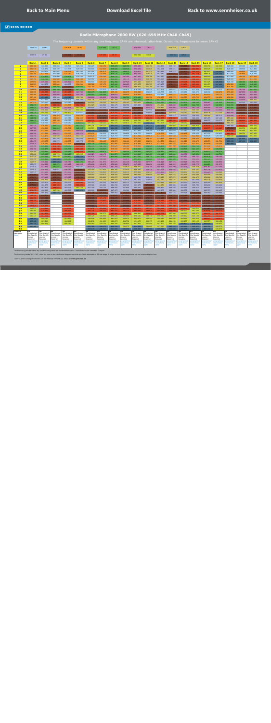#### **Radio Microphone 2000 BW (626-698 MHz Ch40-Ch49)**

<span id="page-21-0"></span>

|                      | 622-630                      | CH 40                        |                              | 630-638                      | CH 41                        |                              | 638-646                      | CH 42                        |                              | 646-654                      | <b>CH 43</b>                        |                              | 654-662                      | <b>CH 44</b>                 |                              |                              |                       |                                            |                              |                              |
|----------------------|------------------------------|------------------------------|------------------------------|------------------------------|------------------------------|------------------------------|------------------------------|------------------------------|------------------------------|------------------------------|-------------------------------------|------------------------------|------------------------------|------------------------------|------------------------------|------------------------------|-----------------------|--------------------------------------------|------------------------------|------------------------------|
|                      |                              |                              |                              |                              |                              |                              |                              |                              |                              |                              |                                     |                              |                              |                              |                              |                              |                       |                                            |                              |                              |
|                      | 662-670                      | CH 45                        |                              | 670-678                      | CH 46                        |                              | 678-686                      | CH 47                        |                              | 686-694                      | <b>CH 48</b>                        |                              | 694-702                      | CH 49                        |                              |                              |                       |                                            |                              |                              |
|                      |                              |                              |                              |                              |                              |                              |                              |                              |                              |                              |                                     |                              |                              |                              |                              |                              |                       |                                            |                              |                              |
|                      | <b>Bank 1</b>                | <b>Bank 2</b>                | <b>Bank 3</b>                | <b>Bank 4</b>                | <b>Bank 5</b>                | <b>Bank 6</b>                | <b>Bank 7</b>                | <b>Bank 8</b>                | <b>Bank 9</b>                | <b>Bank 10</b>               | <b>Bank 11</b>                      | <b>Bank 12</b>               | <b>Bank 13</b>               | <b>Bank 14</b>               | Bank 15                      | <b>Bank 16</b>               | <b>Bank 17</b>        | <b>Bank 18</b>                             | <b>Bank 19</b>               | <b>Bank 20</b>               |
| $\mathbf{1}$         | 630.100                      | 626.000                      | 626.000                      | 626.500                      | 626.500                      | 626.225                      | 632.150                      | 638.225                      | 644.150                      | 650.150                      | 656.150                             | 662.300                      | 668.150                      | 674.375                      | 680.225                      | 686.150                      | 692.300               | 626.000                                    | 626.400                      | 626.850                      |
| $\overline{2}$<br>з. | 630.475<br>630.975           | 626.875<br>629.875           | 626.400<br>627.000           | 627.375<br>630.375           | 626.900<br>627.500           | 626.600<br>627.050           | 632.525<br>632.975           | 638.600<br>639.050           | 644.525<br>644.975           | 650.525<br>650.975           | 656.825<br>657.575                  | 662.675<br>663.125           | 668.825<br>669.575           | 675.575<br>676.475           | 680.900<br>681.650           | 686.825<br>687.875           | 693.500<br>694.400    | 626.400<br>626.900                         | 628.550<br>630.800           | 627.850<br>628.600           |
| $\overline{4}$       | 631.350                      | 631.250                      | 627.800                      | 631.750                      | 628.300                      | 627.575                      | 633.500                      | 639.575                      | 645.500                      | 651.500                      | 658.475                             | 663.650                      | 670.625                      | 677.225                      | 682.550                      | 688.625                      | 695.150               | 627.500                                    | 631.800                      | 629.200                      |
| 5<br>6 <sup>1</sup>  | 631.975<br>632.350           | 638.375<br>640.750           | 629.000<br>630.600           | 638.875<br>641.250           | 629.500<br>631.100           | 628.175<br>628.850           | 634.100<br>635.375           | 640.175<br>641.450           | 646.100<br>646.775           | 652.100<br>653.375           | 659.750<br>660.350                  | 664.250<br>665.525           | 671.900<br>672.500           | 677.900<br>678.500           | 683.825<br>684.425           | 689.900<br>690.500           | 695.825<br>696.425    | 627.950<br>628.500                         | 632.350<br>633.650           | 632.000<br>633.700           |
| $\overline{7}$       | 632.850                      | 649.000                      | 632.800                      | 649.500                      | 633.300                      | 629.600                      | 636.125                      | 642.350                      | 647.525                      | 654.425                      | 660.875                             | 666.425                      | 673.025                      | 679.025                      | 684.950                      | 691.025                      | 696.950               | 629.150                                    | 638.100                      | 638.350                      |
| 8                    | 633.225                      | 664.375                      | 636.000                      | 664.875                      | 636.500                      | 630.500                      | 637.175                      | 643.100                      | 648.425                      | 655.175                      | 661.325                             | 667.175                      | 673.475                      | 679.475                      | 685.400                      | 691.475                      | 697.400               | 630.500                                    | 641.200                      | 642.100                      |
| 9<br>10              | 633.975<br>634.850           | 670.250<br>674.375           | 638.400<br>643.200           | 670.750<br>674.875           | 638.900<br>643.700           | 631.700<br>636.575           | 637.850<br>627.575           | 643.775<br>626.825           | 649.625<br>626.975           | 655.850<br>626.525           | 661.700<br>627.125                  | 667.850<br>627.275           | 673.850<br>626.975           | 679.850<br>627.275           | 685.775<br>627.050           | 691.850<br>626.600           | 697.775<br>627.575    | 631.200<br>632.650                         | 644.950<br>646.350           | 642.800<br>643.650           |
| 11                   | 635.350                      | 680.625                      | 647.200                      | 681.125                      | 647.700                      | 640.175                      | 641.225                      | 635.150                      | 630.275                      | 630.050                      | 629.825                             | 628.775                      | 628.475                      | 629.450                      | 629.075                      | 628.700                      | 630.275               | 633.400                                    | 647.050                      | 647.650                      |
| 12 <sub>2</sub>      | 636.100<br>637.100           | 682.375<br>695.125           | 650.600<br>658.200           | 682.875<br>695.625           | 651.100<br>658.700           | 645.425<br>648.200           | 645.500<br>650.225           | 648.875<br>651.500           | 633.050<br>638.750           | 636.200<br>638.450           | 631.025<br>636.350                  | 629.825<br>636.275           | 630.575<br>633.275           | 631.325<br>636.350           | 631.625<br>633.725           | 633.875<br>634.775           | 634.775<br>636.650    | 635.100<br>636.500                         | 649.700<br>652.050           | 651.150<br>651.550           |
| 13<br>14             | 637.600                      | 627.875                      | 664.200                      | 628.375                      | 664.700                      | 654.725                      | 655.025                      | 657.350                      | 654.350                      | 645.050                      | 639.425                             | 643.550                      | 638.225                      | 640.775                      | 638.675                      | 640.775                      | 639.725               | 639.100                                    | 653.550                      | 658.250                      |
| 15                   | 637.975                      | 629.125                      | 674.000                      | 629.625                      | 674.500                      | 656.900                      | 656.525                      | 661.700                      | 658.325                      | 661.925                      | 645.200                             | 645.650                      | 640.850                      | 643.475                      | 642.500                      | 646.025                      | 641.450               | 640.900                                    | 663.400                      | 664.250                      |
| 16<br>17             | 638.475<br>639.475           | 633.875<br>647.375           | 680,200<br>686.800           | 634.375<br>647.875           | 680.700<br>687.300           | 661.625<br>666.650           | 663.500<br>667.325           | 664.175<br>669.500           | 665.750<br>668.900           | 663.950<br>670.925           | 649.850<br>651.575                  | 654.200<br>656.450           | 646.850<br>650.900           | 644.975<br>651.275           | 644.750<br>647.750           | 648.275<br>650.450           | 642.950<br>647.150    | 642.050<br>643.950                         | 670.100<br>672.400           | 670.150<br>672.300           |
| 18                   | 639.975                      | 656.250                      | 692.000                      | 656.750                      | 692.500                      | 671.000                      | 670.100                      | 676.250                      | 672.725                      | 673.100                      | 667.550                             | 672.425                      | 653.075                      | 655.100                      | 654.500                      | 653.900                      | 653.000               | 648.150                                    | 673.150                      | 675.150                      |
| 19                   | 640.725                      | 690.000                      | 629.475                      | 690.500                      | 629.975                      | 676.850                      | 673.550                      | 679.250                      | 679.025                      | 677.150                      | 669.800                             | 674.150                      | 660.050                      | 658.250                      | 659.825                      | 656.675                      | 657.350               | 650.800                                    | 676.450                      | 675.650                      |
| 20<br>21             | 642.475<br>643.350           | 626.375<br>627.250           | 631.300<br>633.825           | 626.875<br>627.750           | 631.800<br>634.325           | 681.050<br>682.550           | 675.725<br>677.975           | 681.500<br>685.325           | 680.525<br>683.225           | 683.150<br>685.775           | 678.350<br>680.450                  | 678.800<br>684.575           | 662.075<br>678.950           | 665.675<br>669.650           | 662.300<br>666.650           | 660.500<br>667.475           | 662.375<br>667.100    | 651.600<br>657.100                         | 678.050<br>679.150           | 676.600<br>681.300           |
| 22                   | 644.475                      | 628.250                      | 635.350                      | 628.750                      | 635.850                      | 684.275                      | 683.225                      | 690.275                      | 687.650                      | 690.725                      | 687.725                             | 687.650                      | 685.550                      | 685.250                      | 672.500                      | 668.975                      | 669.275               | 658.350                                    | 680.800                      | 682.200                      |
| 23                   | 644.850                      | 628.750                      | 637.575                      | 629.250                      | 638.075                      | 687.350                      | 689.225                      | 692.375<br>694.925           | 692.675                      | 693.425                      | 694.175                             | 692.975<br>694.175           | 687.800                      | 690.950                      | 675.125                      | 673.775                      | 675.800               | 661.750                                    | 682.600                      | 683.600                      |
| 24<br>25             | 646.225<br>647.725           | 630.750<br>632.000           | 640.275<br>641.825           | 631.250<br>632.500           | 640.775<br>642.325           | 689.225<br>693.725           | 690.125<br>695.300           | 696.950                      | 694.550<br>696.725           | 695.525<br>697.025           | 695.225<br>696.725                  | 696.875                      | 693.950<br>697.475           | 693.725<br>697.025           | 688.850<br>697.175           | 678.500<br>682.775           | 678.575<br>683.825    | 665.400<br>673.200                         | 683.400<br>689.950           | 689.550<br>690.000           |
| 26                   | 648.100                      | 633.000                      | 646.450                      | 633.500                      | 646.950                      | 696.425                      | 697.400                      | 628.025                      | 628.025                      | 627.800                      | 628.250                             | 628.250                      | 627.650                      | 627.950                      | 626.150                      | 696.425                      | 687.425               | 678,600                                    | 691.400                      | 691.150                      |
| 27<br>28             | 649.350<br>650.350           | 633.500<br>634.375           | 651.875<br>659.650           | 634.000<br>634.875           | 652.375<br>660.150           | 633.125<br>634.625           | 626.225<br>628.250           | 628.925<br>629.750           | 628.850<br>629.600           | 628.775<br>631.250           | 628.850<br>632.675                  | 630.575<br>632.675           | 629.675<br>631.550           | 630.425<br>633.350           | 628.250<br>632.900           | 627.275<br>629.825           | 626.825<br>628.700    | 685.300<br>688.600                         | 693.350<br>694.550           | 693.150<br>693.800           |
| 29                   | 650.725                      | 635.375                      | 667.100                      | 635.875                      | 667.600                      | 635.375                      | 629.900                      | 630.875                      | 631.025                      | 632.750                      | 633.725                             | 633.200                      | 632.825                      | 634.250                      | 634.925                      | 631.250                      | 630.950               | 694.200                                    | 697.000                      | 694.350                      |
| 30                   | 651.475                      | 635.875                      | 668.275                      | 636.375                      | 668.775                      | 637.850                      | 630.425                      | 632.375                      | 634.100                      | 633.350                      | 634.550                             | 634.550                      | 634.025                      | 634.925                      | 636.875                      | 632.075                      | 632.750               | 695.150                                    | 697.450                      | 696.200                      |
| 31<br>32             | 651.975<br>652.350           | 636.625<br>639.250           | 675.325<br>679.150           | 637.125<br>639.750           | 675.825<br>679.650           | 639.725<br>640.775           | 639.125<br>641.750           | 632.900<br>634.625           | 634.550<br>635.300           | 635.300<br>636.800           | 636.875<br>638.525                  | 637.775<br>638.975           | 635.375<br>637.700           | 637.100<br>638.225           | 637.475<br>640.700           | 632.600<br>637.100           | 633.350<br>635.675    | 697.950                                    |                              |                              |
| 33                   | 653.100                      | 640.375                      | 682.700                      | 640.875                      | 683.200                      | 642.725                      | 643.025                      | 636.500                      | 637.100                      | 639.500                      | 641.000                             | 639.725                      | 639.350                      | 638.825                      | 641.525                      | 637.625                      | 638.300               |                                            |                              |                              |
| 34                   | 655.100                      | 642.125                      | 684.425                      | 642.625                      | 684.925                      | 643.625                      | 644.075                      | 637.475                      | 638.150                      | 640.325                      | 641.525                             | 640.250                      | 643.025                      | 642.500                      | 643.025                      | 638.675                      | 642.275               |                                            |                              |                              |
| 35<br>36             | 655.600<br>657.225           | 643.625<br>644.000           | 692.725<br>693.650           | 644.125<br>644.500           | 693.225<br>694.150           | 646.025<br>647.675           | 646.175<br>647.225           | 644.375<br>644.900           | 640.550<br>643.100           | 641.300<br>642.650           | 642.425<br>643.775                  | 642.125<br>644.675           | 643.400<br>644.975           | 646.550<br>647.150           | 645.650<br>648.725           | 640.100<br>641.675           | 644.750<br>648.200    |                                            |                              |                              |
| 37                   | 660.350                      | 645.250                      | 696.500                      | 645.750                      | 697.000                      | 649.625                      | 649.100                      | 647.075                      | 650.675                      | 644.375                      | 645.800                             | 646.325                      | 645.500                      | 647.600                      | 650.525                      | 642.725                      | 649.100               |                                            |                              |                              |
| 38<br>39             | 660.975<br>666.475           | 646.250<br>646.625           | 697.575<br>642.675           | 646.750<br>647.125           | 643.175<br>646.325           | 650.225<br>652.100           | 651.575<br>652.475           | 647.675<br>650.900           | 651.125<br>653.675           | 646.550<br>647.225           | 647.075<br>648.650                  | 646.925<br>648.800           | 647.225<br>649.325           | 648.425<br>650.150           | 651.725<br>652.775           | 644.075<br>644.825           | 649.850<br>651.275    |                                            |                              |                              |
| 40                   | 666.975                      | 647.875                      | 645.825                      | 648.375                      | 669.525                      | 653.075                      | 653.000                      | 653.750                      | 654.875                      | 656.825                      | 652.250                             | 650.975                      | 652.400                      | 652.175                      | 654.050                      | 649.250                      | 652.100               |                                            |                              |                              |
| 41                   | 667.975                      | 648.250                      | 669.025                      | 648.750                      | 670.825                      | 655.400                      | 657.950                      | 654.200                      | 657.425                      | 658.100                      | 653.375                             | 652.775                      | 653.825                      | 654.500                      | 656.525                      | 652.325                      | 653.675               |                                            |                              |                              |
| 42<br>43             | 668.475<br>672.100           | 651.000<br>651.500           | 670.325<br>670.750           | 651.500<br>652.000           | 671.250<br>673.475           | 657.575<br>658.025           | 658.625<br>659.975           | 655.025<br>658.250           | 659.375<br>659.900           | 659.450<br>660.500           | 654.425<br>654.950                  | 653.300<br>655.850           | 654.875<br>656.525           | 656.150<br>657.275           | 657.650<br>659.300           | 653.225<br>655.250           | 654.800<br>656.300    |                                            |                              |                              |
| 44                   | 673.975                      | 653.125                      | 672.975                      | 653.625                      | 676.750                      | 660.800                      | 660.800                      | 659.075                      | 660.650                      | 662.750                      | 664.400                             | 657.125                      | 657.875                      | 660.425                      | 661.475                      | 659.000                      | 658.700               |                                            |                              |                              |
| 45<br>46             | 674.350<br>675.475           | 656.875<br>662.375           | 676.250<br>680.700           | 657.375<br>662.875           | 681.200<br>683.600           | 662.150<br>663.350           | 661.700<br>662.525           | 661.100<br>662.525           | 662.675<br>663.575           | 663.425<br>666.125           | 664.850<br>665.450                  | 657.650<br>659.000           | 660.575<br>661.250           | 661.325<br>663.350           | 662.900<br>664.925           | 661.475<br>662.300           | 660.650<br>661.850    |                                            |                              |                              |
| 47                   | 677.600                      | 662.875                      | 683.100                      | 663.375                      | 685.325                      | 665.300                      | 665.000                      | 664.700                      | 666.725                      | 667.475                      | 671.000                             | 661.250                      | 663.500                      | 664.100                      | 665.750                      | 663.200                      | 663.200               |                                            |                              |                              |
| 48                   | 678.100                      | 663.875                      | 684.825                      | 664.375                      | 687.750                      | 667.700                      | 668.750                      | 666.350                      | 667.850                      | 669.125                      | 671.525                             | 668.450                      | 664.550                      | 664.625                      | 668.975                      | 664.025                      | 665.975               |                                            |                              |                              |
| 49<br>50             | 678.475<br>678.975           | 668.000<br>669.875           | 687.250<br>696.875           | 668.500<br>670.375           | 697.375                      | 669.200<br>670.325           | 670.775<br>671.675           | 667.475<br>669.950           | 669.500<br>671.825           | 670.175<br>671.600           | 672.35<br>673.925                   | 669.875<br>672.800           | 665.900<br>667.175           | 666.575<br>669.125           | 669.800<br>670.250           | 665.375<br>666.050           | 666.425<br>668.600    |                                            |                              |                              |
| 51                   | 682.350                      | 671.375                      |                              | 671.875                      |                              | 671.900                      | 674.750                      | 671.225                      | 673.850                      | 674.675                      | 674.600                             | 673.550                      | 676.775                      | 670.325                      | 673.100                      | 671.000                      | 670.925               |                                            |                              |                              |
| 52<br>53             | 683.350<br>683.725           | 673.500<br>674.000           |                              | 674.000<br>674.500           |                              | 672.725<br>674.150           | 679.175<br>679.925           | 672.275<br>673.475           | 675.575<br>676.400           | 676.775<br>678.500           | 674.975<br>676.100                  | 676.925<br>678.125           | 677.450                      | 672.875<br>673.325           | 676.325<br>676.925           | 671.525<br>672.425           | 671.900<br>673.775    |                                            |                              |                              |
| 54                   | 684.225                      | 674.875                      |                              | 675.375                      |                              | 674.900                      | 681.275                      | 675.275                      | 676.850                      | 679.025                      | 676.700                             | 680.825                      | 679.625<br>681.350           | 680.900                      | 679.100                      | 674.900                      | 674.375               |                                            |                              |                              |
| 55                   | 685.975                      | 678.250                      |                              | 678.750                      |                              | 675.800                      | 682.325                      | 678.350                      | 677.450                      | 680.600                      | 681.500                             | 681.275                      | 682.700                      | 683.450                      | 679.625                      | 676.775                      | 676.325               |                                            |                              |                              |
| 56<br>57             | 686.475<br>690.100           | 679.250<br>679.625           |                              | 679.750<br>680.125           |                              | 679.250<br>681.725           | 683.900<br>685.325           | 680.975<br>682.475           | 681.500<br>685.175           | 680.975<br>684.650           | 682.925<br>683.675                  | 683.000<br>685.025           | 683.675<br>684.500           | 685.850<br>686.900           | 686.525<br>687.500           | 677.825<br>679.925           | 677.975<br>680.375    |                                            |                              |                              |
| 58                   | 691.350                      | 681.875                      |                              | 682.375                      |                              | 685.700                      | 686.375                      | 683.300                      | 685.775                      | 686.300                      | 685.625                             | 685.775                      | 687.200                      | 688.700                      | 689.375                      | 680.975                      | 681.275               |                                            |                              |                              |
| 59                   | 691.725                      | 682.750                      |                              | 683.250                      |                              | 688.325                      | 686.900                      | 686.525                      | 686.900                      | 688.625                      | 688.775                             | 686.750                      | 688.700                      | 689.450                      | 691.100                      | 682.250                      | 683.225               |                                            |                              |                              |
| 60<br>61             | 694.725<br>695.100           | 686.750<br>687.500           |                              | 687.250<br>688.000           |                              | 690.650<br>691.250           | 691.400<br>691.925           | 687.125<br>689.075           | 689.075<br>689.750           | 689.975<br>691.175           | 689.525<br>690.575                  | 688.625<br>689.900           | 690.650<br>691.250           | 689.900<br>692.975           | 691.625<br>693.125           | 684.875<br>693.575           | 684.275<br>686.150    |                                            |                              |                              |
| 62                   | 695.725                      | 689.250                      |                              | 689.750                      |                              | 693.050                      | 692.750                      | 691.100                      | 690.650                      | 692.450                      | 691.550                             | 691.100                      | 692.750                      | 694.400                      | 694.250                      | 694.100                      | 688.625               |                                            |                              |                              |
| 63                   | 697.100                      |                              |                              |                              |                              | 695.300                      | 694.175                      | 695.750                      | 693.575                      | 694.325                      | 692.600                             | 693.650                      | 695.225                      | 695.150                      | 695.075                      | 695.750                      | 689.375               |                                            |                              |                              |
| 64<br>Country        | <b>UK</b>                    | <b>UK</b>                    | UK                           | UK                           | UK                           | 697.175<br>UK                | 696.725<br>UK                | 697.850<br>UK                | 696.050<br>UK                | 696.350<br>UK                | 697.400<br>UK                       | 695.750<br>UK                | 696.200<br>UK                | 695.975<br>UK                | 695.975<br>UΚ                | 697.775<br>UK                | 690.875<br>UK         | UK                                         | UK                           | UK                           |
| Usergroup<br>Notes   | Coordinated<br>Site Specific | Coordinated<br>Site Specific | Coordinated<br>Site Specific | Coordinated<br>Site Specific | Coordinated<br>Site Specific | Coordinated<br>Site Specific | Coordinated<br>Site Specific | Coordinated<br>Site Specific | Coordinated<br>Site Specific | Coordinated<br>Site Specific | Coordinated<br><b>Site Specific</b> | Coordinated<br>Site Specific | Coordinated<br>Site Specific | Coordinated<br>Site Specific | Coordinated<br>Site Specific | Coordinated<br>Site Specific | Coordinated           | Coordinated<br>Site Specific Site Specific | Coordinated<br>Site Specific | Coordinated<br>Site Specific |
|                      | Licence<br>Required          | Licence<br>Required          | Licence<br>Required          | Licence<br>Required          | Licence<br>Required          | Licence<br>Required          | Licence<br>Required          | Licence<br>Required          | Licence<br>Required          | Licence<br>Required          | Licence<br>Required                 | Licence<br>Required          | Licence<br>Required          | Licence<br>Required          | Licence<br>Required          | Licence<br>Required          | Licence<br>Required   | Licence<br>Required                        | Licence<br>Required          | Licence<br>Required          |
|                      | geographical                 | geographica                  | geographical                 | geographical                 | geographical                 | qeographical                 | geographical                 | geographical                 | geographica                  | geographical                 | geographica                         | geographical                 | geographical                 | geographical                 | qeographical                 | geographical                 | geographical          | geographical                               | qeographical                 | qeographical                 |
|                      | restrictions<br>apply        | restrictions<br>apply        | restrictions<br>apply        | restrictions<br>apply        | restrictions<br>apply        | restrictions<br>apply        | restrictions<br>apply        | restrictions<br>apply        | restrictions<br>apply        | restrictions<br>apply        | restrictions<br>apply               | restrictions<br>apply        | restrictions<br>apply        | restrictions<br>apply        | restrictions<br>apply        | restrictions<br>apply        | restrictions<br>apply | restrictions<br>apply                      | restrictions<br>apply        | restrictions<br>apply        |
|                      |                              |                              |                              |                              |                              |                              |                              |                              |                              |                              |                                     |                              |                              |                              |                              |                              |                       |                                            |                              |                              |

The frequency presets within any one frequency bank are intermodulation-free. These frequencies cannot be changed.

The frequency banks "U1"–"U6" allow the user to store individual frequencies which are freely selectable in 25-kHz steps. It might be that these frequencies are not intermodulation-free.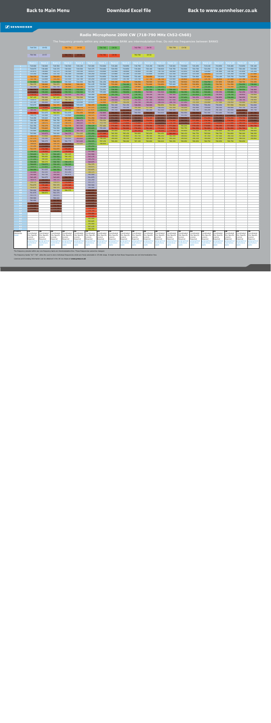#### **Radio Microphone 2000 CW (718-790 MHz Ch52-Ch60)**

<span id="page-22-0"></span>

|                           | 718-726                      | CH 52                        |                              | 726-734                             | CH 53                        |                              | 734-742                      | CH 54                        |                              | 742-750                             | <b>CH 55</b>                 |                              | 750-758                      | CH 56                        |                              |                              |                              |                              |                              |                              |
|---------------------------|------------------------------|------------------------------|------------------------------|-------------------------------------|------------------------------|------------------------------|------------------------------|------------------------------|------------------------------|-------------------------------------|------------------------------|------------------------------|------------------------------|------------------------------|------------------------------|------------------------------|------------------------------|------------------------------|------------------------------|------------------------------|
|                           |                              |                              |                              |                                     |                              |                              |                              |                              |                              |                                     |                              |                              |                              |                              |                              |                              |                              |                              |                              |                              |
|                           | 758-766                      | CH 57                        |                              | 766-774                             | CH 58                        |                              | 774-782                      | CH 59                        |                              | 782-790                             | CH 60                        |                              |                              |                              |                              |                              |                              |                              |                              |                              |
|                           |                              |                              |                              |                                     |                              |                              |                              |                              |                              |                                     |                              |                              |                              |                              |                              |                              |                              |                              |                              |                              |
|                           | <b>Bank 1</b><br>718.000     | <b>Bank 2</b><br>718.000     | <b>Bank 3</b><br>718.500     | <b>Bank 4</b><br>718.500            | <b>Bank 5</b><br>718.100     | <b>Bank 6</b><br>718.000     | <b>Bank 7</b><br>718.000     | <b>Bank 8</b><br>718.400     | <b>Bank 9</b><br>718.850     | <b>Bank 10</b><br>718.750           | <b>Bank 11</b><br>719.150    | <b>Bank 12</b><br>718.050    | <b>Bank 13</b><br>718.600    | <b>Bank 14</b><br>719.900    | Bank 15<br>718.450           | <b>Bank 16</b><br>719.100    | <b>Bank 17</b><br>718.850    | <b>Bank 18</b><br>718.400    | <b>Bank 19</b><br>719.650    | <b>Bank 20</b><br>720.100    |
| - 2 -                     | 718.875                      | 718.400                      | 719.375                      | 718.900                             | 718.500                      | 718.375                      | 718.400                      | 720.550                      | 719.850                      | 719.200                             | 720.100                      | 718.600                      | 719.750                      | 722.500                      | 720.700                      | 722.250                      | 721.200                      | 719.050                      | 720.100                      | 723.550                      |
| - 3 -<br>$\sim$ 4         | 721.875                      | 719.000                      | 722.375                      | 719.500                             | 719.100                      | 718.875                      | 718.900                      | 722.800                      | 720.600                      | 719.950                             | 721.200                      | 719.700                      | 720.600                      | 723.450                      | 721.800                      | 724.900                      | 721.900                      | 720.700                      | 721.050                      | 725.250                      |
| -5 -                      | 723.250<br>730.375           | 719.800<br>721.000           | 723.750<br>730.875           | 720.300<br>721.500                  | 719.900<br>721.100           | 719.250<br>719.875           | 719.500<br>719.950           | 723.800<br>724.350           | 721.200<br>724.000           | 721.550<br>722.100                  | 722.600<br>726.950           | 721.850<br>725.000           | 721.150<br>722.150           | 724.200<br>724.850           | 723.100<br>724.800           | 726.850<br>727.650           | 723.150<br>724.100           | 721.250<br>725.750           | 723.100<br>724.550           | 727.600<br>729.850           |
| -6.                       | 732.750                      | 722.600                      | 733.250                      | 723.100                             | 722.700                      | 720.250                      | 720.500                      | 725.650                      | 725.700                      | 723.750                             | 727.750                      | 726.700                      | 723.900                      | 726.400                      | 727.150                      | 729.700                      | 726.850                      | 727.000                      | 727.700                      | 731.150                      |
| $\overline{7}$<br>$-8$    | 741.000<br>756.375           | 724.800<br>728.000           | 741.500<br>756.875           | 725.300<br>728.500                  | 724.900<br>728.100           | 720.750<br>721.125           | 721.150<br>722.500           | 730.100<br>733.200           | 730.350<br>734.100           | 726.050<br>726.700                  | 730.500<br>732.600           | 727.650<br>732.850           | 724.950<br>725.400           | 728.800<br>731.050           | 729.050<br>729.850           | 734.750<br>735.450           | 727.850<br>728.700           | 728.400<br>731.550           | 728.750<br>734.250           | 733.450<br>738.000           |
| - 9 -                     | 762.250                      | 730.400                      | 762.750                      | 730.900                             | 730.500                      | 721.875                      | 723.200                      | 736.950                      | 734.800                      | 729.800                             | 738.100                      | 734.350                      | 732.650                      | 732.200                      | 731.700                      | 736.300                      | 730.700                      | 732.250                      | 736.050                      | 745.050                      |
| 10<br>11                  | 766.375<br>772.625           | 735.200<br>739.200           | 766.875<br>773.125           | 735.700<br>739.700                  | 735.300<br>739.300           | 722.750<br>723.250           | 724.650<br>725.400           | 738.350<br>739.050           | 735.650<br>739.650           | 733.100<br>735.550                  | 741.700<br>743.500           | 740.450<br>743.300           | 738.100<br>738.850           | 733.950<br>734.350           | 741.400<br>741.900           | 736.950<br>740.400           | 733.700<br>745.350           | 734.800<br>735.800           | 738.550<br>742.250           | 746.900<br>747.700           |
| $\sqrt{12}$               | 774.375                      | 742.600                      | 774.875                      | 743.100                             | 742.700                      | 724.000                      | 727.100                      | 741.700                      | 743.150                      | 738.700                             | 744.350                      | 744.150                      | 742.300                      | 735.450                      | 743.850                      | 741.500                      | 745.950                      | 736.700                      | 744.850                      | 750.850                      |
| 13<br>14                  | 787.125<br>719.875           | 750.200<br>756.200           | 787.625<br>720.375           | 750.700<br>756.700                  | 750.300<br>721.575           | 725.000<br>725.500           | 728.500<br>731.100           | 744.050<br>745.550           | 743.550<br>750.250           | 741.750<br>742.350                  | 747.300<br>747.700           | 747.550<br>748.850           | 746.900<br>747.550           | 737.450<br>741.050           | 749.250<br>753.850           | 745.850<br>750.600           | 746.850<br>749.400           | 738.200<br>753.900           | 746.050<br>748.700           | 753.050<br>756.950           |
| 15 <sup>°</sup>           | 721.125                      | 766.000                      | 721.625                      | 766,500                             | 723.400                      | 725.875                      | 732.900                      | 755.400                      | 756.250                      | 742.750                             | 748.200                      | 749.550                      | 748.750                      | 747.050                      | 755.350                      | 754.900                      | 757.500                      | 756.950                      | 750.400                      | 757.850                      |
| <b>16</b>                 | 725.875                      | 772.200                      | 726.375                      | 772.700                             | 725.925                      | 726.375                      | 734.050                      | 762.100                      | 762.150                      | 748.650                             | 749.900                      | 756.850                      | 752.500                      | 748.950                      | 759.500                      | 758.450                      | 759.050                      | 757.550                      | 755.650                      | 764.600                      |
| 17<br>18                  | 739.375<br>748.250           | 778.800<br>784.000           | 739.875<br>748.750           | 779.300<br>784.500                  | 726.775<br>729.675           | 727.375<br>727.875           | 735.950<br>740.150           | 764.400<br>765.150           | 764.300<br>767.150           | 755.150<br>759.000                  | 757.150<br>765.200           | 758.250<br>762.100           | 755.350<br>764.200           | 750.200<br>752.700           | 760.900<br>764.700           | 759.600<br>760.200           | 760.100<br>761.300           | 760.900<br>761.650           | 762.750<br>767.950           | 765.250<br>765.750           |
| 19                        | 782.000                      | 721.475                      | 782.500                      | 721.975                             | 731.450                      | 728.625                      | 742.800                      | 768.450                      | 767.650                      | 760.550                             | 769.200                      | 764.000                      | 768.150                      | 762.550                      | 769.550                      | 762.300                      | 763.400                      | 763.000                      | 770.400                      | 767.700                      |
| -20<br>21                 | 718.375<br>719.250           | 723.300<br>725.825           | 718.875<br>719.750           | 723.800<br>726.325                  | 737.450<br>740.475           | 730.375<br>731.250           | 743.600<br>749.100           | 770.050<br>771.150           | 768,600<br>773.300           | 768,450<br>769.950                  | 771.050<br>774.100           | 766.600<br>767.050           | 768,950<br>770.050           | 763.350<br>768.050           | 770.200<br>773.150           | 770.450<br>774.450           | 766.100<br>771.700           | 773.800<br>774.250           | 773.750<br>775.750           | 769.500<br>772.550           |
| 22                        | 720.250                      | 727.350                      | 720.750                      | 727.850                             | 744.175                      | 732.375                      | 750.350                      | 772.800                      | 774.200                      | 772.600                             | 776.500                      | 770.550                      | 774.900                      | 769.700                      | 777.350                      | 776.700                      | 773.850                      | 776.500                      | 776.550                      | 773.000                      |
| -23                       | 720.750                      | 729.575                      | 721.250                      | 730.075                             | 746.625                      | 732.750                      | 753.750                      | 774.600                      | 775.600                      | 775.000                             | 777.850                      | 773.850                      | 776.700                      | 771.750                      | 778.100                      | 779.300                      | 779.650                      | 777.000                      | 780.150                      | 775.050                      |
| 24<br>25 <sub>1</sub>     | 722.750<br>724.000           | 732.275<br>733.825           | 723.250<br>724.500           | 732.775<br>734.325                  | 747.725<br>748.600           | 734.125<br>735.625           | 757.400<br>765.200           | 775.400<br>781.950           | 781.550<br>782,000           | 777.050<br>778.450                  | 779.350<br>781.100           | 775.200<br>775,600           | 777.200<br>779.300           | 782.200<br>782.750           | 779.150<br>781.350           | 779.800<br>781.800           | 780.200<br>781.000           | 777.950<br>781.850           | 780.800<br>781.700           | 781.750<br>786.150           |
| -26                       | 725.000                      | 738.450                      | 725.500                      | 738.950                             | 749.750                      | 736.000                      | 770.600                      | 783.400                      | 783.150                      | 781.150                             | 784.000                      | 776.250                      | 779.900                      | 783.800                      | 782.600                      | 782.700                      | 782.600                      | 782.700                      | 782.450                      | 786.850                      |
| 27<br>28                  | 725.500<br>726.375           | 743.875<br>751.650           | 726.000<br>726.875           | 744.375<br>752.150                  | 751.025<br>731.825           | 737.250<br>738.250           | 777.300<br>780.600           | 785.350<br>786.550           | 785.150<br>785.800           | 782.850<br>783.750                  | 785.050<br>786.300           | 784.450<br>786.250           | 780.600<br>782.250           | 788.150<br>788.650           | 784.750<br>785.750           | 785.500<br>787.350           | 786.750<br>787.500           | 784.850<br>786.150           | 786.200<br>787.300           | 788.250<br>788.850           |
| -29.                      | 727.375                      | 759.100                      | 727.875                      | 759.600                             | 745.825                      | 738.625                      | 786.200                      | 789.000                      | 786.350                      | 785.850                             | 789.100                      | 786.750                      | 784.200                      | 789.500                      | 786.350                      | 789.000                      | 787.900                      | 788.600                      | 788.550                      | 789.800                      |
| -30<br>31                 | 727.875<br>728.625           | 760.275<br>767.325           | 728.375<br>729.125           | 760.775<br>767.825                  | 747.025<br>751.625           | 739.375<br>739.875           | 787.150<br>789.950           | 789.450                      | 788.200                      | 787.150                             | 789.800                      | 788.600                      | 788.250                      | 789.950                      | 788.650                      | 789.750                      | 789.950                      | 789.750                      | 789.050                      |                              |
| 32                        | 731.250                      | 771.150                      | 731.750                      | 771.650                             |                              | 740.250                      |                              |                              |                              |                                     |                              |                              |                              |                              |                              |                              |                              |                              |                              |                              |
| -33-                      | 732.375                      | 774.700                      | 732.875                      | 775.200                             |                              | 741.000                      |                              |                              |                              |                                     |                              |                              |                              |                              |                              |                              |                              |                              |                              |                              |
| 34<br>$-35$               | 734.125<br>735.625           | 776.425<br>784.725           | 734.625<br>736.125           | 776.925<br>785.225                  |                              | 743.000<br>743.500           |                              |                              |                              |                                     |                              |                              |                              |                              |                              |                              |                              |                              |                              |                              |
| -36                       | 736.000                      | 785.650                      | 736.500                      | 786.150                             |                              | 745.125                      |                              |                              |                              |                                     |                              |                              |                              |                              |                              |                              |                              |                              |                              |                              |
| -37<br>38                 | 737.250<br>738.250           | 788.500<br>789.575           | 737.750<br>738.750           | 789.000<br>735.175                  |                              | 748.250<br>748.875           |                              |                              |                              |                                     |                              |                              |                              |                              |                              |                              |                              |                              |                              |                              |
| -39.                      | 738.625                      | 734.675                      | 739.125                      | 738.325                             |                              | 754.375                      |                              |                              |                              |                                     |                              |                              |                              |                              |                              |                              |                              |                              |                              |                              |
| -40<br>41                 | 739.875<br>740.250           | 737.825<br>761.025           | 740.375<br>740.750           | 761.525<br>762.825                  |                              | 754.875<br>755.875           |                              |                              |                              |                                     |                              |                              |                              |                              |                              |                              |                              |                              |                              |                              |
| 42                        | 743.000                      | 762.325                      | 743.500                      | 763.250                             |                              | 756.375                      |                              |                              |                              |                                     |                              |                              |                              |                              |                              |                              |                              |                              |                              |                              |
| $-43$                     | 743.500                      | 762.750                      | 744.000                      | 765.475                             |                              | 760.000                      |                              |                              |                              |                                     |                              |                              |                              |                              |                              |                              |                              |                              |                              |                              |
| 44<br>45                  | 745.125<br>748.875           | 764.975<br>768.250           | 745.625<br>749.375           | 768.750<br>773.200                  |                              | 761.875<br>762.250           |                              |                              |                              |                                     |                              |                              |                              |                              |                              |                              |                              |                              |                              |                              |
| -46                       | 754.375                      | 772.700                      | 754.875                      | 775.600                             |                              | 763.375                      |                              |                              |                              |                                     |                              |                              |                              |                              |                              |                              |                              |                              |                              |                              |
| 47<br>48                  | 754.875<br>755.875           | 775.100<br>776.825           | 755.375<br>756.375           | 777.325<br>779.750                  |                              | 765.500<br>766.000           |                              |                              |                              |                                     |                              |                              |                              |                              |                              |                              |                              |                              |                              |                              |
|                           | 760.000                      | 779.250                      | 760.500                      | 789.375                             |                              | 766.375                      |                              |                              |                              |                                     |                              |                              |                              |                              |                              |                              |                              |                              |                              |                              |
| 50<br>$-51$               | 761.875<br>763.375           | 788.875                      | 762.375<br>763.875           |                                     |                              | 766.875<br>770.250           |                              |                              |                              |                                     |                              |                              |                              |                              |                              |                              |                              |                              |                              |                              |
| -52                       | 765.500                      |                              | 766.000                      |                                     |                              | 771.250                      |                              |                              |                              |                                     |                              |                              |                              |                              |                              |                              |                              |                              |                              |                              |
| 53                        | 766.000                      |                              | 766.500                      |                                     |                              | 771.625                      |                              |                              |                              |                                     |                              |                              |                              |                              |                              |                              |                              |                              |                              |                              |
| 54<br>-55                 | 766.875<br>770.250           |                              | 767.375<br>770.750           |                                     |                              | 772.125<br>773.875           |                              |                              |                              |                                     |                              |                              |                              |                              |                              |                              |                              |                              |                              |                              |
| -56                       | 771.250                      |                              | 771.750                      |                                     |                              | 774.375                      |                              |                              |                              |                                     |                              |                              |                              |                              |                              |                              |                              |                              |                              |                              |
| -57<br>58                 | 771.625                      |                              | 772.125                      |                                     |                              | 774.750<br>778.000           |                              |                              |                              |                                     |                              |                              |                              |                              |                              |                              |                              |                              |                              |                              |
| -59                       |                              |                              |                              |                                     |                              | 779.500                      |                              |                              |                              |                                     |                              |                              |                              |                              |                              |                              |                              |                              |                              |                              |
| 60                        |                              |                              |                              |                                     |                              | 783.000                      |                              |                              |                              |                                     |                              |                              |                              |                              |                              |                              |                              |                              |                              |                              |
| 61<br>$-62$               |                              |                              |                              |                                     |                              | 783.625<br>785.000           |                              |                              |                              |                                     |                              |                              |                              |                              |                              |                              |                              |                              |                              |                              |
| - 63                      |                              |                              |                              |                                     |                              | 787.125                      |                              |                              |                              |                                     |                              |                              |                              |                              |                              |                              |                              |                              |                              |                              |
| $-64$<br>Country          | UΚ                           | UK                           | UK                           | UK                                  | UK                           | 788.250<br>UΚ                | UK                           | UK                           | UК                           | UK                                  | UK                           | UK                           | UK                           | UK                           | UK                           | UK                           | UK                           | UK                           | UK                           | UK                           |
| Usergroup<br><b>Notes</b> | Coordinated<br>Site Specific | Coordinated<br>Site Specific | Coordinated<br>Site Specific | Coordinated<br><b>Site Specific</b> | Coordinated<br>Site Specific | Coordinated<br>Site Specific | Coordinated<br>Site Specific | Coordinated<br>Site Specific | Coordinated<br>Site Specific | Coordinated<br><b>Site Specific</b> | Coordinated<br>Site Specific | Coordinated<br>Site Specific | Coordinated<br>Site Specific | Coordinated<br>Site Specific | Coordinated<br>Site Specific | Coordinated<br>Site Specific | Coordinated<br>Site Specific | Coordinated<br>Site Specific | Coordinated<br>Site Specific | Coordinated<br>Site Specific |
|                           | Licence<br>Required          | Licence<br>Required          | Licence<br>Required          | Licence<br>Required                 | Licence<br>Required          | Licence<br>Required          | Licence<br>Required          | Licence<br>Required          | Licence<br>Required          | Licence<br>Required                 | Licence<br>Required          | Licence<br>Required          | Licence<br>Required          | Licence<br>Required          | Licence<br>Required          | Licence<br>Required          | Licence<br>Required          | Licence<br>Required          | Licence<br>Required          | Licence<br>Required          |
|                           | geographical<br>restrictions | geographica<br>restrictions  | geographical<br>restrictions | geographical<br>restrictions        | geographica<br>restrictions  | geographical<br>restrictions | geographical<br>restrictions | geographical<br>restrictions | geographica<br>restrictions  | geographical<br>restrictions        | geographica<br>restrictions  | geographical<br>restrictions | geographica<br>restrictions  | geographical<br>restrictions | geographical<br>restrictions | geographical<br>restrictions | geographical<br>restrictions | geographica<br>restrictions  | geographical<br>restrictions | geographical<br>restrictions |
|                           | apply                        | apply                        | apply                        | apply                               | apply                        | apply                        | apply                        | <i>pply</i>                  | apply                        | apply                               | apply                        | apply                        | pply                         | apply                        | apply                        | apply                        | apply                        | pply                         | apply                        | apply                        |

The frequency presets within any one frequency bank are intermodulation-free. These frequencies cannot be changed.

The frequency banks "U1"–"U6" allow the user to store individual frequencies which are freely selectable in 25-kHz steps. It might be that these frequencies are not intermodulation-free.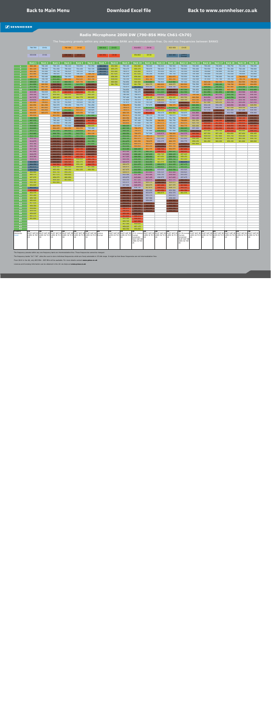#### **Radio Microphone 2000 DW (790-856 MHz Ch61-Ch70)**

The frequency presets within any one frequency BANK are intermodulation-free. Do not mix frequencies between BANKS

<span id="page-23-0"></span>

|                       | 790-798                                                                                                                                                           | CH 61              |                    | 798-806            | CH 62              |                    | 806-814            | CH 63              |                                                              | 814-822                    | CH 64              |                    | 822-830                                                                                                                                                                               | CH 65                      |                    |                    |                    |                    |                                                                         |                    |
|-----------------------|-------------------------------------------------------------------------------------------------------------------------------------------------------------------|--------------------|--------------------|--------------------|--------------------|--------------------|--------------------|--------------------|--------------------------------------------------------------|----------------------------|--------------------|--------------------|---------------------------------------------------------------------------------------------------------------------------------------------------------------------------------------|----------------------------|--------------------|--------------------|--------------------|--------------------|-------------------------------------------------------------------------|--------------------|
|                       | 830-838                                                                                                                                                           | CH 66              |                    | 838-846            | CH 67              |                    | 846-854            | CH 68              |                                                              | 854-862                    | CH 69              |                    | 863-865                                                                                                                                                                               | Licence<br>Exempt          |                    |                    |                    |                    |                                                                         |                    |
|                       |                                                                                                                                                                   |                    |                    |                    |                    |                    |                    |                    |                                                              |                            |                    |                    |                                                                                                                                                                                       |                            |                    |                    |                    |                    |                                                                         |                    |
|                       | <b>Bank 1</b>                                                                                                                                                     | <b>Bank 2</b>      | <b>Bank 3</b>      | <b>Bank 4</b>      | <b>Bank 5</b>      | <b>Bank 6</b>      | <b>Bank 7</b>      | <b>Bank 8</b>      | <b>Bank 9</b>                                                | Bank 10                    | <b>Bank 11</b>     | <b>Bank 12</b>     | Bank 13                                                                                                                                                                               | <b>Bank 14</b>             | <b>Bank 15</b>     | <b>Bank 16</b>     | Bank 17            | Bank 18            | Bank 19                                                                 | <b>Bank 20</b>     |
| $\overline{2}$        | 800.100<br>801.225                                                                                                                                                | 790.100<br>790.500 | 790.100<br>791.050 | 790.100<br>790.600 | 790.850<br>791.400 | 792.950<br>793.725 | 864.300<br>864.900 | 854.900<br>855.275 | 790.100<br>790.475                                           | 854.900<br>855.275         | 790.000<br>790.875 | 790.000<br>790.400 | 790.500<br>791.375                                                                                                                                                                    | 790.500<br>790.900         | 790.000<br>790.400 | 790.400<br>792.550 | 790.850<br>791.850 | 790.750<br>791.200 | 791.150<br>792.100                                                      | 790.050<br>790.600 |
| 3.                    | 802.200                                                                                                                                                           | 791.100            | 791.750            | 794.425            | 793.125            | 796.100            | 863.100            | 855.900            | 790.975                                                      | 855.900                    | 793.875            | 791.000            | 794.375                                                                                                                                                                               | 791.500                    | 790.900            | 794.800            | 792.600            | 791.950            | 793.200                                                                 | 791.700            |
| 4 <sup>1</sup>        | 803.400                                                                                                                                                           | 791.900            | 796.425            | 795.825            | 794.325            | 798.750            | 863.500            | 857.625            | 791.350                                                      | 857.625                    | 795.250            | 791.800            | 795.750                                                                                                                                                                               | 792.300                    | 791.500            | 795.800            | 793.200            | 793.550            | 794.600                                                                 | 793.850            |
| 5 <sub>1</sub>        | 805.275                                                                                                                                                           | 793.100            | 806.100            | 796.950            | 798.850            | 802.825            |                    | 858.200            | 791.975                                                      | 858.200                    | 802.375            | 793.000            | 802.875                                                                                                                                                                               | 793.500                    | 791.950            | 796.350            | 796.000            | 794.100            | 798.950                                                                 | 797.000            |
| 6                     | 806.175                                                                                                                                                           | 794.700            | 811.200            | 805.900            | 802.025            | 805.700            |                    | 858.650            | 792.350                                                      | 858.650                    | 804.750            | 794.600            | 805.250                                                                                                                                                                               | 795.100                    | 792.500            | 797.650            | 797.700            | 795.750            | 799.750                                                                 | 798.700            |
| 7<br>8                | 809.625<br>811.950                                                                                                                                                | 797.100<br>800.500 | 813.400<br>840.750 | 808.050<br>808.800 | 805.750<br>810.550 | 810.975<br>838.800 |                    | 860.900<br>861.750 | 792.850<br>793.225                                           | 860.900<br>861.750         | 813.000<br>828.375 | 796.800<br>800.000 | 813.500<br>828.875                                                                                                                                                                    | 797.300<br>800.500         | 793.150<br>794.500 | 802.100<br>805.200 | 802.350<br>806.100 | 798.050<br>798.700 | 802.500<br>804.600                                                      | 799.650<br>804.850 |
| 9 <sup>°</sup>        | 813.300                                                                                                                                                           | 802.700            | 843.200            | 813.500            | 838.875            | 840.950            |                    |                    | 793.975                                                      | 863.950                    | 834.250            | 802.400            | 834.750                                                                                                                                                                               | 802.900                    | 795.200            | 808.950            | 806.800            | 801.800            | 810.100                                                                 | 806.350            |
| 10                    | 813.750                                                                                                                                                           | 805.900            | 853.400            | 838.100            | 841.475            | 848.900            |                    |                    | 794.850                                                      | 790.100                    | 838.375            | 807.200            | 838.875                                                                                                                                                                               | 807.700                    | 796.650            | 810.350            | 807.650            | 805.100            | 813.700                                                                 | 812.450            |
| 11                    | 815.325                                                                                                                                                           | 793.525            | 856.175            | 847.575            | 848.600            | 854.400            |                    |                    | 795.350                                                      | 790.475                    | 844.625            | 811.200            | 845.125                                                                                                                                                                               | 811.700                    | 797.400            | 811.050            | 811.650            | 807.550            | 815.500                                                                 | 815.300            |
| 12 <sub>1</sub><br>13 | 816.150<br>817.575                                                                                                                                                | 794.175<br>795.400 | 859.950<br>860.425 | 858.425<br>860.250 | 860.825<br>861.775 | 856.325<br>860.625 |                    |                    | 796.100<br>797.100                                           | 790.975<br>791.350         | 846.375<br>859.125 | 814.600<br>822.200 | 846.875<br>859.625                                                                                                                                                                    | 815.100<br>822.700         | 799.100<br>800.500 | 813.700<br>816.050 | 815.150<br>815.550 | 810.700<br>813.750 | 816.350<br>819.300                                                      | 816.150<br>819.550 |
| 14                    | 818.850                                                                                                                                                           | 798.575            | 790.500            | 791.575            | 792.525            | 790.250            |                    |                    | 797.600                                                      | 791.975                    | 791.875            | 828.200            | 792.375                                                                                                                                                                               | 828.700                    | 803.100            | 817.550            | 822.250            | 814.350            | 819.700                                                                 | 820.850            |
| 15                    | 801.600                                                                                                                                                           | 799.825            | 792.750            | 792.800            | 793.925            | 790.700            |                    |                    | 797.975                                                      | 792.350                    | 793.125            | 838.000            | 793.625                                                                                                                                                                               | 838.500                    | 804.900            | 827.400            | 828.250            | 814.750            | 820.200                                                                 | 821.550            |
| 16                    | 802.950                                                                                                                                                           | 801.350            | 793.575            | 795.250            | 796.775            | 791.250            |                    |                    | 798.475                                                      | 792.850                    | 797.875            | 844.200            | 798.375                                                                                                                                                                               | 844.700                    | 806.050            | 834.100            | 834.150            | 820.650            | 821.900                                                                 | 828.850            |
| 17                    | 803.775                                                                                                                                                           | 801.925            | 794.675            | 801.325            | 801.175            | 791.900            |                    |                    | 799.475                                                      | 793.225                    | 811.375            | 850.800            | 811.875                                                                                                                                                                               | 851.300                    | 807.950            | 836.400            | 836.300            | 827.150            | 829.150                                                                 | 830.250            |
| 18<br>19              | 804.450<br>804.825                                                                                                                                                | 804.450<br>805.075 | 797.900<br>798.500 | 813.900<br>840.050 | 803.025<br>805.050 | 794.825<br>797.600 |                    |                    | 799.975<br>800.725                                           | 793.975<br>794.850         | 820.250<br>854,000 | 856.000<br>793.475 | 820.750<br>854.500                                                                                                                                                                    | 856.500<br>793.975         | 812.150<br>814.800 | 837.150<br>840.450 | 839.150<br>839.650 | 831.000<br>832.550 | 837.200<br>841.200                                                      | 834.100<br>836.000 |
| 20                    | 805.650                                                                                                                                                           |                    | 803.950            | 841.325            | 809.100            | 807.900            |                    |                    | 802.475                                                      | 795.350                    | 790.375            | 795.300            | 790.875                                                                                                                                                                               | 795.800                    | 815.600            | 842.050            | 840.600            | 840.450            | 843.050                                                                 | 838.600            |
| 21                    | 806.550                                                                                                                                                           |                    | 792.175            | 792.050            | 842.125            | 841.775            |                    |                    | 803.350                                                      | 796.100                    | 791.250            | 797.825            | 791.750                                                                                                                                                                               | 798.325                    | 821.100            | 843.150            | 845.300            | 841.950            | 846.100                                                                 | 839.050            |
| 22                    | 807.375                                                                                                                                                           |                    | 795.200            | 793.325            | 843.625            | 847.350            |                    |                    | 804.475                                                      | 797.100                    | 792.250            | 799.350            | 792.750                                                                                                                                                                               | 799.850                    | 822.350            | 844.800            | 846.200            | 844.600            | 848.500                                                                 | 842.550            |
| 23<br>24              | 808.725<br>810.000                                                                                                                                                |                    | 795.950<br>801.575 | 796.250<br>797.500 | 855.400<br>858.175 | 850.975<br>858.875 |                    |                    | 804.850<br>806.225                                           | 797.600<br>797.975         | 792.750<br>794.750 | 801.575<br>804.275 | 793.250<br>795.250                                                                                                                                                                    | 802.075<br>804.775         | 825.750<br>829.400 | 846.600<br>847,400 | 847.600<br>853.550 | 847.000<br>849.050 | 849.850<br>851.350                                                      | 845.850<br>847.200 |
| 25                    | 810.825                                                                                                                                                           |                    | 804.425            | 804.250            | 800.550            | 795.400            |                    |                    | 807.725                                                      | 798.475                    | 796.000            | 805.825            | 796.500                                                                                                                                                                               | 806.325                    | 837.200            | 853.950            | 854.000            | 850.450            | 853.100                                                                 | 847.600            |
| 26                    | 811.575                                                                                                                                                           |                    | 807.050            | 806.600            | 809.950            | 801.725            |                    |                    | 808.100                                                      | 799.475                    | 797.000            | 810.450            | 797.500                                                                                                                                                                               | 810.950                    | 842.600            | 855.400            | 855.150            | 853.150            | 856.000                                                                 | 848.250            |
| 27                    | 812.400                                                                                                                                                           |                    | 808.750            | 811.250            | 812.775            | 804.100            |                    |                    | 809.350                                                      | 799.975                    | 797.500            | 815.875            | 798.000                                                                                                                                                                               | 816.375                    | 849.300            | 857.350            | 857.150            | 854.850            | 857.050                                                                 | 856.450            |
| 28<br>29              | 812.775<br>814.125                                                                                                                                                |                    | 813.900<br>838,100 | 812.950<br>838,600 | 813.750<br>839,450 | 808.950<br>809.875 |                    |                    | 810.350<br>810.725                                           | 800.725<br>802.475         | 798.375<br>799.375 | 823.650<br>831.100 | 798.875<br>799.875                                                                                                                                                                    | 824.150<br>831.600         | 852.600<br>858.200 | 858.550<br>861.000 | 857.800<br>858.350 | 855.750<br>857.850 | 858.300<br>861.100                                                      | 858.250<br>858.750 |
| 30                    | 814.875                                                                                                                                                           |                    | 838.500            | 839.575            | 841.100            | 811.350            |                    |                    | 811.475                                                      | 803.350                    | 799.875            | 832.275            | 800.375                                                                                                                                                                               | 832.775                    | 859.150            | 861.450            | 860.200            | 859.150            | 861.800                                                                 | 860.600            |
| 31                    | 815.700                                                                                                                                                           |                    | 839.050            | 840.800            | 843.025            | 813.600            |                    |                    | 811.975                                                      | 804.475                    | 800.625            | 839.325            | 801.125                                                                                                                                                                               | 839.825                    | 861.950            |                    |                    |                    |                                                                         |                    |
| 32                    | 816.750                                                                                                                                                           |                    | 839.750            | 842.425            | 845.250            | 838.250            |                    |                    | 812.350                                                      | 804.850                    | 803.250            | 843.150            | 803.750                                                                                                                                                                               | 843.650                    |                    |                    |                    |                    |                                                                         |                    |
| 33<br>34              | 817.125<br>817.950                                                                                                                                                |                    | 840.175<br>841.575 | 843.250<br>844.250 | 849.150<br>850.225 | 839.200<br>839.950 |                    |                    | 813.100<br>815.100                                           | 806.225<br>807.725         | 804.375<br>806.125 | 846.700<br>848,425 | 804.875<br>806.625                                                                                                                                                                    | 847.200<br>848.925         |                    |                    |                    |                    |                                                                         |                    |
| 35                    | 818.475                                                                                                                                                           |                    | 842.675            | 845.500            | 853.300            | 842.875            |                    |                    | 815.600                                                      | 808.100                    | 807.625            | 856.725            | 808.125                                                                                                                                                                               | 857.225                    |                    |                    |                    |                    |                                                                         |                    |
| 36                    | 819.300                                                                                                                                                           |                    | 843.950            | 846.600            | 853.750            | 846.250            |                    |                    | 817.225                                                      | 809.350                    | 808.000            | 857.650            | 808.500                                                                                                                                                                               | 858.150                    |                    |                    |                    |                    |                                                                         |                    |
| 37                    | 819.675                                                                                                                                                           |                    | 844.425            | 848.800            | 854.850            | 846.700            |                    |                    | 820.350                                                      | 810.350                    | 809.250            | 860.500            | 809.750                                                                                                                                                                               | 861.000                    |                    |                    |                    |                    |                                                                         |                    |
| 38<br>39              | 864.950<br>864.350                                                                                                                                                |                    | 845.400<br>846,500 | 849.325<br>853.500 | 856.575<br>859.100 | 848.325<br>849.775 |                    |                    | 820.975<br>826.475                                           | 810.725<br>811.475         | 810.250<br>810.625 | 861.575<br>806.675 | 810.750<br>811.125                                                                                                                                                                    | 862.075<br>807.175         |                    |                    |                    |                    |                                                                         |                    |
| 40                    | 863.975                                                                                                                                                           |                    | 854.100            | 854.100            | 859.600            | 857.000            |                    |                    | 826.975                                                      | 811.975                    | 811.875            | 809.825            | 812.375                                                                                                                                                                               | 810.325                    |                    |                    |                    |                    |                                                                         |                    |
| 41                    | 863.150                                                                                                                                                           |                    | 855.050            | 856.050            | 861.225            | 859.350            |                    |                    | 827.975                                                      | 812.350                    | 812.250            | 833.025            | 812.750                                                                                                                                                                               | 833.525                    |                    |                    |                    |                    |                                                                         |                    |
| 42                    | 860.900                                                                                                                                                           |                    | 855.750            | 859.250            |                    |                    |                    |                    | 828.475                                                      | 813.100                    | 815.000            | 834.325            | 815.500                                                                                                                                                                               | 834.825                    |                    |                    |                    |                    |                                                                         |                    |
| 43<br>44              | 860.375<br>857.975                                                                                                                                                |                    | 857.575<br>858.675 | 859.825<br>860.950 |                    |                    |                    |                    | 832.100<br>833.975                                           | 815.100<br>815.600         | 815.500<br>817.125 | 834.750<br>836.975 | 816.000<br>817.625                                                                                                                                                                    | 835.250<br>837.475         |                    |                    |                    |                    |                                                                         |                    |
| 45                    | 856.550                                                                                                                                                           |                    | 859.200            | 861.900            |                    |                    |                    |                    | 834.350                                                      | 817.225                    | 820.875            | 840.250            | 821.375                                                                                                                                                                               | 840.750                    |                    |                    |                    |                    |                                                                         |                    |
| 46                    | 856.100                                                                                                                                                           |                    | 861.900            |                    |                    |                    |                    |                    | 835.475                                                      | 820.350                    | 826.375            | 844.700            | 826.875                                                                                                                                                                               | 845.200                    |                    |                    |                    |                    |                                                                         |                    |
| 47                    | 854.825                                                                                                                                                           |                    |                    |                    |                    |                    |                    |                    | 837.600                                                      | 820.975                    | 826.875            | 847.100            | 827.375                                                                                                                                                                               | 847.600                    |                    |                    |                    |                    |                                                                         |                    |
| 48<br>49              | 863.525<br>854,000                                                                                                                                                |                    |                    |                    |                    |                    |                    |                    | 838.100<br>838,475                                           | 836.725<br>840.350         | 827.875<br>832.000 | 848.825<br>851.250 | 828.375<br>832.500                                                                                                                                                                    | 849.325<br>851.750         |                    |                    |                    |                    |                                                                         |                    |
| 50                    | 854.375                                                                                                                                                           |                    |                    |                    |                    |                    |                    |                    | 838.975                                                      | 840.850                    | 833.875            | 860.875            | 834.375                                                                                                                                                                               | 861.375                    |                    |                    |                    |                    |                                                                         |                    |
| 51                    | 855.200                                                                                                                                                           |                    |                    |                    |                    |                    |                    |                    | 842.350                                                      | 841.475                    | 835.375            |                    | 835.875                                                                                                                                                                               |                            |                    |                    |                    |                    |                                                                         |                    |
| 52                    | 855.725                                                                                                                                                           |                    |                    |                    |                    |                    |                    |                    | 843.350                                                      | 841.850                    | 837.500            |                    | 838.000                                                                                                                                                                               |                            |                    |                    |                    |                    |                                                                         |                    |
| 53<br>54              | 856.925<br>857.525                                                                                                                                                |                    |                    |                    |                    |                    |                    |                    | 843.725<br>844.225                                           | 842.350<br>842.975         | 838.000<br>838.875 |                    | 838.500<br>839.375                                                                                                                                                                    |                            |                    |                    |                    |                    |                                                                         |                    |
| 55                    | 858.350                                                                                                                                                           |                    |                    |                    |                    |                    |                    |                    | 845.975                                                      | 843.725                    | 842.250            |                    | 842.750                                                                                                                                                                               |                            |                    |                    |                    |                    |                                                                         |                    |
| 56                    | 858.800                                                                                                                                                           |                    |                    |                    |                    |                    |                    |                    | 846.475                                                      | 844.225                    | 843.250            |                    | 843.750                                                                                                                                                                               |                            |                    |                    |                    |                    |                                                                         |                    |
| 57<br>58              | 859.550                                                                                                                                                           |                    |                    |                    |                    |                    |                    |                    | 846.850                                                      | 845.225                    | 843.625            |                    | 844.125                                                                                                                                                                               |                            |                    |                    |                    |                    |                                                                         |                    |
| 59                    | 859.925<br>861.275                                                                                                                                                |                    |                    |                    |                    |                    |                    |                    | 850.100<br>851.600                                           | 845.725<br>846.475         |                    |                    |                                                                                                                                                                                       |                            |                    |                    |                    |                    |                                                                         |                    |
| 60                    | 861.800                                                                                                                                                           |                    |                    |                    |                    |                    |                    |                    | 855.100                                                      | 846.850                    |                    |                    |                                                                                                                                                                                       |                            |                    |                    |                    |                    |                                                                         |                    |
| 61                    |                                                                                                                                                                   |                    |                    |                    |                    |                    |                    |                    | 855.725                                                      | 847.350                    |                    |                    |                                                                                                                                                                                       |                            |                    |                    |                    |                    |                                                                         |                    |
| 62                    |                                                                                                                                                                   |                    |                    |                    |                    |                    |                    |                    | 857.100                                                      | 854.025                    |                    |                    |                                                                                                                                                                                       |                            |                    |                    |                    |                    |                                                                         |                    |
| 63<br>64              |                                                                                                                                                                   |                    |                    |                    |                    |                    |                    |                    | 859.225<br>860.350                                           | 857.175<br>859.850         |                    |                    |                                                                                                                                                                                       |                            |                    |                    |                    |                    |                                                                         |                    |
| Country               | l UK                                                                                                                                                              | ШΚ                 | UK                 | UK                 | <b>UK</b>          | <b>UK</b>          | UK                 | UK                 | UK                                                           | UK                         | <b>UK</b>          | UK                 | UK                                                                                                                                                                                    | UK                         | <b>UK</b>          | <b>UK</b>          | UK                 | UK                 | <b>UK</b>                                                               | <b>IIK</b>         |
| Usergroup<br>Notes    | MUST NOT BE MUST NOT BE MUST NOT BE MUST NOT BE MUST NOT BE MUST NOT BE Licence<br>USED IN THE USED IN THE USED IN THE USED IN THE USED IN THE USED IN THE Excmpt |                    |                    |                    |                    |                    |                    |                    | MUST NOT BE MUST NOT BE<br>USED IN TH E USED IN TH E Exempt. |                            |                    |                    | CH 9 Licence MUST NOT BE MUST NOT BE MUST NOT BE CH 38 Licence MUST NOT BE MUST NOT BE MUST NOT BE MUST NOT BE MUST NOT BE MUST NOT BE<br>USED IN THE USED IN THE USED IN THE Exempt. |                            |                    |                    |                    |                    | USED IN THE USED IN THE USED IN THE USED IN THE USED IN THE USED IN THE |                    |
|                       | <b>UK</b>                                                                                                                                                         | <b>UK</b>          | <b>UK</b>          | UK                 | UK                 | <b>UK</b>          |                    | <b>UK</b>          | UK                                                           | Remainder                  | <b>UK</b>          | UK                 | <b>UK</b>                                                                                                                                                                             | Remainder                  | UK                 | <b>UK</b>          | UK                 | UK                 | <b>UK</b>                                                               | <b>UK</b>          |
|                       |                                                                                                                                                                   |                    |                    |                    |                    |                    |                    |                    |                                                              | MUST NOT BE<br>USED IN THE |                    |                    |                                                                                                                                                                                       | MUST NOT BE<br>USED IN THE |                    |                    |                    |                    |                                                                         |                    |
|                       |                                                                                                                                                                   |                    |                    |                    |                    |                    |                    |                    |                                                              | UK                         |                    |                    |                                                                                                                                                                                       | UK                         |                    |                    |                    |                    |                                                                         |                    |
|                       |                                                                                                                                                                   |                    |                    |                    |                    |                    |                    |                    |                                                              |                            |                    |                    |                                                                                                                                                                                       |                            |                    |                    |                    |                    |                                                                         |                    |

The frequency presets within any one frequency bank are intermodulation-free. These frequencies cannot be changed.

The frequency banks "U1"–"U6" allow the user to store individual frequencies which are freely selectable in 25-kHz steps. It might be that these frequencies are not intermodulation-free.

From 2012 in the UK, only 863 MHz - 865 MHz will be available. For more details contact **www.pmse.co.uk**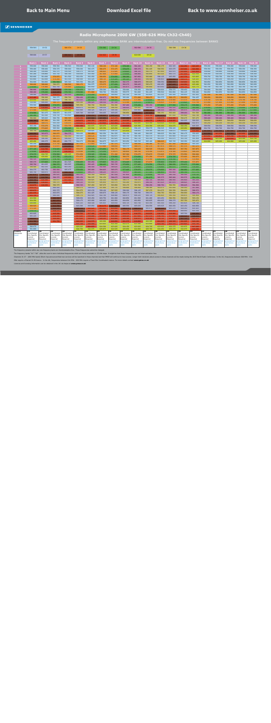#### **Radio Microphone 2000 GW (558-626 MHz Ch32-Ch40)**

<span id="page-24-0"></span>

|                      | 558-566                  | CH 32                    |                          | 566-574                  | CH 33                    |                          | 574-582                  | CH 34                    |                          | 582-590                         | CH 35                    |                          | 590-598                                | CH 36                    |                          |                          |                          |                          |                                 |                          |
|----------------------|--------------------------|--------------------------|--------------------------|--------------------------|--------------------------|--------------------------|--------------------------|--------------------------|--------------------------|---------------------------------|--------------------------|--------------------------|----------------------------------------|--------------------------|--------------------------|--------------------------|--------------------------|--------------------------|---------------------------------|--------------------------|
|                      |                          |                          |                          |                          |                          |                          |                          |                          |                          |                                 |                          |                          |                                        |                          |                          |                          |                          |                          |                                 |                          |
|                      | 598-606                  | CH 37                    |                          | 606-614                  | <b>CH 38</b>             |                          | 614-622                  | CH 39                    |                          | 622-630                         | <b>CH 40</b>             |                          |                                        |                          |                          |                          |                          |                          |                                 |                          |
|                      | <b>Bank 1</b>            | <b>Bank 2</b>            | <b>Bank 3</b>            | <b>Bank 4</b>            | <b>Bank 5</b>            | <b>Bank 6</b>            | <b>Bank 7</b>            | <b>Bank 8</b>            | <b>Bank 9</b>            | <b>Bank 10</b>                  | <b>Bank 11</b>           | <b>Bank 12</b>           | <b>Bank 13</b>                         | Bank 14                  | Bank 15                  | Bank 16                  | <b>Bank 17</b>           | <b>Bank 18</b>           | <b>Bank 19</b>                  | <b>Bank 20</b>           |
|                      | 558.000                  | 558.000                  | 558.500                  | 558.500                  | 559.800                  | 560.100                  | 566.100                  | 572.100                  | 578.100                  | 584.100                         | 590.150                  | 596.175                  | 602.325                                | 614.250                  | 620.225                  | 558.000                  | 558.000                  | 558.000                  | 558.000                         | 558.000                  |
|                      | 558.400                  | 558.400                  | 559.375                  | 558.900                  | 558.000                  | 560.475                  | 566.475                  | 572.475                  | 578.475                  | 585.375                         | 591.425                  | 596.550                  | 603.075                                | 615.000                  | 620.900                  | 558.350                  | 558.350                  | 558.350                  | 558.350                         | 558.350                  |
|                      | 560.200<br>561.200       | 559.000<br>559.800       | 562.375<br>563.750       | 559.500<br>560.300       | 558.375<br>559.050       | 560.925<br>561.450       | 566.925<br>567.450       | 572.925<br>573.450       | 578.925<br>579.450       | 586.125<br>586.800              | 592.175<br>592.850       | 597.000<br>597.525       | 603.975<br>605.175                     | 615.900<br>617.100       | 621.650<br>622.550       | 558.800<br>559.350       | 558.800<br>559.350       | 558.800<br>559.350       | 558.800<br>559.350              | 558.800<br>559.350       |
|                      | 562.600                  | 561.000                  | 570.875                  | 561.500                  | 562.050                  | 562.050                  | 568.050                  | 574.050                  | 580.200                  | 587.850                         | 593.900                  | 598.125                  | 605.850                                | 617.775                  | 623.825                  | 559.750                  | 559.750                  | 559.750                  | 559.750                         | 559.750                  |
|                      | 563.800<br>564.600       | 562.600<br>564.800       | 573.250<br>581.500       | 563.100<br>565.300       | 564.900<br>565.350       | 563.325<br>564.225       | 568.725<br>569.475       | 575.325<br>576.375       | 581.325<br>582.375       | 588.450<br>588.975              | 594.500<br>595.025       | 598.800<br>599.550       | 606.450<br>606.975                     | 618.375<br>618.900       | 624.425<br>624.950       | 560.250<br>560.850       | 560.250<br>560.850       | 560.250<br>560.850       | 560.250<br>560.850              | 560.250<br>560.850       |
|                      | 568.600                  | 568.000                  | 596.875                  | 568.500                  | 566.175                  | 564.975                  | 570.375                  | 577.050                  | 583.275                  | 589.425                         | 595.475                  | 600.450                  | 607.425                                | 619.350                  | 625.400                  | 562.050                  | 562.050                  | 562.050                  | 562.050                         | 562.050                  |
| q<br>10              | 578.000<br>586.800       | 570.400<br>575.200       | 602.750<br>606.875       | 570.900<br>575.700       | 575.175<br>576.375       | 565.650<br>558.375       | 571.575<br>558.300       | 577.800<br>558.150       | 583.875<br>558.900       | 589.800<br>559.350              | 595.850<br>559.550       | 601.650<br>558.000       | 607.800<br>559.575                     | 619.725<br>558.450       | 625.775<br>558.350       | 562.700<br>564.000       | 562.700<br>564.000       | 562.700<br>564.000       | 562.700<br>564.000              | 562.700<br>564.000       |
| 11                   | 588.400                  | 579.200                  | 613.125                  | 579.700                  | 579.000                  | 571.800                  | 560.700                  | 559.650                  | 559.575                  | 561.600                         | 561.425                  | 559.500                  | 562.800                                | 562.125                  | 559.400                  | 564.850                  | 564.850                  | 564.850                  | 564.850                         | 564.850                  |
| 12                   | 598.400                  | 582.600                  | 614.875                  | 583.100                  | 580.950                  | 575.250                  | 573.075                  | 560.850                  | 561.150                  | 564.150                         | 563.825                  | 563.325                  | 565.200                                | 564.450                  | 561.425                  | 567.500                  | 567.500                  | 567.500                  | 567.500                         | 567.500                  |
| 13<br>14             | 615.400<br>624.600       | 590.200<br>596.200       | 560.375<br>561.625       | 590.700<br>596.700       | 584.400<br>587.625       | 577.050<br>581.625       | 582.075<br>586.050       | 566.700<br>580.425       | 565.200<br>568.950       | 571.200<br>573.300              | 568.475<br>574.925       | 564.375<br>566.100       | 569.175<br>570.900                     | 568.650<br>571.575       | 564.425<br>566.525       | 569.050<br>570.700       | 569.050<br>570.700       | 569.050<br>570.700       | 569.050<br>570.700              | 569.050<br>570.700       |
| 15                   | 558.900                  | 606.000                  | 566.375                  | 606.500                  | 591.000                  | 586.425                  | 589.350                  | 587.100                  | 572.100                  | 575.175                         | 579.875                  | 570.825                  | 572.325                                | 575.625                  | 572.750                  | 571.450                  | 571.450                  | 571.450                  | 571.450                         | 571.450                  |
| 16<br>17             | 559.500<br>566.500       | 612.200<br>618.800       | 579.875<br>588.750       | 612.700<br>619.300       | 595.350<br>600.675       | 590.700<br>593.400       | 594.600<br>599.550       | 594.300<br>596.550       | 587.400<br>589.425       | 579.450<br>595.425              | 585.350<br>598.400       | 577.800<br>583.200       | 577.500<br>582.525                     | 578.175<br>580.575       | 578.900<br>580.400       | 573.450<br>576.450       | 573.450<br>576.450       | 573.450<br>576.450       | 573.450<br>576.450              | 573.450<br>576.450       |
| 18                   | 571.500                  | 624.000                  | 622.500                  | 624.500                  | 601.800                  | 599.325                  | 601.275                  | 599.100                  | 594.075                  | 600.900                         | 606.725                  | 586.500                  | 588.450                                | 585.975                  | 586.250                  | 577.600                  | 577.600                  | 577.600                  | 577.600                         | 577.600                  |
| 19                   | 574.500                  | 561.475                  | 558.875                  | 561.975                  | 605.700                  | 600.825                  | 604.425                  | 605.625                  | 596.850                  | 606.150                         | 607.625                  | 590.250                  | 593.400                                | 588.000                  | 591.500                  | 581.000                  | 581.000                  | 581.000                  | 581.000                         | 581.000                  |
| 20<br>21             | 581.300<br>590.900       | 563.300<br>565.825       | 559.750<br>560.750       | 563.800<br>566.325       | 607.725<br>615.150       | 606.450<br>607.500       | 606.600<br>607.650       | 606.525<br>615.375       | 602.100<br>607.200       | 614.925<br>617.325              | 614.750<br>618.575       | 607.275<br>615.675       | 597.000<br>614.250                     | 591.600<br>596.475       | 592.700<br>597.275       | 585.300<br>589.400       | 585.300<br>589.400       | 585.300<br>589.400       | 585.300<br>589.400              | 585.300<br>589.400       |
| 22                   | 606.700                  | 567.350                  | 561.250                  | 567.850                  | 615.675                  | 616.350                  | 615.075                  | 617.475                  | 614.325                  | 621.525                         | 620.375                  | 618.075                  | 618.825                                | 600.225                  | 599.525                  | 590.650                  | 590.650                  | 590.650                  | 590.650                         | 590.650                  |
| 23<br>24             | 619.900<br>563.150       | 569.575<br>572.275       | 563.250<br>564.500       | 570.075<br>572.775       | 619.425<br>621.150       | 621.675<br>622.875       | 619.800<br>623.475       | 621.450<br>623.625       | 617.325<br>618.525       | 622.425<br>625.350              | 623.150<br>624.350       | 623.025<br>625.200       | 623.025<br>624.075                     | 607.050<br>624.150       | 602.975<br>605.525       | 593.250<br>599.550       | 593.250<br>599.550       | 593.250<br>599.550       | 593.250<br>599.550              | 593.250<br>599.550       |
| 25                   | 575.650                  | 573.825                  | 565.500                  | 574.325                  | 624.225                  | 625.500                  | 625.350                  | 625.650                  | 623.025                  | 558.225                         | 558.575                  | 558.525                  | 558.225                                | 625.650                  | 607.325                  | 604.700                  | 604.700                  | 604.700                  | 604.700                         | 604.700                  |
| 26                   | 593.750                  | 578.450                  | 566.000                  | 578.950                  | 625.575<br>560.400       | 558.825                  | 559.425<br>562.350       | 558.525<br>561.525       | 625.050                  | 558.825                         | 559.100<br>560.225       | 560.250<br>560.625       | 558.675<br>561.300                     | 558.825                  | 614.600                  | 607.600                  | 607.600                  | 607.600                  | 607.600                         | 607.600                  |
| 27<br>28             | 609.250<br>616.450       | 583.875<br>591.650       | 566.875<br>567.875       | 584.375<br>592.150       | 561.525                  | 566.850<br>568.125       | 562.800                  | 562.875                  | 558.150<br>561.750       | 560.100<br>560.700              | 562.175                  | 561.225                  | 561.900                                | 560.175<br>561.225       | 559.025<br>560.375       | 612.350<br>614.050       | 615.250<br>616.850       | 612.350<br>614.700       | 615.950<br>617.550              | 612.350<br>615.950       |
| 29                   | 620.250                  | 599.100                  | 568.375                  | 599.600                  | 562.500                  | 569.100                  | 563.550                  | 563.925                  | 562.425                  | 562.725                         | 563.150                  | 562.350                  | 563.475                                | 563.700                  | 561.950                  | 619.650                  | 623.100                  | 619.650                  | 623.100                         | 622.750                  |
| 30<br>31             | 625.450<br>565.250       | 600.275<br>607.325       | 569.125<br>571.750       | 600.775<br>607.825       | 564.075<br>567.150       | 570.300<br>572.850       | 564.675<br>565.650       | 565.275<br>567.375       | 563.250<br>563.625       | 565.725<br>566.550              | 565.100<br>566.300       | 566.625<br>567.225       | 565.725<br>567.300                     | 565.350<br>566.325       | 563.225<br>565.325       | 624.900                  | 625.200                  | 624.900                  | 625.200                         | 623.450                  |
| 32                   | 569.500                  | 611.150                  | 572.875                  | 611.650                  | 568.425                  | 574.125                  | 572.400                  | 568.650                  | 564.375                  | 568.575                         | 567.275                  | 567.975                  | 568.575                                | 567.375                  | 567.275                  |                          |                          |                          |                                 |                          |
| 33                   | 577.125                  | 614.700                  | 574.625                  | 615.200                  | 570.075                  | 574.725                  | 574.050                  | 569.775                  | 566.175                  | 569.025                         | 569.525                  | 570.000                  | 569.625                                | 567.750                  | 567.875                  |                          |                          |                          |                                 |                          |
| 34<br>35             | 579.000<br>579.375       | 616.425<br>624.725       | 576.125<br>576.500       | 616.925<br>625.225       | 570.600<br>571.050       | 575.850<br>578.325       | 575.250<br>576.300       | 570.675<br>571.200       | 566.850<br>567.300       | 569.700<br>570.675              | 570.350<br>570.875       | 572.475<br>572.925       | 570.300<br>573.375                     | 570.825<br>572.550       | 568.250<br>569.000       |                          |                          |                          |                                 |                          |
| 36                   | 580.250                  | 625.650                  | 577.750                  | 575.175                  | 571.875                  | 578.925                  | 577.125                  | 578.850                  | 568.275                  | 574.650                         | 571.250                  | 573.975                  | 574.725                                | 572.925                  | 569.675                  |                          |                          |                          |                                 |                          |
| 37<br>38             | 582.125<br>585.375       | 574.675<br>577.825       | 578.750<br>579.125       | 578.325<br>601.525       | 573.375<br>574.425       | 581.025<br>583.050       | 578.175<br>579.825       | 581.775<br>582.225       | 573.900<br>574.425       | 576.225<br>576.600              | 573.350<br>573.875       | 575.775<br>576.900       | 576.150<br>576.975                     | 573.750<br>575.100       | 570.950<br>573.875       |                          |                          |                          |                                 |                          |
| 39                   | 585.750                  | 601.025                  | 580.375                  | 602.825                  | 576.825                  | 583.425                  | 580.425                  | 583.725                  | 575.850                  | 577.425                         | 574.550                  | 578.475                  | 580.050                                | 576.975                  | 575.600                  |                          |                          |                          |                                 |                          |
| 40<br>41             | 594.500<br>604.375       | 602.325<br>602.750       | 580.750<br>583.500       | 603.250<br>605.475       | 577.425<br>579.450       | 584.400<br>585.900       | 582.900                  | 584.625<br>585.075       | 576.225<br>577.425       | 578.850<br>579.975              | 576.050                  | 579.000<br>579.600       | 581.475                                | 578.925<br>580.950       | 576.425<br>577.025       |                          |                          |                          |                                 |                          |
| 42                   | 605.750                  | 604.975                  | 584.000                  | 608.750                  | 579.825                  | 589.275                  | 584.625<br>588.225       | 585.975                  | 584.925                  | 581.025                         | 576.575<br>577.325       | 580.800                  | 583.200<br>583.800                     | 581.700                  | 577.775                  |                          |                          |                          |                                 |                          |
| 43                   | 607.875                  | 608.250                  | 585.625                  | 613.200                  | 583.125                  | 592.350                  | 590.625                  | 587.550                  | 587.850                  | 581.625                         | 579.050                  | 584.100                  | 585.150                                | 582.300                  | 579.725                  |                          |                          |                          |                                 |                          |
| 44<br>45             | 610.125<br>610.750       | 612.700<br>615.100       | 589.375<br>594.875       | 615.600<br>617.325       | 585.150<br>586.050       | 594.225<br>594.825       | 591.150<br>592.350       | 588.675<br>592.800       | 588.600<br>590.175       | 582.375<br>590.550              | 581.675<br>582.725       | 585.375<br>585.900       | 585.900<br>586.950                     | 583.575<br>585.600       | 581.150<br>583.250       |                          |                          |                          |                                 |                          |
| 46                   | 612.500                  | 616.825                  | 595.375                  | 619.750                  | 589.125                  | 595.650                  | 595.050                  | 593.175                  | 592.200                  | 592.875                         | 584.150                  | 587.025                  | 587.475                                | 588.825                  | 584.225                  |                          |                          |                          |                                 |                          |
| 47<br>48             | 616.875<br>619.375       | 619.250                  | 596.375<br>600.500       |                          | 589.725<br>590.175       | 597.450<br>598.050       | 597.375<br>597.900       | 593.850<br>595.725       | 593.175<br>594.900       | 593.700<br>594.450              | 586.250<br>596.300       | 588.750<br>591.075       | 590.550<br>591.600                     | 589.425<br>590.550       | 584.900<br>587.900       |                          |                          |                          |                                 |                          |
| 49                   | 620.875                  |                          | 602.375                  |                          | 591.675                  | 600.150                  | 599.100                  | 597.525                  | 598.200                  | 598.125                         | 597.275                  | 591.675                  | 592.350                                | 594.450                  | 588.575                  |                          |                          |                          |                                 |                          |
| 50                   | 621.375                  |                          | 603.875                  |                          | 594.075                  | 601.425                  | 600.675                  | 598.125                  | 599.175                  | 599.700                         | 599.375                  | 594.750                  | 594.600                                | 594.900                  | 589.175                  |                          |                          |                          |                                 |                          |
| 51<br>52             | 621.750<br>623.500       |                          | 606.000<br>606.500       |                          | 596.775<br>598.650       | 602.925<br>603.450       | 602.700<br>603.750       | 600.900<br>601.800       | 600.675<br>602.850       | 600.225<br>601.500              | 600.725<br>601.400       | 595.425<br>603.450       | 595.350<br>596.550                     | 595.875<br>596.925       | 591.950<br>593.150       |                          |                          |                          |                                 |                          |
| 53                   | 624.250                  |                          | 607.375                  |                          | 599.175                  | 603.900                  | 605.025                  | 602.850                  | 604.050                  | 602.850                         | 602.825                  | 604.425                  | 598.275                                | 597.750                  | 593.975                  |                          |                          |                          |                                 |                          |
| 54<br>55             | 626.000<br>569.925       |                          | 610.750<br>611.750       |                          | 601.125<br>603.300       | 604.500<br>605.850       | 605.925<br>614.175       | 604.650<br>607.200       | 604.725<br>605.550       | 603.750<br>605.625              | 603.350<br>604.550       | 605.100<br>605.625       | 599.250<br>600.450                     | 601.425<br>603.150       | 598.700<br>600.950       |                          |                          |                          |                                 |                          |
| 56                   | 571.125                  |                          | 612.125                  |                          | 606.150                  | 614.625                  | 616.425                  | 614.850                  | 606.675                  | 606.975                         | 605.675                  | 606.225                  | 601.275                                | 604.050                  | 601.625                  |                          |                          |                          |                                 |                          |
| 57                   | 576.175                  |                          | 614.375                  |                          | 607.050                  | 615.375                  | 617.475                  | 616.350                  | 615.750                  | 615.975                         | 615.425                  | 614.850                  | 615.450                                | 604.650                  | 603.350                  |                          |                          |                          |                                 |                          |
| 58<br>59             | 603.925<br>605.225       |                          | 615.250<br>619.250       |                          | 616.500<br>617.025       | 617.400<br>618.000       | 618.300<br>619.200       | 617.100<br>618.300       | 616.575<br>619.125       | 616.575<br>617.925              | 616.625<br>617.375       | 616.950<br>618.750       | 616.800<br>617.925                     | 605.700<br>606.525       | 606.050<br>606.950       |                          |                          |                          |                                 |                          |
| 60                   | 608.825                  |                          | 620.000                  |                          | 617.625                  | 618.975                  | 620.325                  | 619.800                  | 620.100                  | 618.975                         | 619.100                  | 619.725                  | 619.875                                | 607.725                  | 615.275                  |                          |                          |                          |                                 |                          |
| 61<br>62             | 611.700<br>614.000       |                          | 621.750                  |                          | 620.325<br>621.750       | 619.575<br>620.400       | 622.200<br>623.025       | 620.850<br>622.350       | 621.375<br>622.275       | 619.800<br>623.100              | 622.325<br>623.600       | 621.225<br>621.750       | 620.325<br>621.375                     | 621.225<br>621.825       | 616.100<br>616.700       |                          |                          |                          |                                 |                          |
| 63                   | 560.675                  |                          |                          |                          | 623.325                  | 621.075                  | 624.300                  | 623.025                  | 624.150                  | 623.925                         | 624.725                  | 623.925                  | 622.275                                | 622.875                  | 617.225                  |                          |                          |                          |                                 |                          |
|                      | 561.600                  |                          |                          |                          | 624.750                  | 624.975                  | 625.875                  | 624.525                  | 625.650                  | 624.900                         | 625.700                  | 624.450                  | 625.275                                | 624.975                  | 618.200                  |                          |                          |                          |                                 |                          |
| Country<br>Usergroup | <b>UK</b><br>Coordinated | UΚ<br>Coordinated        | <b>UK</b><br>Coordinated | UK<br>Coordinated        | UK<br>Coordinated        | UK<br>Coordinated        | UK<br>Coordinated        | <b>UK</b><br>Coordinated | UK<br>Coordinated        | UK<br>Coordinated               | UΚ<br>Coordinated        | UK<br>Coordinated        | UK<br>Coordinated                      | UK<br>Coordinated        | UK<br>Coordinated        | UK<br>Coordinated        | UK<br>Coordinated        | UK<br>Coordinated        | <b>UK</b><br>Coordinated        | UK<br>Coordinated        |
| Notes                | Site Specific<br>Licence | Site Specific<br>Licence | Site Specific<br>Licence | Site Specific<br>Licence | Site Specific<br>Licence | Site Specific<br>Licence | Site Specific<br>Licence | Site Specific<br>Licence | Site Specific<br>Licence | <b>Site Specific</b><br>Licence | Site Specific<br>Licence | Site Specific<br>Licence | Site Specific Site Specific<br>Licence | Licence                  | Site Specific<br>Licence | Site Specific<br>Licence | Site Specific<br>Licence | Site Specific<br>Licence | <b>Site Specific</b><br>Licence | Site Specific<br>Licence |
|                      | Required<br>geographical | Required<br>geographica  | Required<br>geographical | Required<br>geographical | Required<br>geographical | Required<br>geographica. | Required<br>geographical | Required<br>geographical | Required<br>geographical | Required<br>geographical        | Required<br>geographica  | Required<br>geographical | Required<br>geographical               | Required<br>geographical | Required<br>geographical | Required<br>geographical | Required<br>geographical | Required<br>geographical | Required<br>geographical        | Required<br>geographical |
|                      | restrictions<br>pply     | restrictions<br>ipply    | restrictions<br>apply    | restrictions<br>ipply    | restrictions<br>apply    | restrictions<br>apply    | restrictions<br>apply    | restrictions<br>pply     | restrictions<br>apply    | restrictions<br>apply           | restrictions<br>apply    | restrictions<br>apply    | restrictions<br>apply                  | restrictions<br>apply    | restrictions<br>apply    | restrictions<br>apply    | restrictions<br>pply     | restrictions<br>apply    | restrictions<br>apply           | restrictions<br>apply    |
|                      |                          |                          |                          |                          |                          |                          |                          |                          |                          |                                 |                          |                          |                                        |                          |                          |                          |                          |                          |                                 |                          |

The frequency presets within any one frequency bank are intermodulation-free. These frequencies cannot be changed.

The frequency banks "U1"–"U6" allow the user to store individual frequencies which are freely selectable in 25-kHz steps. It might be that these frequencies are not intermodulation-free.

Channels 31-37 - (600 MHz band) Ofcom has announced that new services will be launched in these channels but that PMSE will continue to have access. Longer term decisions about access to these channels will be made during

MHz require a Shared Ch.38 licence. In the UK, frequencies between 614 MHz - 626 MHz require a Fixed Site Coordinated Licence. For more details contact **www.pmse.co.uk**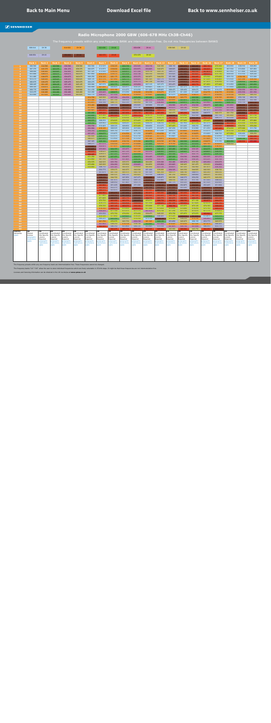#### **Radio Microphone 2000 GBW (606-678 MHz Ch38-Ch46)**

<span id="page-25-0"></span>

|                      | 606-614               | <b>CH 38</b>                    |                            | 614-622                    | CH 39                      |                            | 622-630                    | CH 40                      |                            | 630-638                    | CH 41                      |                            | 638-646                    | <b>CH 42</b>               |                            |                            |                            |                            |                            |                                 |
|----------------------|-----------------------|---------------------------------|----------------------------|----------------------------|----------------------------|----------------------------|----------------------------|----------------------------|----------------------------|----------------------------|----------------------------|----------------------------|----------------------------|----------------------------|----------------------------|----------------------------|----------------------------|----------------------------|----------------------------|---------------------------------|
|                      | 646-654               | CH 43                           |                            | 654-662                    | CH 44                      |                            | 662-670                    | CH 45                      |                            | 670-678                    | <b>CH 46</b>               |                            |                            |                            |                            |                            |                            |                            |                            |                                 |
|                      |                       |                                 |                            |                            |                            |                            |                            |                            |                            |                            |                            |                            |                            |                            |                            |                            |                            |                            |                            |                                 |
|                      | <b>Bank 1</b>         | <b>Bank 2</b>                   | <b>Bank 3</b>              | <b>Bank 4</b>              | <b>Bank 5</b>              | <b>Bank 6</b>              | <b>Bank 7</b>              | <b>Bank 8</b>              | <b>Bank 9</b>              | <b>Bank 10</b>             | <b>Bank 11</b>             | <b>Bank 12</b>             | <b>Bank 13</b>             | <b>Bank 14</b>             | Bank 15                    | <b>Bank 16</b>             | <b>Bank 17</b>             | <b>Bank 18</b>             | <b>Bank 19</b>             | <b>Bank 20</b>                  |
|                      | 606.500               | 614.500                         | 622.500                    | 630.500                    | 638.500                    | 606.500                    | 612.525                    | 618.225                    | 624.150                    | 630.525                    | 636.150                    | 642.300                    | 648.150                    | 655.575                    | 660.225                    | 666.150                    | 672.300                    | 606.900                    | 608.550                    | 606.850                         |
|                      | 607.375<br>608.000    | 615.375<br>616.925              | 623.375<br>624.925         | 631.375<br>632.925         | 639.375<br>640.925         | 606.875<br>607.325         | 612.975<br>613.500         | 618.600<br>619.050         | 624.525<br>624.975         | 630.975<br>631.500         | 636.825<br>639.750         | 642.675<br>643.125         | 648.825<br>649.575         | 656.475<br>657.225         | 660.900<br>662.550         | 666.825<br>667.875         | 673.500<br>674.400         | 607.500<br>607.950         | 610.800<br>611.800         | 607.850<br>608.600              |
|                      | 611.000               | 618.075                         | 626.075                    | 634.075                    | 642.075                    | 607.850                    | 615.375                    | 619.575                    | 625.500                    | 632.100                    | 640.350                    | 643.650                    | 650.625                    | 657.900                    | 663.825                    | 668.625                    | 675.150                    | 608.500                    | 612.350                    | 609.200                         |
|                      | 611.400               | 618.675                         | 626.675                    | 634.675                    | 642.675                    | 608.250                    | 616.125                    | 620.175                    | 626.100                    | 633.375                    | 640.875                    | 644.250                    | 651.900                    | 658.500                    | 664.425                    | 670.500                    | 675.825                    | 609.150                    | 618.100                    | 612.000                         |
|                      | 613.275<br>606.875    | 620.025<br>619.475              | 628.025<br>627.475         | 636.025<br>635.475         | 644.025<br>643.475         | 608.725<br>609.275         | 617.175<br>617.850         | 621.450<br>623.100         | 626.775<br>627.525         | 634.425<br>635.175         | 641.325<br>641.700         | 647.175<br>647.850         | 652.500<br>653.025         | 659.025<br>659.475         | 664.950<br>665.400         | 671.025<br>671.475         | 676.425<br>676.950         | 610.500<br>611.200         | 621.200<br>624.950         | 618.350<br>622.800              |
|                      | 608.425               | 621.125                         | 629.125                    | 637.125                    | 645.125                    | 609.900                    | 607.575                    | 623.775                    | 628.425                    | 635.850                    | 607.125                    | 607.275                    | 653.475                    | 659.850                    | 665.775                    | 671.850                    | 677.400                    | 612.650                    | 626.350                    | 623.650                         |
|                      | 609.325               | 614.875                         | 622.875                    | 630.875                    | 638.875                    | 610.400                    | 621.225                    | 606.825                    | 606.975                    | 606.525                    | 609.825                    | 608.775                    | 606.975                    | 607.275                    | 607.050                    | 606.600                    | 607.575                    | 613.400                    | 627.050                    | 627.650                         |
| 10<br>11             | 609.775<br>610.475    | 616.000<br>616.400              | 624.000<br>624.400         | 632.000<br>632.400         | 640.000<br>640.400         | 611.150<br>612.200         | 625.500<br>635.025         | 615.150<br>628.875         | 610.275<br>613.050         | 610.050<br>616.200         | 611.025<br>616.350         | 609.825<br>616.275         | 608.475<br>610.575         | 609.450<br>611.325         | 609.075<br>611.625         | 608.700<br>614.775         | 610.275<br>614.775         | 615.100<br>616.500         | 632.050<br>633.550         | 631.150<br>631.550              |
| 12                   | 612.000               | 617.625                         | 625.625                    | 633.625                    | 641.625                    | 612.775                    | 636.525                    | 631.500                    | 618.750                    | 618.450                    | 619.425                    | 623.550                    | 613.275                    | 616.350                    | 618.675                    | 620.775                    | 616.650                    | 619.100                    | 643.400                    | 644.250                         |
| 13                   |                       |                                 |                            |                            |                            | 614.700                    | 643.500                    | 637.350                    | 634.350                    | 625.050                    | 625.200                    | 625.650                    | 618.225                    | 620.775                    | 622.500                    | 626.025                    | 619.725                    | 620.900                    | 650.100                    | 650.150                         |
| 14                   |                       |                                 |                            |                            |                            | 615.300<br>615.975         | 647.325<br>650.100         | 641.700<br>644.175         | 648.900<br>652.725         | 641.925<br>643.950         | 631.575<br>647.550         | 634.200<br>636.450         | 620.850<br>626.850         | 623.475<br>624.975         | 624.750<br>627.750         | 628.275<br>633.900         | 621.450<br>622.950         | 623.950<br>628.150         | 652.400<br>653.150         | 652.300<br>655.150              |
| 15<br>16             |                       |                                 |                            |                            |                            | 616.400                    | 655.725                    | 649.500                    | 659.025                    | 650.925                    | 649.800                    | 652.425                    | 630.900                    | 631.275                    | 634.500                    | 636.675                    | 627.150                    | 630.800                    | 656.450                    | 655.650                         |
| 17                   |                       |                                 |                            |                            |                            | 617.975                    | 657.975                    | 656.250                    | 660.525                    | 653.100                    | 658.350                    | 658.800                    | 633.075                    | 635.100                    | 639.825                    | 640.500                    | 633.000                    | 631.600                    | 658.050                    | 656.600                         |
| 18                   |                       |                                 |                            |                            |                            | 620.425                    | 663.225                    | 659.250                    | 663.225                    | 657.150                    | 660.450                    | 664.575                    | 640.050                    | 649.650                    | 642.300                    | 647.475                    | 637.350                    | 637.100                    | 659.150                    | 661.300                         |
| 19<br>20             |                       |                                 |                            |                            |                            | 622.600<br>623.600         | 669.225<br>675.300         | 661.500<br>665.325         | 667.650<br>672.675         | 663.150<br>665.775         | 667.725<br>674.175         | 667.650<br>672.975         | 642.075<br>658.950         | 665.250<br>670.950         | 646.650<br>652.500         | 648.975<br>658.500         | 642.375<br>647.100         | 641.750<br>645.400         | 660.800<br>662.600         | 663.600<br>671.150              |
| 21                   |                       |                                 |                            |                            |                            | 625.725                    | 677.400                    | 672.375                    | 674.550                    | 670.725                    | 675.225                    | 674.175                    | 665.550                    | 673.725                    | 655.125                    | 662.775                    | 649.275                    | 653.200                    | 663.400                    | 673.150                         |
| 22                   |                       |                                 |                            |                            |                            | 626.575                    | 608.250                    | 674.925                    | 676.725                    | 673.425                    | 676.725                    | 676.875                    | 667.800                    | 677.025                    | 668.850                    | 676.425                    | 655.800                    | 658.600                    | 671.400                    | 673.800                         |
| 23<br>24             |                       |                                 |                            |                            |                            | 628.350<br>630.700         | 609.900<br>610.425         | 676.950<br>608.025         | 608.025<br>608.850         | 675.525<br>677.025         | 608.250<br>608.850         | 608.250<br>610.575         | 673.950<br>677.475         | 607.950<br>610.425         | 677.175<br>608.250         | 607.275<br>609.825         | 658.575<br>663.825         | 665.300<br>668.600         | 673.350<br>674.550         | 674.350<br>676.200              |
| 25                   |                       |                                 |                            |                            |                            | 632.900                    | 619.125                    | 608.925                    | 609.600                    | 607.800                    | 612.675                    | 612.675                    | 607.650                    | 613.350                    | 612.900                    | 611.250                    | 667.425                    | 674.200                    | 677.000                    | 613.700                         |
| 26                   |                       |                                 |                            |                            |                            | 636.350                    | 623.025                    | 609.750                    | 611.025                    | 608.775                    | 614.550                    | 613.200                    | 609.675                    | 614.925                    | 614.925                    | 612.075                    | 606.825                    | 675.150                    | 677.450                    | 622.100                         |
| 27                   |                       |                                 |                            |                            |                            | 637.075                    | 624.075                    | 610.875                    | 614.550                    | 611.250                    | 616.875                    | 614.550                    | 611.550                    | 617.100                    | 616.875                    | 612.600                    | 608.700                    | 677.950                    | 606.400                    | 638.250                         |
| 28<br>29             |                       |                                 |                            |                            |                            | 642.600<br>644.675         | 626.175<br>627.225         | 612.375<br>612.900         | 615.300<br>617.100         | 612.750<br>613.350         | 618.525<br>621.000         | 617.775<br>618.975         | 612.825<br>615.375         | 618.225<br>618.825         | 617.475<br>620.700         | 617.100<br>617.625         | 610.950<br>612.750         | 606.000<br>606.400         | 613.650<br>629.700         | 662.200<br>669.550              |
| 30                   |                       |                                 |                            |                            |                            | 647.325                    | 629.100                    | 614.625                    | 618.150                    | 615.300                    | 623.775                    | 619.725                    | 617.700                    | 622.500                    | 623.025                    | 618.675                    | 613.350                    | 622.050                    | 669.950                    | 670.000                         |
| 31                   |                       |                                 |                            |                            |                            | 648.275                    | 631.575                    | 616.500                    | 620.550                    | 616.800                    | 625.800                    | 620.250                    | 619.350                    | 626.550                    | 625.650                    | 620.100                    | 615.675                    | 638.350                    |                            |                                 |
| 32<br>33             |                       |                                 |                            |                            |                            | 654.825<br>657.675         | 632.475<br>633.000         | 617.475<br>624.375         | 623.100<br>630.675         | 619.500<br>620.325         | 627.075<br>628.650         | 624.675<br>626.325         | 623.025<br>623.400         | 627.150<br>627.600         | 628.725<br>630.525         | 622.725<br>624.075         | 618.300<br>624.750         |                            |                            |                                 |
| 34                   |                       |                                 |                            |                            |                            | 666.075                    | 638.625                    | 624.900                    | 631.125                    | 621.300                    | 632.250                    | 626.925                    | 624.975                    | 628.425                    | 631.725                    | 624.825                    | 628.200                    |                            |                            |                                 |
| 35                   |                       |                                 |                            |                            |                            | 669.425                    | 639.975                    | 627.075                    | 633.675                    | 622.650                    | 633.375                    | 628.800                    | 625.500                    | 632.175                    | 632.775                    | 629.250                    | 629.100                    |                            |                            |                                 |
| 36<br>37             |                       |                                 |                            |                            |                            | 671.250<br>672.850         | 640.800<br>641.700         | 627.675<br>630.900         | 634.875<br>637.425         | 624.375<br>626.550         | 634.425<br>634.950         | 630.975<br>632.775         | 627.225<br>629.325         | 634.500<br>636.150         | 634.050<br>636.525         | 632.325<br>633.225         | 631.275<br>632.100         |                            |                            |                                 |
| 38                   |                       |                                 |                            |                            |                            | 674.575                    | 642.525                    | 633.750                    | 639.375                    | 627.225                    | 644.400                    | 633.300                    | 632.400                    | 637.275                    | 639.300                    | 635.250                    | 633.675                    |                            |                            |                                 |
| 39                   |                       |                                 |                            |                            |                            | 675.650                    | 645.000                    | 634.200                    | 639.900                    | 636.825                    | 644.850                    | 635.850                    | 633.825                    | 640.425                    | 641.475                    | 639.000                    | 634.800                    |                            |                            |                                 |
| 40<br>41             |                       |                                 |                            |                            |                            | 676.850                    | 648.750<br>650.775         | 635.025<br>639.075         | 640.650<br>642.675         | 639.450<br>640.500         | 645.450<br>651.000         | 637.125<br>639.000         | 634.875<br>636.525         | 641.325<br>643.350         | 642.900<br>644.925         | 641.475<br>642.300         | 636.300<br>638.700         |                            |                            |                                 |
| 42                   |                       |                                 |                            |                            |                            |                            | 651.675                    | 641.100                    | 643.575                    | 642.750                    | 651.525                    | 641.250                    | 640.575                    | 644.100                    | 648.975                    | 643.200                    | 640.650                    |                            |                            |                                 |
| 43                   |                       |                                 |                            |                            |                            |                            | 654.750                    | 642.525                    | 646.725                    | 643.425                    | 652.350                    | 648.450                    | 641.250                    | 644.625                    | 649.800                    | 644.025                    | 641.850                    |                            |                            |                                 |
| 44                   |                       |                                 |                            |                            |                            |                            | 659.175<br>659.925         | 644.700<br>647.475         | 647.850<br>649.500         | 647.475                    | 654.600<br>654.975         | 649.875<br>652.800         | 643.500                    | 646.575<br>649.125         | 650.250<br>653.100         | 645.375<br>651.000         | 643.200<br>648.600         |                            |                            |                                 |
| 45<br>46             |                       |                                 |                            |                            |                            |                            | 661.275                    | 649.950                    | 651.825                    | 649.125<br>650.175         | 656.100                    | 656.925                    | 644.550<br>647.175         | 650.325                    | 656.325                    | 651.525                    | 650.925                    |                            |                            |                                 |
| 47                   |                       |                                 |                            |                            |                            |                            | 663.900                    | 651.225                    | 655.575                    | 651.600                    | 656.700                    | 658.125                    | 656.775                    | 652.875                    | 656.925                    | 652.425                    | 651.900                    |                            |                            |                                 |
| 48                   |                       |                                 |                            |                            |                            |                            | 665.325                    | 652.275                    | 656.400                    | 654.675                    | 661.500                    | 660.825                    | 657.450                    | 653.325                    | 659.100                    | 654.900                    | 656.325                    |                            |                            |                                 |
| 50                   |                       |                                 |                            |                            |                            |                            | 666.375<br>666.900         | 653.475<br>655.275         | 656.850<br>657.450         | 656.775<br>658.500         | 662.925<br>663.675         | 661.275<br>663.000         | 659.625<br>661.350         | 660.900<br>663.450         | 659.625<br>666.525         | 656.775<br>657.825         | 657.975<br>660.375         |                            |                            |                                 |
| 51                   |                       |                                 |                            |                            |                            |                            | 671.400                    | 658.350                    | 661.500                    | 659.025                    | 665.625                    | 665.025                    | 662.700                    | 665.850                    | 667.500                    | 659.925                    | 661.275                    |                            |                            |                                 |
| 52                   |                       |                                 |                            |                            |                            |                            | 671.925                    | 660.975                    | 665.175                    | 660.600                    | 668.775                    | 665.775                    | 663.675                    | 666.900                    | 669.375                    | 660.975                    | 663.225                    |                            |                            |                                 |
| 53<br>54             |                       |                                 |                            |                            |                            |                            | 672.750<br>674.175         | 663.300<br>666.525         | 665.775<br>666.900         | 660.975<br>664.650         | 670.575<br>671.550         | 666.750<br>668.625         | 664.500<br>667.200         | 668.700<br>669.450         | 671.100<br>671.625         | 664.875<br>673.575         | 664.275<br>666.150         |                            |                            |                                 |
| 55                   |                       |                                 |                            |                            |                            |                            | 676.725                    | 667.125                    | 669.075                    | 666.300                    | 672.600                    | 671.100                    | 668.700                    | 672.975                    | 673.125                    | 674.100                    | 668.625                    |                            |                            |                                 |
| 56                   |                       |                                 |                            |                            |                            |                            | 614.100                    | 669.075                    | 670.650                    | 668.625                    | 677.400                    | 673.650                    | 670.650                    | 674.400                    | 674.250                    | 675.750                    | 669.375                    |                            |                            |                                 |
| 57                   |                       |                                 |                            |                            |                            |                            | 630.225<br>653.550         | 671.100<br>675.750         | 673.575<br>676.050         | 671.175<br>672.450         | 637.575<br>638.475         | 675.750<br>645.525         | 671.250<br>672.750         | 675.150<br>675.975         | 675.075                    | 677.775<br>669.900         | 670.875<br>677.775         |                            |                            |                                 |
| 58<br>59             |                       |                                 |                            |                            |                            |                            | 670.125                    | 677.850                    | 629.625                    | 674.325                    | 629.850                    | 646.425                    | 675.225                    | 654.375                    | 675.975<br>661.650         | 613.875                    | 622.275                    |                            |                            |                                 |
| 60                   |                       |                                 |                            |                            |                            |                            | 606.225                    | 622.350                    | 638.325                    | 676.350                    | 613.725                    | 654.150                    | 676.200                    | 638.250                    | 613.725                    | 630.450                    | 629.850                    |                            |                            |                                 |
| 61                   |                       |                                 |                            |                            |                            |                            | 621.750                    | 670.275                    | 645.750                    | 630.150                    | 621.525                    | 622.125                    | 653.850                    | 645.675                    | 606.150                    | 653.775                    | 645.975                    |                            |                            |                                 |
| 62<br>63             |                       |                                 |                            |                            |                            |                            | 637.950<br>662.325         | 638.250<br>646.350         | 614.100<br>653.850         | 638.100<br>646.125         | 622.425<br>653.925         | 637.650<br>653.550         | 614.025<br>637.875         | 614.250<br>630.150         | 621.525<br>637.650         | 621.675<br>646.050         | 646.425<br>653.775         |                            |                            |                                 |
| -64                  |                       |                                 |                            |                            |                            |                            |                            | 662.475                    | 669.750                    | 669.975                    | 669.525                    | 669.900                    | 645.900                    | 669.900                    | 645.750                    | 662.250                    | 654.375                    |                            |                            |                                 |
| Country<br>Usergroup | UK<br>Shared          | UK<br>Coordinated               | UK<br>Coordinated          | UK<br>Coordinated          | UK<br>Coordinated          | UK<br>Coordinated          | <b>UK</b><br>Coordinated   | <b>UK</b><br>Coordinated   | UK<br>Coordinated          | UK<br>Coordinated          | UK<br>Coordinated          | UK<br>Coordinated          | UK<br>Coordinated          | UK<br>Coordinated          | UΚ<br>Coordinated          | UK<br>Coordinated          | UK<br>Coordinated          | UK<br>Coordinated          | UК<br>Coordinated          | <b>UK</b><br>Coordinated        |
| Notes                | Licence<br>geographic | <b>Site Specific</b><br>Licence | Site Specific<br>Licence   | Site Specific<br>Licence   | Site Specific<br>Licence   | Site Specific<br>Licence   | Site Specific<br>Licence   | Site Specific<br>Licence   | Site Specific<br>Licence   | Site Specific<br>Licence   | Site Specific<br>Licence   | Site Specific<br>Licence   | Site Specific<br>Licence   | Site Specific<br>Licence   | Site Specific<br>Licence   | Site Specific<br>Licence   | Site Specific<br>Licence   | Site Specific<br>Licence   | Site Specific<br>Licence   | <b>Site Specific</b><br>Licence |
|                      | restrictions          | Required                        | Required                   | Required                   | Required                   | Required                   | Required                   | Required                   | Required                   | Required                   | Required                   | Required                   | Required                   | Required                   | Required                   | Required                   | Required                   | Required                   | Required                   | Required                        |
|                      | apply                 | geographic<br>restrictions      | geographic<br>restrictions | geographic<br>restrictions | geographic<br>restrictions | geographic<br>restrictions | geographic<br>restrictions | geographic<br>restrictions | geographic<br>restrictions | geographic<br>restrictions | geographic<br>restrictions | geographic<br>restrictions | geographic<br>restrictions | geographic<br>restrictions | geographic<br>restrictions | geographic<br>restrictions | geographic<br>restrictions | geographic<br>restrictions | geographic<br>restrictions | geographic<br>restrictions      |
|                      |                       | apply                           | apply                      | apply                      | apply                      | apply                      | apply                      | apply                      | apply                      | apply                      | apply                      | apply                      | apply                      | apply                      | apply                      | apply                      | apply                      | apply                      | apply                      | apply                           |
|                      |                       |                                 |                            |                            |                            |                            |                            |                            |                            |                            |                            |                            |                            |                            |                            |                            |                            |                            |                            |                                 |
|                      |                       |                                 |                            |                            |                            |                            |                            |                            |                            |                            |                            |                            |                            |                            |                            |                            |                            |                            |                            |                                 |
|                      |                       |                                 |                            |                            |                            |                            |                            |                            |                            |                            |                            |                            |                            |                            |                            |                            |                            |                            |                            |                                 |
|                      |                       |                                 |                            |                            |                            |                            |                            |                            |                            |                            |                            |                            |                            |                            |                            |                            |                            |                            |                            |                                 |

The frequency presets within any one frequency bank are intermodulation-free. These frequencies cannot be changed.

The frequency banks "U1"–"U6" allow the user to store individual frequencies which are freely selectable in 25-kHz steps. It might be that these frequencies are not intermodulation-free.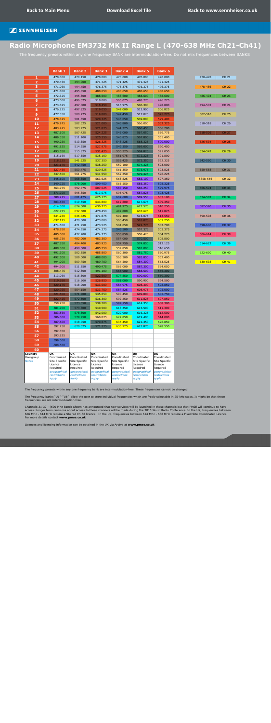|                           | <b>Bank 1</b>                                                       | <b>Bank 2</b>                                                       | <b>Bank 3</b>                                                       | <b>Bank 4</b>                                                       | <b>Bank 5</b>                                                      | <b>Bank 6</b>                                                       |          |              |
|---------------------------|---------------------------------------------------------------------|---------------------------------------------------------------------|---------------------------------------------------------------------|---------------------------------------------------------------------|--------------------------------------------------------------------|---------------------------------------------------------------------|----------|--------------|
| $\mathbf{1}$              | 470.000                                                             | 470.150                                                             | 470.000                                                             | 470.000                                                             | 470.000                                                            | 470.000                                                             | 470-478  | <b>CH 21</b> |
| $\overline{\mathbf{2}}$   | 470.450                                                             | 494.000                                                             | 471.425                                                             | 471.425                                                             | 471.425                                                            | 471.425                                                             |          |              |
| 3                         | 471.050                                                             | 494.450                                                             | 476.375                                                             | 476.375                                                             | 476.375                                                            | 476.375                                                             | 478-486  | <b>CH 22</b> |
| $\overline{\mathbf{4}}$   | 471.800                                                             | 495.050                                                             | 480.650                                                             | 480.650                                                             | 480.650                                                            | 480.650                                                             |          |              |
| 5                         | 472.325                                                             | 495.800                                                             | 488.600                                                             | 488.600                                                             | 488.600                                                            | 488.600                                                             | 486-494  | <b>CH 23</b> |
| $6\phantom{a}$            | 473.000                                                             | 496.325                                                             | 518.000                                                             | 500.075                                                             | 498.275                                                            | 496.775                                                             |          |              |
| $\overline{\mathbf{z}}$   | 473.825                                                             | 497.000                                                             | 518.450                                                             | 515.975                                                             | 506.300                                                            | 498.800                                                             | 494-502  | <b>CH 24</b> |
| 8<br>9                    | 476.225                                                             | 497.825                                                             | 519.050                                                             | 542.000                                                             | 512.900<br>517.025                                                 | 506.825                                                             |          | <b>CH 25</b> |
| 10                        | 477.350<br>478.325                                                  | 500.225<br>501.350                                                  | 519.800<br>520.325                                                  | 542.450<br>543.050                                                  | 539.000                                                            | 525.275<br>529.400                                                  | 502-510  |              |
| 11                        | 479.975                                                             | 502.325                                                             | 521.000                                                             | 543.800                                                             | 566.000                                                            | 532.325                                                             | 510-518  | <b>CH 26</b> |
| 12                        | 483.425                                                             | 503.975                                                             | 521.825                                                             | 544.325                                                             | 566.450                                                            | 556.700                                                             |          |              |
| 13                        | 487.100                                                             | 507.425                                                             | 524.225                                                             | 545.000                                                             | 567.050                                                            | 559.775                                                             | 518-526  | <b>CH 27</b> |
| 14                        | 489.350                                                             | 511.100                                                             | 525.350                                                             | 545.825                                                             | 567.800                                                            | 565.400                                                             |          |              |
| 15                        | 490.250                                                             | 513.350                                                             | 526.325                                                             | 548.225                                                             | 568.325                                                            | 590.000                                                             | 526-534  | <b>CH 28</b> |
| 16                        | 491.825                                                             | 514.250                                                             | 527.975                                                             | 549.350                                                             | 569.000                                                            | 590.450                                                             |          |              |
| 17                        | 493.550                                                             | 515.825                                                             | 531.425                                                             | 550.325                                                             | 569.825                                                            | 591.050                                                             | 534-542  | <b>CH 29</b> |
| 18                        | 515.150                                                             | 517.550                                                             | 535.100                                                             | 551.975                                                             | 572.225                                                            | 591.800                                                             |          |              |
| 19                        | 518.225                                                             | 541.325                                                             | 537.350                                                             | 555.425                                                             | 573.350                                                            | 592.325                                                             | 542-550  | <b>CH 30</b> |
| 20                        | 523.175                                                             | 542.750                                                             | 538.250                                                             | 559.100                                                             | 574.325                                                            | 593.000                                                             |          |              |
| 21<br>22                  | 527.450<br>537.500                                                  | 550.475<br>561.275                                                  | 539.825<br>541.550                                                  | 561.350<br>562.250                                                  | 575.975<br>579.425                                                 | 593.825<br>596.225                                                  | 550-558  | <b>CH 31</b> |
| 23                        | 545.600                                                             | 568.850                                                             | 563.525                                                             | 563.825                                                             | 583.100                                                            | 597.350                                                             | 5858-566 | <b>CH 32</b> |
| 24                        | 549.725                                                             | 578.900                                                             | 599.450                                                             | 565.550                                                             | 585.350                                                            | 598.325                                                             |          |              |
| 25                        | 563.975                                                             | 592.775                                                             | 607.025                                                             | 587.150                                                             | 586.250                                                            | 599.975                                                             | 566-574  | <b>CH 33</b> |
| 26                        | 571.700                                                             | 595.850                                                             | 617.075                                                             | 596.975                                                             | 587.825                                                            | 603.425                                                             |          |              |
| 27                        | 588.275                                                             | 601.475                                                             | 625.175                                                             | 602.600                                                             | 589.550                                                            | 607.100                                                             | 574-582  | <b>CH 34</b> |
| 28                        | 603.650                                                             | 619.550                                                             | 633.800                                                             | 612.800                                                             | 617.675                                                            | 609.350                                                             |          |              |
| 29                        | 614.300                                                             | 624.500                                                             | 636.725                                                             | 491.975                                                             | 627.575                                                            | 610.250                                                             | 582-590  | <b>CH 35</b> |
| 30                        | 622.775                                                             | 632.600                                                             | 470.450                                                             | 492.800                                                             | 637.625                                                            | 611.825                                                             |          |              |
| 31                        | 634.250                                                             | 636.725                                                             | 471.875                                                             | 502.400                                                             | 515.075                                                            | 613.550                                                             | 590-598  | <b>CH 36</b> |
| 32                        | 637.175                                                             | 470.600                                                             | 473.000                                                             | 503.450                                                             | 518.075                                                            | 637.250                                                             |          |              |
| 33                        | 474.500                                                             | 471.950                                                             | 473.525                                                             | 504.050                                                             | 522.775                                                            | 502.700                                                             | 598-606  | <b>CH 37</b> |
| 34<br>35                  | 478.850<br>485.000                                                  | 474.950<br>477.200                                                  | 474.275<br>474.775                                                  | 546.500<br>550.850                                                  | 557.375<br>558.425                                                 | 503.375<br>504.275                                                  | 606-614  | <b>CH 38</b> |
| 36                        | 485.750                                                             | 482.000                                                             | 483.300                                                             | 557.000                                                             | 570.500                                                            | 508.800                                                             |          |              |
| 37                        | 487.850                                                             | 484.400                                                             | 483.925                                                             | 557.750                                                             | 574.850                                                            | 512.125                                                             | 614-622  | <b>CH 39</b> |
| 38                        | 488.300                                                             | 498.500                                                             | 485.350                                                             | 559.850                                                             | 581.000                                                            | 516.650                                                             |          |              |
| 39                        | 491.300                                                             | 502.850                                                             | 485.800                                                             | 560.300                                                             | 581.750                                                            | 560.975                                                             | 622-630  | <b>CH 40</b> |
| 40                        | 492.500                                                             | 509.000                                                             | 488.000                                                             | 563.300                                                             | 583.850                                                            | 562.400                                                             |          |              |
| 41                        | 494.000                                                             | 509.750                                                             | 489.700                                                             | 564.500                                                             | 584.300                                                            | 563.525                                                             | 630-638  | <b>CH 41</b> |
| 42                        | 494.900                                                             | 511.850                                                             | 490.475                                                             | 566.000                                                             | 587.300                                                            | 564.050                                                             |          |              |
| 43                        | 508.475                                                             | 512.300                                                             | 491.100                                                             | 566.900                                                             | 588.500                                                            | 566.300                                                             |          |              |
| 44                        | 513.050                                                             | 515.300                                                             | 522.500                                                             | 577.850                                                             | 590.000                                                            | 569.300                                                             |          |              |
| 45                        | 519.650                                                             | 516.500                                                             | 526.850                                                             | 581.000                                                             | 590.900                                                            | 594.500                                                             |          |              |
| 46<br>47                  | 520.175                                                             | 518.000<br>554.150                                                  | 533.000<br>533.750                                                  | 584.975<br>587.825                                                  | 608.300                                                            | 598.850<br>605.000                                                  |          |              |
| 48                        | 520.925<br>521.500                                                  | 571.700                                                             | 535.850                                                             | 590.450                                                             | 608.975<br>609.800                                                 | 605.750                                                             |          |              |
| 49                        | 522.425                                                             | 572.600                                                             | 536.300                                                             | 592.250                                                             | 611.825                                                            | 607.850                                                             |          |              |
| 50                        | 558.950                                                             | 573.350                                                             | 539.300                                                             | 599.150                                                             | 614.350                                                            | 608.300                                                             |          |              |
| 51                        | 581.700                                                             | 573.800                                                             | 540.500                                                             | 618.350                                                             | 615.500                                                            | 611.300                                                             |          |              |
| 52                        | 583.550                                                             | 578.300                                                             | 542.000                                                             | 620.900                                                             | 616.325                                                            | 612.500                                                             |          |              |
| 53                        | 586.000                                                             | 579.950                                                             | 560.825                                                             | 622.850                                                             | 619.400                                                            | 614.000                                                             |          |              |
| 54                        | 587.600                                                             | 618.050                                                             | 570.875                                                             | 635.450                                                             | 621.350                                                            | 626.850                                                             |          |              |
| 55                        | 592.250                                                             | 620.375                                                             | 571.325                                                             | 636.725                                                             | 621.875                                                            | 628.550                                                             |          |              |
| 56                        | 592.850                                                             |                                                                     |                                                                     |                                                                     |                                                                    |                                                                     |          |              |
| 57                        | 593.825                                                             |                                                                     |                                                                     |                                                                     |                                                                    |                                                                     |          |              |
| 58                        | 599.000                                                             |                                                                     |                                                                     |                                                                     |                                                                    |                                                                     |          |              |
| 59<br>60                  | 600.650                                                             |                                                                     |                                                                     |                                                                     |                                                                    |                                                                     |          |              |
| <b>Country</b>            | UK                                                                  | <b>UK</b>                                                           | <b>UK</b>                                                           | <b>UK</b>                                                           | UK                                                                 | <b>UK</b>                                                           |          |              |
| Usergroup<br><b>Notes</b> | Coordinated<br>Site Specific<br>Licence<br>Required<br>geographical | Coordinated<br>Site Specific<br>Licence<br>Required<br>geographical | Coordinated<br>Site Specific<br>Licence<br>Required<br>geographical | Coordinated<br>Site Specific<br>Licence<br>Required<br>geographical | Coordinated<br>Site Specific<br>Licence<br>Required<br>geographica | Coordinated<br>Site Specific<br>Licence<br>Required<br>geographical |          |              |
|                           | restrictions<br>apply                                               | restrictions<br>apply                                               | restrictions<br>apply                                               | restrictions<br>apply                                               | restrictions<br>apply                                              | restrictions<br>apply                                               |          |              |

# <span id="page-26-0"></span>**Radio Microphone EM3732 MK II Range L (470-638 MHz Ch21-Ch41)**

The frequency presets within any one frequency BANK are intermodulation-free. Do not mix frequencies between BANKS

The frequency presets within any one frequency bank are intermodulation-free. These frequencies cannot be changed.

The frequency banks "U1"–"U6" allow the user to store individual frequencies which are freely selectable in 25-kHz steps. It might be that these frequencies are not intermodulation-free.

Channels 31-37 - (600 MHz band) Ofcom has announced that new services will be launched in these channels but that PMSE will continue to have access. Longer term decisions about access to these channels will be made during the 2015 World Radio Conference. In the UK, frequencies between 606 MHz - 614 MHz require a Shared Ch.38 licence. In the UK, frequencies between 614 MHz - 638 MHz require a Fixed Site Coordinated Licence. For more details contact **www.pmse.co.uk**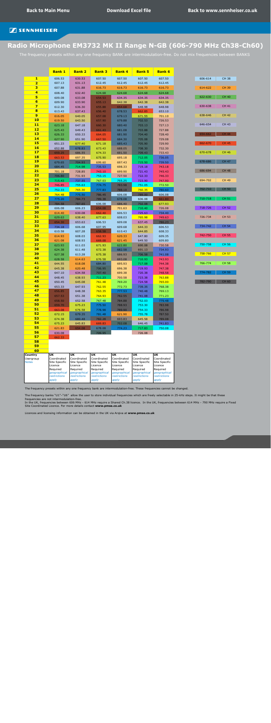|                                                | <b>Bank 1</b>            | <b>Bank 2</b>            | <b>Bank 3</b>            | <b>Bank 4</b>            | <b>Bank 5</b>            | <b>Bank 6</b>            |
|------------------------------------------------|--------------------------|--------------------------|--------------------------|--------------------------|--------------------------|--------------------------|
| $\mathbf{1}$                                   | 606.53                   | 630.53                   | 607.50                   | 607.50                   | 607.50                   | 607.50                   |
| $\overline{\mathbf{2}}$                        | 607.13                   | 631.13                   | 612.45                   | 612.45                   | 612.45                   | 612.45                   |
| 3                                              | 607.88                   | 631.88                   | 616.73                   | 616.73                   | 616.73                   | 616.73                   |
| $\overline{4}$                                 | 608.40                   | 632.40                   | 624.68                   | 624.68                   | 624.68                   | 624.68                   |
| 5                                              | 609.08                   | 633.08                   | 654.53                   | 634.35                   | 634.35                   | 634.35                   |
| $6 \nightharpoonup$<br>$\overline{\mathbf{z}}$ | 609.90                   | 633.90                   | 655.13                   | 642.38                   | 642.38                   | 642.38                   |
| $\bf{8}$                                       | 612.30<br>613.43         | 636.30<br>637.43         | 655.88<br>656.40         | 654.68<br>678.53         | 648.98<br>662.85         | 648.98<br>653.10         |
| 9                                              | 616.05                   | 640.05                   | 657.08                   | 679.13                   | 671.55                   | 701.10                   |
| <b>10</b>                                      | 619.50                   | 643.50                   | 657.90                   | 679.88                   | 702.53                   | 726.53                   |
| <b>11</b>                                      | 623.18                   | 647.18                   | 660.30                   | 680.40                   | 703.13                   | 727.13                   |
| 12                                             | 625.43                   | 649.43                   | 661.43                   | 681.08                   | 703.88                   | 727.88                   |
| 13                                             | 626.33                   | 650.33                   | 664.05                   | 681.90                   | 704.40                   | 728.40                   |
| 14                                             | 627.90                   | 651.90                   | 667.50                   | 684.30                   | 705.08                   | 729.08                   |
| <b>15</b>                                      | 651.23                   | 677.40                   | 671.18                   | 685.43                   | 705.90                   | 729.90                   |
| 16                                             | 652.88                   | 678.83                   | 673.43                   | 688.05                   | 708.30                   | 732.30                   |
| 17                                             | 659.25                   | 686.55                   | 674.33                   | 691.50                   | 709.43                   | 733.43                   |
| <b>18</b><br><b>19</b>                         | 663.53                   | 697.35                   | 675.90                   | 695.18                   | 712.05                   | 736.05                   |
| 20                                             | 679.65                   | 704.93                   | 699.60                   | 697.43                   | 715.50                   | 739.50                   |
| 21                                             | 684.45<br>701.18         | 714.98<br>728.85         | 735.53<br>743.10         | 698.33<br>699.90         | 719.18<br>721.43         | 743.18<br>745.43         |
| 22                                             | 706.80                   | 731.93                   | 753.15                   | 727.50                   | 722.33                   | 746.33                   |
| <b>23</b>                                      | 715.43                   | 737.55                   | 767.03                   | 755.25                   | 723.90                   | 747.90                   |
| 24                                             | 746.85                   | 755.63                   | 774.75                   | 783.98                   | 751.05                   | 772.50                   |
| 25                                             | 752.33                   | 765.30                   | 777.83                   | 788.10                   | 760.35                   | 780.60                   |
| 26                                             | 764.48                   | 775.50                   | 786.45                   | 606.08                   | 789.00                   | 606.08                   |
| 27                                             | 775.20                   | 784.73                   | 789.38                   | 678.08                   | 606.08                   | 661.80                   |
| 28                                             | 784.58                   | 787.65                   | 606.08                   | 686.40                   | 702.08                   | 677.93                   |
| 29                                             | 606.08                   | 606.23                   | 654.08                   | 701.63                   | 710.40                   | 726.08                   |
| 30                                             | 614.40                   | 630.08                   | 662.40                   | 606.53                   | 725.63                   | 734.40                   |
| <b>31</b>                                      | 629.63                   | 638.40                   | 677.63                   | 608.03                   | 765.98                   | 749.63                   |
| 32<br>33                                       | 654.30                   | 653.63                   | 606.53                   | 609.08                   | 637.45                   | 786.23                   |
| 34                                             | 734.18                   | 606.68                   | 607.95                   | 609.68                   | 644.33                   | 606.53                   |
| 35                                             | 610.58<br>614.93         | 607.28<br>608.03         | 658.58<br>662.93         | 610.43<br>620.33         | 644.85<br>647.80         | 608.33<br>609.35         |
| 36                                             | 621.08                   | 608.93                   | 669.08                   | 621.45                   | 649.50                   | 609.80                   |
| 37                                             | 623.93                   | 611.03                   | 671.93                   | 622.80                   | 690.08                   | 730.58                   |
| 38                                             | 624.38                   | 611.48                   | 672.38                   | 682.58                   | 691.13                   | 734.93                   |
| 39                                             | 627.38                   | 613.28                   | 675.38                   | 686.93                   | 706.58                   | 741.08                   |
| 40                                             | 628.58                   | 614.63                   | 676.58                   | 693.08                   | 710.93                   | 743.93                   |
| 41                                             | 644.55                   | 618.08                   | 684.80                   | 695.93                   | 717.08                   | 744.38                   |
| 42                                             | 645.38                   | 620.48                   | 706.95                   | 696.38                   | 719.93                   | 747.38                   |
| 43                                             | 647.10                   | 634.58                   | 707.40                   | 699.38                   | 720.38                   | 748.58                   |
| 44                                             | 648.45                   | 638.93                   | 711.23                   | 700.58                   | 723.38                   | 763.88                   |
| 45                                             | 650.45                   | 645.08                   | 761.48                   | 769.20                   | 724.58                   | 765.00                   |
| 46                                             | 653.33                   | 647.93                   | 762.55                   | 772.73                   | 739.35                   | 768.38                   |
| 47<br>48                                       | 656.85                   | 648.38                   | 763.35                   | 777.53                   | 740.48                   | 769.13                   |
| 49                                             | 657.53                   | 651.38                   | 764.93                   | 782.55                   | 741.08                   | 771.23                   |
| 50                                             | 658.50                   | 652.58                   | 767.48                   | 784.88                   | 752.03                   | 779.48                   |
| 51                                             | 659.70<br>663.08         | 675.23<br>676.58         | 775.50<br>778.98         | 788.93<br>789.90         | 753.30<br>754.33         | 783.98<br>786.98         |
| 52                                             | 672.15                   | 679.35                   | 781.48                   | 621.90                   | 755.78                   | 787.50                   |
| 53                                             | 674.38                   | 680.48                   | 782.28                   | 693.83                   | 645.58                   | 789.08                   |
| 54                                             | 675.23                   | 645.83                   | 669.83                   | 702.08                   | 646.45                   | 741.83                   |
| 55                                             | 621.83                   | 654.08                   | 678.08                   | 774.23                   | 717.83                   | 750.08                   |
| 56                                             | 630.08                   |                          | 709.95                   |                          | 726.08                   |                          |
| 57                                             | 662.33                   |                          |                          |                          |                          |                          |
| 58                                             |                          |                          |                          |                          |                          |                          |
| 59                                             |                          |                          |                          |                          |                          |                          |
| 60                                             |                          |                          |                          |                          |                          |                          |
| <b>Country</b><br>Usergroup                    | <b>UK</b><br>Coordinated | <b>UK</b><br>Coordinated | UK  <br>Coordinated      | <b>UK</b><br>Coordinated | <b>UK</b><br>Coordinated | <b>UK</b><br>Coordinated |
| <b>Notes</b>                                   | Site Specific            | Site Specific            | Site Specific            | Site Specific            | Site Specific            | Site Specific            |
|                                                | Licence                  | Licence                  | Licence                  | Licence                  | Licence                  | Licence                  |
|                                                | Required<br>geographical | Required<br>geographical | Required<br>geographical | Required<br>geographical | Required<br>geographical | Required<br>geographical |
|                                                | restrictions             | restrictions             | restrictions             | restrictions             | restrictions             | restrictions             |
|                                                | apply                    | apply                    | apply                    | apply                    | apply                    | apply                    |

The frequency presets within any one frequency bank are intermodulation-free. These frequencies cannot be changed.

The frequency banks "U1"–"U6" allow the user to store individual frequencies which are freely selectable in 25-kHz steps. It might be that these frequencies are not intermodulation-free.

In the UK, frequencies between 606 MHz - 614 MHz require a Shared Ch.38 licence. In the UK, frequencies between 614 MHz - 790 MHz require a Fixed Site Coordinated Licence. For more details contact **www.pmse.co.uk**

Licences and licensing information can be obtained in the UK via Arqiva at **www.pmse.co.uk** 

# <span id="page-27-0"></span>**Radio Microphone EM3732 MK II Range N-GB (606-790 MHz Ch38-Ch60)**

The frequency presets within any one frequency BANK are intermodulation-free. Do not mix frequencies between BANKS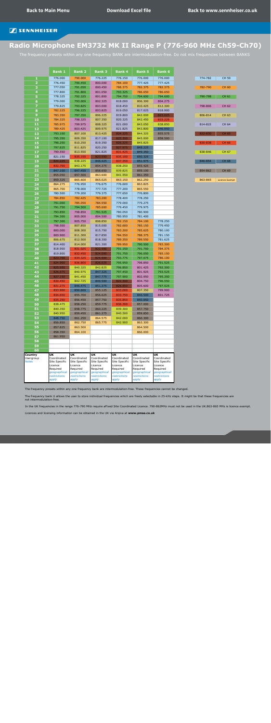|                      | <b>Bank 1</b>            | <b>Bank 2</b>                | <b>Bank 3</b>            | <b>Bank 4</b>            | <b>Bank 5</b>            | <b>Bank 6</b>            |         |                       |
|----------------------|--------------------------|------------------------------|--------------------------|--------------------------|--------------------------|--------------------------|---------|-----------------------|
| 1                    | 776.000                  | 790.000                      | 776.225                  | 776.150                  | 776.000                  | 776.000                  | 774-782 | <b>CH 59</b>          |
| $\overline{2}$       | 776.450                  | 790.450                      | 800.000                  | 784.100                  | 777.425                  | 777.425                  |         |                       |
| 3                    | 777.050                  | 791.050                      | 800.450                  | 788.375                  | 782.375                  | 782.375                  | 782-790 | <b>CH 60</b>          |
| 4                    | 777.800                  | 791.800                      | 801.050                  | 793.325                  | 786.650                  | 786.650                  |         |                       |
| 5 <sub>1</sub>       | 778.325                  | 792.325                      | 801.800                  | 794.750                  | 794.600                  | 794.600                  | 790-798 | <b>CH 61</b>          |
| $6\phantom{1}$       | 779.000                  | 793.000                      | 802.325                  | 818.000                  | 806.300                  | 804.275                  |         |                       |
| 7<br>8               | 779.825<br>782.225       | 793.825<br>796.225           | 803.000<br>803.825       | 818.450<br>819.050       | 810.425<br>817.025       | 812.300<br>818.900       | 798-806 | <b>CH 62</b>          |
| 9                    | 783.350                  | 797.350                      | 806.225                  | 819.800                  | 842.000                  | 823.025                  | 806-814 | CH 63                 |
| 10                   | 784.325                  | 798.325                      | 807.350                  | 820.325                  | 842.450                  | 833.225                  |         |                       |
| 11                   | 785.975                  | 799.975                      | 808.325                  | 821.000                  | 843.050                  | 838.850                  | 814-822 | <b>CH 64</b>          |
| $12$                 | 789.425                  | 803.425                      | 809.975                  | 821.825                  | 843.800                  | 846.950                  |         |                       |
| 13                   | 793.100                  | 807.100                      | 813.425                  | 824.225                  | 844.325                  | 855.575                  | 822-830 | <b>CH 65</b>          |
| 14                   | 795.350                  | 809.350                      | 817.100                  | 825.350                  | 845.000                  | 858.500                  |         |                       |
| 15                   | 796.250                  | 810.250                      | 819.350                  | 826.325                  | 845.825                  |                          | 830-838 | <b>CH 66</b>          |
| 16                   | 797.825                  | 811.825                      | 820.250                  | 827.975                  | 848.225                  |                          |         |                       |
| 17<br>18             | 799.550<br>821.150       | 813.550<br>835.150           | 821.825<br>823.550       | 831.425<br>835.100       | 849.350<br>850.325       |                          | 838-846 | <b>CH 67</b>          |
| 19                   | 824.225                  | 838.225                      | 846.425                  | 837.350                  | 851.975                  |                          | 846-854 | <b>CH 68</b>          |
| 20                   | 832.700                  | 843.175                      | 854.375                  | 838.250                  | 855.425                  |                          |         |                       |
| 21                   | 847.100                  | 847.450                      | 858.650                  | 839.825                  | 859.100                  |                          | 854-862 | CH 69                 |
| 22                   | 855.050                  | 857.500                      | 863.600                  | 841.550                  | 861.350                  |                          |         |                       |
| 23                   | 859.325                  | 865.600                      | 865.025                  | 863.150                  | 862.250                  |                          | 863-865 | <b>Licence Exempt</b> |
| 24                   | 864.275                  | 776.950                      | 776.675                  | 776.600                  | 863.825                  |                          |         |                       |
| 25                   | 865.700                  | 778.000                      | 777.725                  | 777.200                  | 865.550                  |                          |         |                       |
| 26                   | 780.500                  | 779.200                      | 779.375                  | 777.650                  | 776.800                  |                          |         |                       |
| 27<br>28             | 784.850<br>791.000       | 782.425<br>785.050           | 783.200<br>784.550       | 778.400<br>779.000       | 778.250<br>779.275       |                          |         |                       |
| 29                   | 791.750                  | 794.500                      | 785.600                  | 779.450                  | 779.975                  |                          |         |                       |
| 30                   | 793.850                  | 798.850                      | 791.525                  | 780.050                  | 780.900                  |                          |         |                       |
| 31                   | 794.300                  | 805.000                      | 804.500                  | 780.950                  | 781.400                  |                          |         |                       |
| 32                   | 797.300                  | 805.750                      | 808.850                  | 782.150                  | 784.100                  | 778.250                  |         |                       |
| 33                   | 798.500                  | 807.850                      | 815.000                  | 782.600                  | 785.150                  | 779.450                  |         |                       |
| 34                   | 800.000                  | 808.300                      | 815.750                  | 783.200                  | 785.625                  | 780.100                  |         |                       |
| 35<br>36             | 800.900<br>806.675       | 811.300<br>812.500           | 817.850<br>818.300       | 784.550<br>789.350       | 788.375<br>789.550       | 781.150<br>781.625       |         |                       |
| 37                   | 814.400                  | 814.000                      | 821.300                  | 789.950                  | 790.500                  | 783.300                  |         |                       |
| 38                   | 818.900                  | 831.025                      | 822.500                  | 791.150                  | 791.750                  | 784.375                  |         |                       |
| 39                   | 819.800                  | 832.450                      | 824.000                  | 791.750                  | 796.050                  | 785.150                  |         |                       |
| 40                   | 823.700                  | 834.325                      | 824.900                  | 793.775                  | 797.075                  | 786.100                  |         |                       |
| 41                   | 824.900                  | 836.800                      | 826.025                  | 795.950                  | 798.850                  | 791.525                  |         |                       |
| 42                   | 825.950                  | 840.325                      | 842.825                  | 796.850                  | 801.425                  | 792.300                  |         |                       |
| 43                   | 826.675                  | 840.975                      | 847.325                  | 797.450                  | 801.925                  | 793.525                  |         |                       |
| 44<br>45             | 827.150<br>830.450       | 841.450<br>842.725           | 847.775<br>849.500       | 797.900<br>822.500       | 802.950<br>804.750       | 795.350<br>796.550       |         |                       |
| 46                   | 831.275                  | 846.475                      | 851.375                  | 826.850                  | 805.600                  | 797.525                  |         |                       |
| 47                   | 833.900                  | 850.600                      | 855.125                  | 833.000                  | 807.350                  | 799.900                  |         |                       |
| 48                   | 834.650                  | 855.700                      | 856.625                  | 833.750                  | 846.500                  | 801.725                  |         |                       |
| 49                   | 835.250                  | 856.450                      | 857.750                  | 835.850                  | 850.850                  |                          |         |                       |
| 50                   | 838.475                  | 858.250                      | 859.775                  | 836.300                  | 857.000                  |                          |         |                       |
| 51                   | 840.350                  | 858.775                      | 860.225                  | 839.300                  | 857.750                  |                          |         |                       |
| 52                   | 840.950                  | 859.450                      | 861.275                  | 840.500<br>842.000       | 859.850<br>860.300       |                          |         |                       |
| 53<br>54             | 848.750<br>856.850       | 861.250<br>862.750           | 864.575<br>865.775       | 842.900                  | 863.300                  |                          |         |                       |
| 55                   | 857.825                  | 863.500                      |                          |                          | 864.500                  |                          |         |                       |
| 56                   | 858.350                  | 864.100                      |                          |                          | 866.000                  |                          |         |                       |
| 57                   | 861.950                  |                              |                          |                          |                          |                          |         |                       |
| 58                   |                          |                              |                          |                          |                          |                          |         |                       |
| 59                   |                          |                              |                          |                          |                          |                          |         |                       |
| 60                   | <b>UK</b>                | <b>UK</b>                    | <b>UK</b>                | <b>UK</b>                | <b>UK</b>                | <b>UK</b>                |         |                       |
| Country<br>Usergroup | Coordinated              | Coordinated                  | Coordinated              | Coordinated              | Coordinated              | Coordinated              |         |                       |
| <b>Notes</b>         | Site Specific<br>Licence | Site Specific<br>Licence     | Site Specific<br>Licence | Site Specific<br>Licence | Site Specific<br>Licence | Site Specific<br>Licence |         |                       |
|                      | Required                 | Required                     | Required                 | Required                 | Required                 | Required                 |         |                       |
|                      | geographical             | geographical<br>restrictions | geographical             | geographical             | geographical             | geographical             |         |                       |
|                      | restrictions<br>apply    | apply                        | restrictions<br>apply    | restrictions<br>apply    | restrictions<br>apply    | restrictions<br>apply    |         |                       |
|                      |                          |                              |                          |                          |                          |                          |         |                       |

| 774-782 | <b>CH 59</b>          |
|---------|-----------------------|
|         |                       |
| 782-790 | <b>CH 60</b>          |
|         |                       |
| 790-798 | CH 61                 |
| 798-806 | <b>CH 62</b>          |
|         |                       |
| 806-814 | <b>CH 63</b>          |
|         |                       |
| 814-822 | CH 64                 |
|         |                       |
| 822-830 | <b>CH 65</b>          |
|         |                       |
| 830-838 | <b>CH 66</b>          |
| 838-846 | <b>CH 67</b>          |
|         |                       |
| 846-854 | <b>CH 68</b>          |
|         |                       |
| 854-862 | <b>CH 69</b>          |
|         |                       |
| 863-865 | <b>Licence Exempt</b> |

# <span id="page-28-0"></span>**Radio Microphone EM3732 MK II Range P (776-960 MHz Ch59-Ch70)**

The frequency presets within any one frequency BANK are intermodulation-free. Do not mix frequencies between BANKS

The frequency presets within any one frequency bank are intermodulation-free. These frequencies cannot be changed.

The frequency bank U allows the user to store individual frequencies which are freely selectable in 25-kHz steps. It might be that these frequencies are not intermodulation-free.

In the UK frequencies in the range 776-790 MHz require aFixed Site Coordinated Licence. 790-862MHz must not be used in the UK.863-865 MHz is licence exempt.